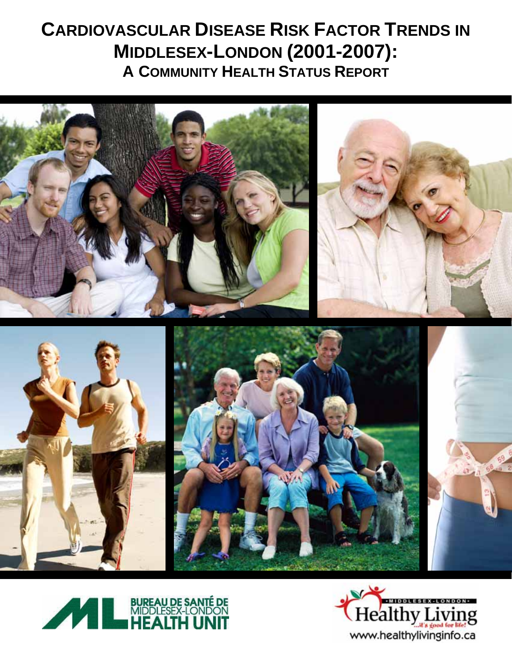# **CARDIOVASCULAR DISEASE RISK FACTOR TRENDS IN MIDDLESEX-LONDON (2001-2007): A COMMUNITY HEALTH STATUS REPORT**





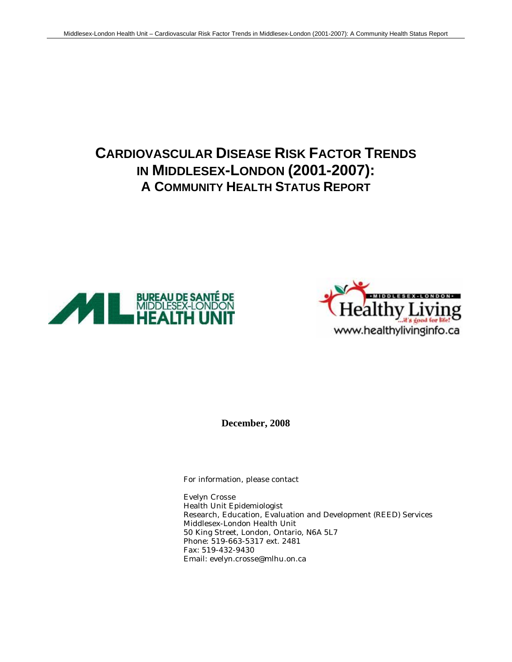# **CARDIOVASCULAR DISEASE RISK FACTOR TRENDS IN MIDDLESEX-LONDON (2001-2007): A COMMUNITY HEALTH STATUS REPORT**





**December, 2008**

For information, please contact

Evelyn Crosse Health Unit Epidemiologist Research, Education, Evaluation and Development (REED) Services Middlesex-London Health Unit 50 King Street, London, Ontario, N6A 5L7 Phone: 519-663-5317 ext. 2481 Fax: 519-432-9430 Email: evelyn.crosse@mlhu.on.ca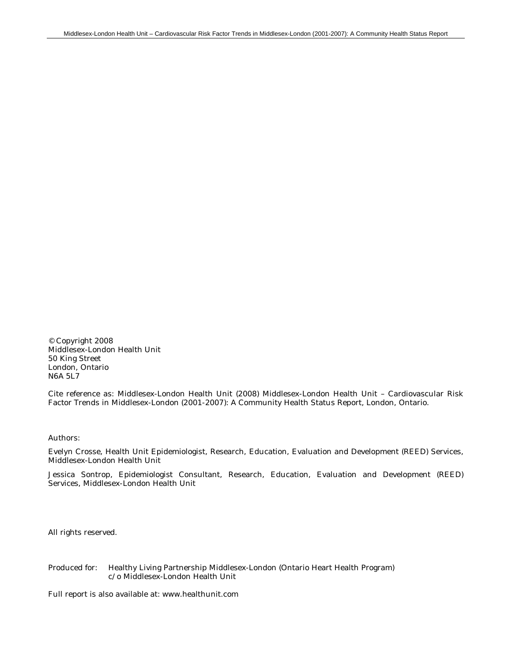© Copyright 2008 Middlesex-London Health Unit 50 King Street London, Ontario N6A 5L7

Cite reference as: Middlesex-London Health Unit (2008) Middlesex-London Health Unit – Cardiovascular Risk Factor Trends in Middlesex-London (2001-2007): A Community Health Status Report, London, Ontario.

Authors:

Evelyn Crosse, Health Unit Epidemiologist, Research, Education, Evaluation and Development (REED) Services, Middlesex-London Health Unit

Jessica Sontrop, Epidemiologist Consultant, Research, Education, Evaluation and Development (REED) Services, Middlesex-London Health Unit

All rights reserved.

Produced for: Healthy Living Partnership Middlesex-London (Ontario Heart Health Program) c/o Middlesex-London Health Unit

Full report is also available at: www.healthunit.com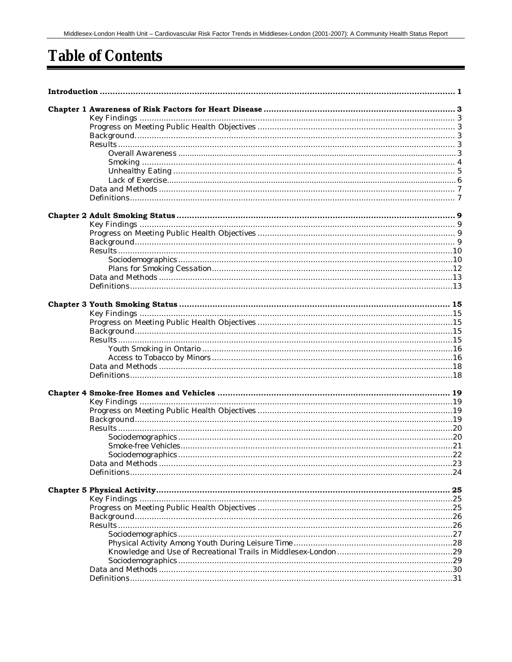# **Table of Contents**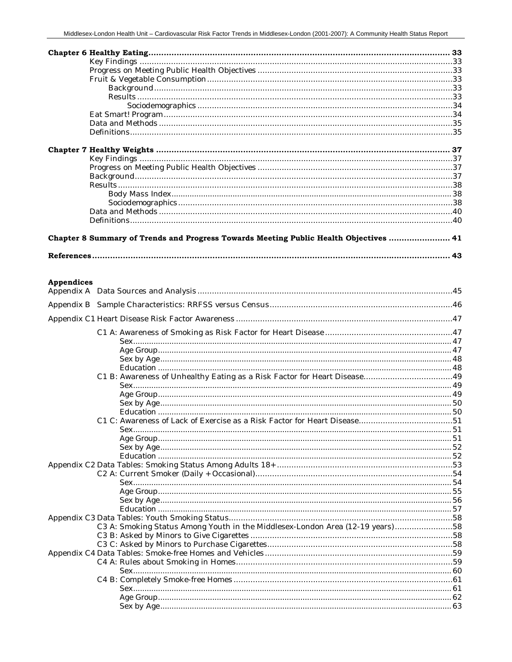| Chapter 8 Summary of Trends and Progress Towards Meeting Public Health Objectives  41 |  |
|---------------------------------------------------------------------------------------|--|
|                                                                                       |  |

## **Appendices**

| C3 A: Smoking Status Among Youth in the Middlesex-London Area (12-19 years)58 |  |  |
|-------------------------------------------------------------------------------|--|--|
|                                                                               |  |  |
|                                                                               |  |  |
|                                                                               |  |  |
|                                                                               |  |  |
|                                                                               |  |  |
|                                                                               |  |  |
|                                                                               |  |  |
|                                                                               |  |  |
|                                                                               |  |  |
|                                                                               |  |  |
|                                                                               |  |  |
|                                                                               |  |  |
|                                                                               |  |  |
|                                                                               |  |  |
|                                                                               |  |  |
|                                                                               |  |  |
|                                                                               |  |  |
|                                                                               |  |  |
|                                                                               |  |  |
|                                                                               |  |  |
|                                                                               |  |  |
|                                                                               |  |  |
|                                                                               |  |  |
|                                                                               |  |  |
|                                                                               |  |  |
|                                                                               |  |  |
|                                                                               |  |  |
|                                                                               |  |  |
|                                                                               |  |  |
|                                                                               |  |  |
|                                                                               |  |  |
|                                                                               |  |  |
|                                                                               |  |  |
|                                                                               |  |  |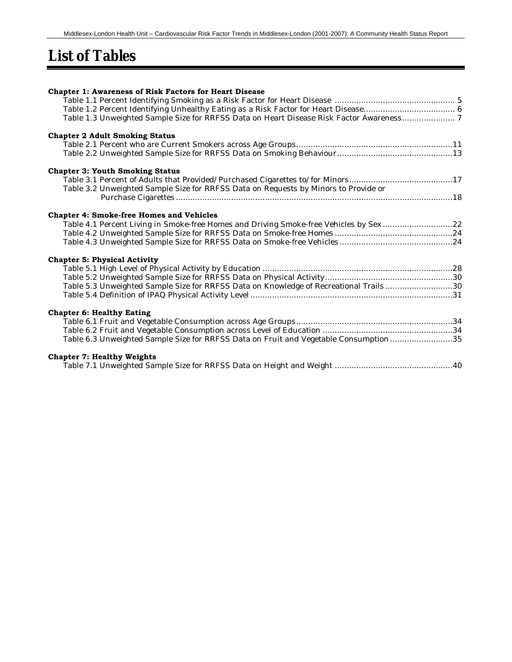# **List of Tables**

| Chapter 1: Awareness of Risk Factors for Heart Disease                                   |  |
|------------------------------------------------------------------------------------------|--|
|                                                                                          |  |
|                                                                                          |  |
| Table 1.3 Unweighted Sample Size for RRFSS Data on Heart Disease Risk Factor Awareness 7 |  |
| <b>Chapter 2 Adult Smoking Status</b>                                                    |  |
|                                                                                          |  |
|                                                                                          |  |
| <b>Chapter 3: Youth Smoking Status</b>                                                   |  |
| Table 3.1 Percent of Adults that Provided/Purchased Cigarettes to/for Minors17           |  |
| Table 3.2 Unweighted Sample Size for RRFSS Data on Requests by Minors to Provide or      |  |
|                                                                                          |  |
|                                                                                          |  |
| <b>Chapter 4: Smoke-free Homes and Vehicles</b>                                          |  |
| Table 4.1 Percent Living in Smoke-free Homes and Driving Smoke-free Vehicles by Sex22    |  |
|                                                                                          |  |
|                                                                                          |  |
| <b>Chapter 5: Physical Activity</b>                                                      |  |
|                                                                                          |  |
|                                                                                          |  |
| Table 5.3 Unweighted Sample Size for RRFSS Data on Knowledge of Recreational Trails30    |  |
|                                                                                          |  |
| <b>Chapter 6: Healthy Eating</b>                                                         |  |
|                                                                                          |  |
|                                                                                          |  |
| Table 6.3 Unweighted Sample Size for RRFSS Data on Fruit and Vegetable Consumption 35    |  |
| <b>Chapter 7: Healthy Weights</b>                                                        |  |
|                                                                                          |  |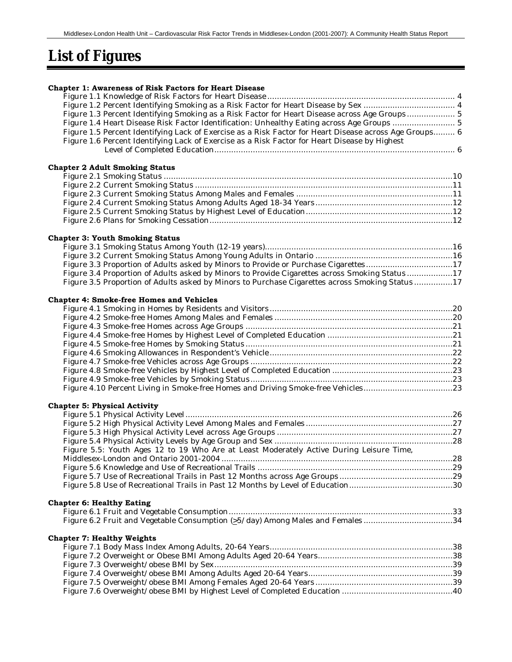# **List of Figures**

| <b>Chapter 1: Awareness of Risk Factors for Heart Disease</b>                                                                                                                                           |  |
|---------------------------------------------------------------------------------------------------------------------------------------------------------------------------------------------------------|--|
|                                                                                                                                                                                                         |  |
|                                                                                                                                                                                                         |  |
| Figure 1.3 Percent Identifying Smoking as a Risk Factor for Heart Disease across Age Groups 5                                                                                                           |  |
| Figure 1.4 Heart Disease Risk Factor Identification: Unhealthy Eating across Age Groups  5                                                                                                              |  |
| Figure 1.5 Percent Identifying Lack of Exercise as a Risk Factor for Heart Disease across Age Groups 6<br>Figure 1.6 Percent Identifying Lack of Exercise as a Risk Factor for Heart Disease by Highest |  |
|                                                                                                                                                                                                         |  |
|                                                                                                                                                                                                         |  |
| <b>Chapter 2 Adult Smoking Status</b>                                                                                                                                                                   |  |
|                                                                                                                                                                                                         |  |
|                                                                                                                                                                                                         |  |
|                                                                                                                                                                                                         |  |
|                                                                                                                                                                                                         |  |
|                                                                                                                                                                                                         |  |
|                                                                                                                                                                                                         |  |
| <b>Chapter 3: Youth Smoking Status</b>                                                                                                                                                                  |  |
|                                                                                                                                                                                                         |  |
|                                                                                                                                                                                                         |  |
| Figure 3.3 Proportion of Adults asked by Minors to Provide or Purchase Cigarettes17                                                                                                                     |  |
| Figure 3.4 Proportion of Adults asked by Minors to Provide Cigarettes across Smoking Status17                                                                                                           |  |
| Figure 3.5 Proportion of Adults asked by Minors to Purchase Cigarettes across Smoking Status17                                                                                                          |  |
| <b>Chapter 4: Smoke-free Homes and Vehicles</b>                                                                                                                                                         |  |
|                                                                                                                                                                                                         |  |
|                                                                                                                                                                                                         |  |
|                                                                                                                                                                                                         |  |
|                                                                                                                                                                                                         |  |
|                                                                                                                                                                                                         |  |
|                                                                                                                                                                                                         |  |
|                                                                                                                                                                                                         |  |
|                                                                                                                                                                                                         |  |
|                                                                                                                                                                                                         |  |
| Figure 4.10 Percent Living in Smoke-free Homes and Driving Smoke-free Vehicles23                                                                                                                        |  |
| <b>Chapter 5: Physical Activity</b>                                                                                                                                                                     |  |
|                                                                                                                                                                                                         |  |
|                                                                                                                                                                                                         |  |
|                                                                                                                                                                                                         |  |
|                                                                                                                                                                                                         |  |
| Figure 5.5: Youth Ages 12 to 19 Who Are at Least Moderately Active During Leisure Time,                                                                                                                 |  |
|                                                                                                                                                                                                         |  |
|                                                                                                                                                                                                         |  |
|                                                                                                                                                                                                         |  |
|                                                                                                                                                                                                         |  |
| <b>Chapter 6: Healthy Eating</b>                                                                                                                                                                        |  |
|                                                                                                                                                                                                         |  |
| Figure 6.2 Fruit and Vegetable Consumption (>5/day) Among Males and Females34                                                                                                                           |  |
|                                                                                                                                                                                                         |  |
| <b>Chapter 7: Healthy Weights</b>                                                                                                                                                                       |  |
|                                                                                                                                                                                                         |  |
|                                                                                                                                                                                                         |  |
|                                                                                                                                                                                                         |  |
|                                                                                                                                                                                                         |  |
|                                                                                                                                                                                                         |  |
|                                                                                                                                                                                                         |  |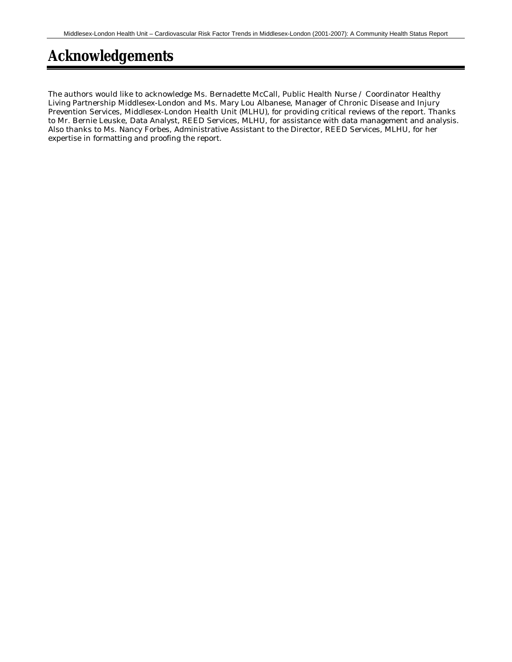# **Acknowledgements**

The authors would like to acknowledge Ms. Bernadette McCall, Public Health Nurse / Coordinator Healthy Living Partnership Middlesex-London and Ms. Mary Lou Albanese, Manager of Chronic Disease and Injury Prevention Services, Middlesex-London Health Unit (MLHU), for providing critical reviews of the report. Thanks to Mr. Bernie Leuske, Data Analyst, REED Services, MLHU, for assistance with data management and analysis. Also thanks to Ms. Nancy Forbes, Administrative Assistant to the Director, REED Services, MLHU, for her expertise in formatting and proofing the report.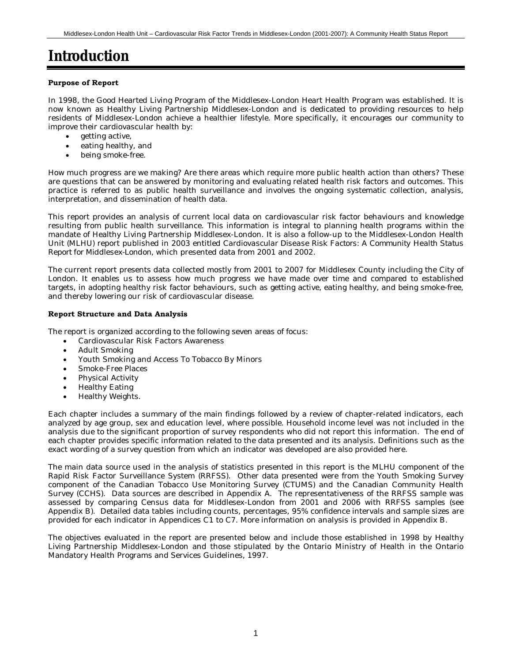# **Introduction**

#### **Purpose of Report**

In 1998, the Good Hearted Living Program of the Middlesex-London Heart Health Program was established. It is now known as Healthy Living Partnership Middlesex-London and is dedicated to providing resources to help residents of Middlesex-London achieve a healthier lifestyle. More specifically, it encourages our community to improve their cardiovascular health by:

- getting active,
- eating healthy, and
- being smoke-free.

How much progress are we making? Are there areas which require more public health action than others? These are questions that can be answered by monitoring and evaluating related health risk factors and outcomes. This practice is referred to as public health surveillance and involves the ongoing systematic collection, analysis, interpretation, and dissemination of health data.

This report provides an analysis of current local data on cardiovascular risk factor behaviours and knowledge resulting from public health surveillance. This information is integral to planning health programs within the mandate of Healthy Living Partnership Middlesex-London. It is also a follow-up to the Middlesex-London Health Unit (MLHU) report published in 2003 entitled *Cardiovascular Disease Risk Factors: A Community Health Status Report for Middlesex-London,* which presented data from 2001 and 2002.

The current report presents data collected mostly from 2001 to 2007 for Middlesex County including the City of London. It enables us to assess how much progress we have made over time and compared to established targets, in adopting healthy risk factor behaviours, such as getting active, eating healthy, and being smoke-free, and thereby lowering our risk of cardiovascular disease.

#### **Report Structure and Data Analysis**

The report is organized according to the following seven areas of focus:

- Cardiovascular Risk Factors Awareness
	- Adult Smoking
- Youth Smoking and Access To Tobacco By Minors
- Smoke-Free Places
- Physical Activity
- Healthy Eating
- Healthy Weights.

Each chapter includes a summary of the main findings followed by a review of chapter-related indicators, each analyzed by age group, sex and education level, where possible. Household income level was not included in the analysis due to the significant proportion of survey respondents who did not report this information. The end of each chapter provides specific information related to the data presented and its analysis. Definitions such as the exact wording of a survey question from which an indicator was developed are also provided here.

The main data source used in the analysis of statistics presented in this report is the MLHU component of the Rapid Risk Factor Surveillance System (RRFSS). Other data presented were from the Youth Smoking Survey component of the Canadian Tobacco Use Monitoring Survey (CTUMS) and the Canadian Community Health Survey (CCHS). Data sources are described in Appendix A. The representativeness of the RRFSS sample was assessed by comparing Census data for Middlesex-London from 2001 and 2006 with RRFSS samples (see Appendix B). Detailed data tables including counts, percentages, 95% confidence intervals and sample sizes are provided for each indicator in Appendices C1 to C7. More information on analysis is provided in Appendix B.

The objectives evaluated in the report are presented below and include those established in 1998 by Healthy Living Partnership Middlesex-London and those stipulated by the Ontario Ministry of Health in the Ontario Mandatory Health Programs and Services Guidelines, 1997.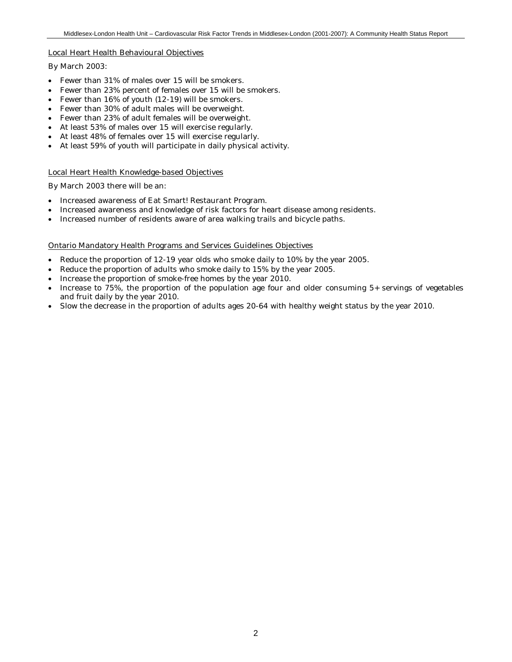#### Local Heart Health Behavioural Objectives

#### By March 2003:

- Fewer than 31% of males over 15 will be smokers.
- Fewer than 23% percent of females over 15 will be smokers.
- Fewer than 16% of youth (12-19) will be smokers.
- Fewer than 30% of adult males will be overweight.
- Fewer than 23% of adult females will be overweight.
- At least 53% of males over 15 will exercise regularly.
- At least 48% of females over 15 will exercise regularly.
- At least 59% of youth will participate in daily physical activity.

#### Local Heart Health Knowledge-based Objectives

By March 2003 there will be an:

- Increased awareness of Eat Smart! Restaurant Program.
- Increased awareness and knowledge of risk factors for heart disease among residents.
- Increased number of residents aware of area walking trails and bicycle paths.

#### Ontario Mandatory Health Programs and Services Guidelines Objectives

- Reduce the proportion of 12-19 year olds who smoke daily to 10% by the year 2005.
- Reduce the proportion of adults who smoke daily to 15% by the year 2005.
- Increase the proportion of smoke-free homes by the year 2010.
- Increase to 75%, the proportion of the population age four and older consuming 5+ servings of vegetables and fruit daily by the year 2010.
- Slow the decrease in the proportion of adults ages 20-64 with healthy weight status by the year 2010.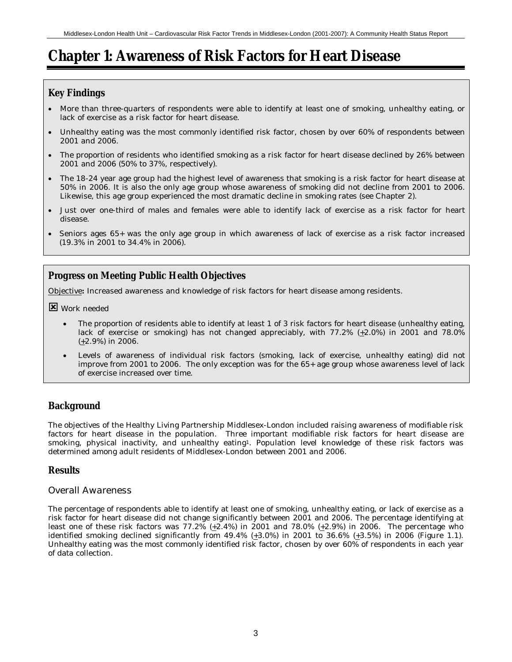# **Chapter 1: Awareness of Risk Factors for Heart Disease**

# **Key Findings**

- More than three-quarters of respondents were able to identify at least one of smoking, unhealthy eating, or lack of exercise as a risk factor for heart disease.
- Unhealthy eating was the most commonly identified risk factor, chosen by over 60% of respondents between 2001 and 2006.
- The proportion of residents who identified smoking as a risk factor for heart disease declined by 26% between 2001 and 2006 (50% to 37%, respectively).
- The 18-24 year age group had the highest level of awareness that smoking is a risk factor for heart disease at 50% in 2006. It is also the only age group whose awareness of smoking did not decline from 2001 to 2006. Likewise, this age group experienced the most dramatic decline in smoking rates (see Chapter 2).
- Just over one-third of males and females were able to identify lack of exercise as a risk factor for heart disease.
- Seniors ages 65+ was the only age group in which awareness of lack of exercise as a risk factor increased (19.3% in 2001 to 34.4% in 2006).

# **Progress on Meeting Public Health Objectives**

Objective**:** Increased awareness and knowledge of risk factors for heart disease among residents.

**E** Work needed

- The proportion of residents able to identify at least 1 of 3 risk factors for heart disease (unhealthy eating, lack of exercise or smoking) has not changed appreciably, with 77.2% (+2.0%) in 2001 and 78.0% (+2.9%) in 2006.
- Levels of awareness of individual risk factors (smoking, lack of exercise, unhealthy eating) did not improve from 2001 to 2006. The only exception was for the 65+ age group whose awareness level of lack of exercise increased over time.

# **Background**

The objectives of the Healthy Living Partnership Middlesex-London included raising awareness of modifiable risk factors for heart disease in the population. Three important modifiable risk factors for heart disease are smoking, physical inactivity, and unhealthy eating<sup>1</sup>. Population level knowledge of these risk factors was determined among adult residents of Middlesex-London between 2001 and 2006.

# **Results**

## *Overall Awareness*

The percentage of respondents able to identify at least one of smoking, unhealthy eating, or lack of exercise as a risk factor for heart disease did not change significantly between 2001 and 2006. The percentage identifying at least one of these risk factors was 77.2% (+2.4%) in 2001 and 78.0% (+2.9%) in 2006. The percentage who identified smoking declined significantly from  $49.4\%$  (+3.0%) in 2001 to  $36.6\%$  (+3.5%) in 2006 (Figure 1.1). Unhealthy eating was the most commonly identified risk factor, chosen by over 60% of respondents in each year of data collection.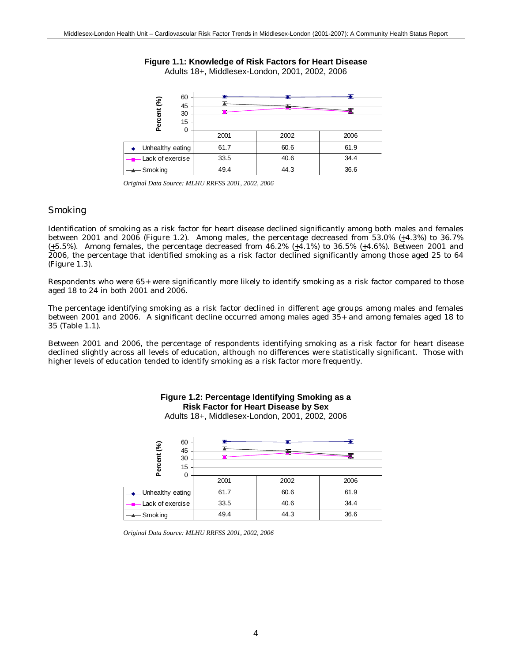#### **Figure 1.1: Knowledge of Risk Factors for Heart Disease** Adults 18+, Middlesex-London, 2001, 2002, 2006



*Original Data Source: MLHU RRFSS 2001, 2002, 2006*

# *Smoking*

Identification of smoking as a risk factor for heart disease declined significantly among both males and females between 2001 and 2006 (Figure 1.2). Among males, the percentage decreased from 53.0% (+4.3%) to 36.7% (+5.5%). Among females, the percentage decreased from 46.2% (+4.1%) to 36.5% (+4.6%). Between 2001 and 2006, the percentage that identified smoking as a risk factor declined significantly among those aged 25 to 64 (Figure 1.3).

Respondents who were 65+ were significantly more likely to identify smoking as a risk factor compared to those aged 18 to 24 in both 2001 and 2006.

The percentage identifying smoking as a risk factor declined in different age groups among males and females between 2001 and 2006. A significant decline occurred among males aged 35+ and among females aged 18 to 35 (Table 1.1).

Between 2001 and 2006, the percentage of respondents identifying smoking as a risk factor for heart disease declined slightly across all levels of education, although no differences were statistically significant. Those with higher levels of education tended to identify smoking as a risk factor more frequently.

| 60<br>3<br>45<br>Percent<br>30<br>15<br>0 |      |      |      |
|-------------------------------------------|------|------|------|
|                                           | 2001 | 2002 | 2006 |
| ← Unhealthy eating                        | 61.7 | 60.6 | 61.9 |
| <b>EXALLE</b> Lack of exercise            | 33.5 | 40.6 | 34.4 |
| $\longrightarrow$ Smoking                 | 49.4 | 44.3 | 36.6 |

#### **Figure 1.2: Percentage Identifying Smoking as a Risk Factor for Heart Disease by Sex** Adults 18+, Middlesex-London, 2001, 2002, 2006

*Original Data Source: MLHU RRFSS 2001, 2002, 2006*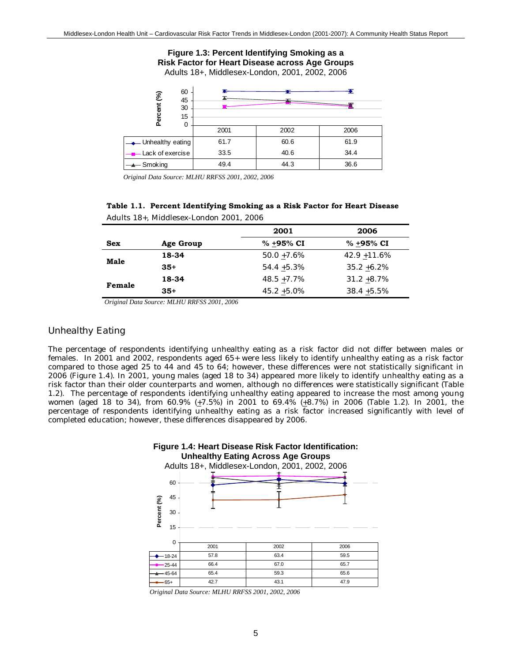#### **Figure 1.3: Percent Identifying Smoking as a Risk Factor for Heart Disease across Age Groups** Adults 18+, Middlesex-London, 2001, 2002, 2006

| 60<br>Percent (%)<br>45<br>30<br>15<br>0 |      |      |      |
|------------------------------------------|------|------|------|
|                                          | 2001 | 2002 | 2006 |
| $\longrightarrow$ Unhealthy eating       | 61.7 | 60.6 | 61.9 |
| <b>EXALLER</b> Act of exercise           | 33.5 | 40.6 | 34.4 |
| $\rightarrow$ Smoking                    | 49.4 | 44.3 | 36.6 |

*Original Data Source: MLHU RRFSS 2001, 2002, 2006*

| Table 1.1. Percent Identifying Smoking as a Risk Factor for Heart Disease |
|---------------------------------------------------------------------------|
| Adults 18+, Middlesex-London 2001, 2006                                   |

|            |           | 2001           | 2006            |
|------------|-----------|----------------|-----------------|
| <b>Sex</b> | Age Group | % +95% CI      | % +95% CI       |
| Male       | 18-34     | $50.0 + 7.6\%$ | $42.9 + 11.6\%$ |
|            | $35+$     | $54.4 + 5.3\%$ | $35.2 + 6.2\%$  |
| Female     | 18-34     | $48.5 + 7.7\%$ | $31.2 + 8.7\%$  |
|            | $35+$     | $45.2 + 5.0\%$ | $38.4 + 5.5\%$  |

*Original Data Source: MLHU RRFSS 2001, 2006*

### *Unhealthy Eating*

The percentage of respondents identifying unhealthy eating as a risk factor did not differ between males or females. In 2001 and 2002, respondents aged 65+ were less likely to identify unhealthy eating as a risk factor compared to those aged 25 to 44 and 45 to 64; however, these differences were not statistically significant in 2006 (Figure 1.4). In 2001, young males (aged 18 to 34) appeared more likely to identify unhealthy eating as a risk factor than their older counterparts and women, although no differences were statistically significant (Table 1.2). The percentage of respondents identifying unhealthy eating appeared to increase the most among young women (aged 18 to 34), from 60.9%  $(\pm 7.5\%)$  in 2001 to 69.4%  $(\pm 8.7\%)$  in 2006 (Table 1.2). In 2001, the percentage of respondents identifying unhealthy eating as a risk factor increased significantly with level of completed education; however, these differences disappeared by 2006.



*Original Data Source: MLHU RRFSS 2001, 2002, 2006*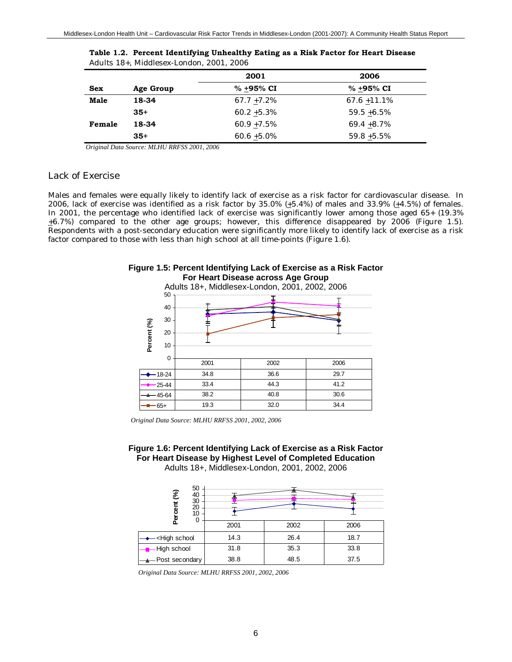|             |           | 2001           | 2006            |
|-------------|-----------|----------------|-----------------|
| Sex         | Age Group | % +95% CI      | % +95% CI       |
| <b>Male</b> | 18-34     | $67.7 + 7.2\%$ | $67.6 + 11.1\%$ |
|             | $35+$     | $60.2 + 5.3\%$ | $59.5 + 6.5\%$  |
| Female      | 18-34     | $60.9 + 7.5\%$ | $69.4 + 8.7\%$  |
|             | $35+$     | $60.6 + 5.0\%$ | $59.8 + 5.5\%$  |

| Table 1.2. Percent Identifying Unhealthy Eating as a Risk Factor for Heart Disease |  |
|------------------------------------------------------------------------------------|--|
| Adults 18+. Middlesex-London. 2001. 2006                                           |  |

*Original Data Source: MLHU RRFSS 2001, 2006*

### *Lack of Exercise*

Males and females were equally likely to identify lack of exercise as a risk factor for cardiovascular disease. In 2006, lack of exercise was identified as a risk factor by 35.0%  $(+5.4%)$  of males and 33.9%  $(+4.5%)$  of females. In 2001, the percentage who identified lack of exercise was significantly lower among those aged 65+ (19.3%  $\pm 6.7\%$ ) compared to the other age groups; however, this difference disappeared by 2006 (Figure 1.5). Respondents with a post-secondary education were significantly more likely to identify lack of exercise as a risk factor compared to those with less than high school at all time-points (Figure 1.6).



|             |          | Adults 18+, Middlesex-London, 2001, 2002, 2006 |      |      |
|-------------|----------|------------------------------------------------|------|------|
|             | 50       |                                                |      |      |
|             | 40       |                                                |      |      |
|             | 30       |                                                |      |      |
|             | 20       |                                                |      |      |
| Percent (%) | 10       |                                                |      |      |
|             | $\Omega$ |                                                |      |      |
|             |          | 2001                                           | 2002 | 2006 |
|             | 18-24    | 34.8                                           | 36.6 | 29.7 |
|             | 25-44    | 33.4                                           | 44.3 | 41.2 |
|             | 45-64    | 38.2                                           | 40.8 | 30.6 |
|             | 65+      | 19.3                                           | 32.0 | 34.4 |

*Original Data Source: MLHU RRFSS 2001, 2002, 2006*

**Figure 1.6: Percent Identifying Lack of Exercise as a Risk Factor For Heart Disease by Highest Level of Completed Education**

Adults 18+, Middlesex-London, 2001, 2002, 2006

| 50<br>ent (%)<br>40<br>30<br>20<br>10<br>0                              |      |      |      |  |
|-------------------------------------------------------------------------|------|------|------|--|
|                                                                         | 2001 | 2002 | 2006 |  |
| - <high school<="" td=""><td>14.3</td><td>26.4</td><td>18.7</td></high> | 14.3 | 26.4 | 18.7 |  |
| -High school                                                            | 31.8 | 35.3 | 33.8 |  |
| -Post secondary                                                         | 38.8 | 48.5 | 37.5 |  |

*Original Data Source: MLHU RRFSS 2001, 2002, 2006*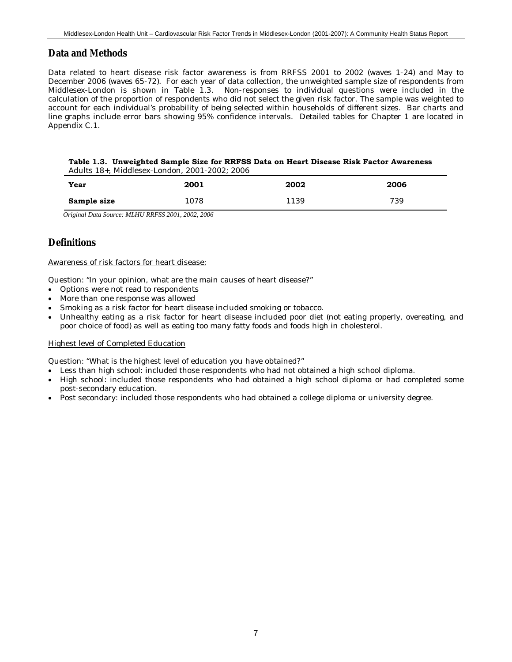## **Data and Methods**

Data related to heart disease risk factor awareness is from RRFSS 2001 to 2002 (waves 1-24) and May to December 2006 (waves 65-72). For each year of data collection, the unweighted sample size of respondents from Middlesex-London is shown in Table 1.3. Non-responses to individual questions were included in the calculation of the proportion of respondents who did not select the given risk factor. The sample was weighted to account for each individual's probability of being selected within households of different sizes. Bar charts and line graphs include error bars showing 95% confidence intervals. Detailed tables for Chapter 1 are located in Appendix C.1.

#### **Table 1.3. Unweighted Sample Size for RRFSS Data on Heart Disease Risk Factor Awareness** Adults 18+, Middlesex-London, 2001-2002; 2006

| Year        | 2001 | 2002 | 2006 |
|-------------|------|------|------|
| Sample size | 1078 | 139  | 739  |
|             | .    |      |      |

*Original Data Source: MLHU RRFSS 2001, 2002, 2006*

## **Definitions**

#### Awareness of risk factors for heart disease:

Question: "In your opinion, what are the main causes of heart disease?"

- Options were not read to respondents
- More than one response was allowed
- Smoking as a risk factor for heart disease included smoking or tobacco.
- Unhealthy eating as a risk factor for heart disease included poor diet (not eating properly, overeating, and poor choice of food) as well as eating too many fatty foods and foods high in cholesterol.

#### Highest level of Completed Education

Question: "What is the highest level of education you have obtained?"

- Less than high school: included those respondents who had not obtained a high school diploma.
- High school: included those respondents who had obtained a high school diploma or had completed some post-secondary education.
- Post secondary: included those respondents who had obtained a college diploma or university degree.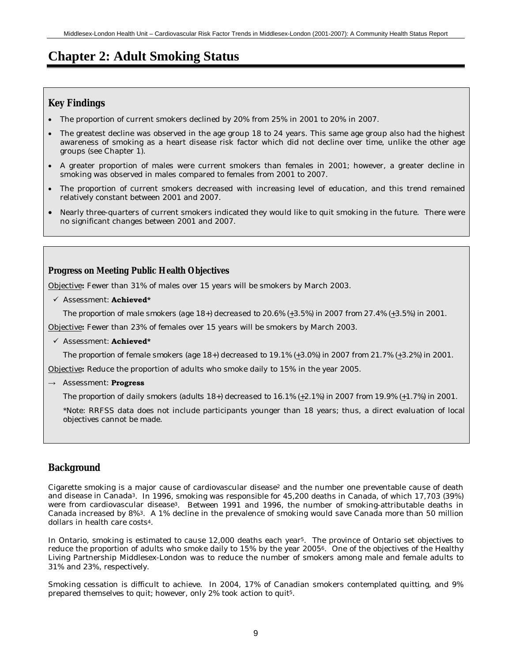# **Chapter 2: Adult Smoking Status**

# **Key Findings**

- The proportion of current smokers declined by 20% from 25% in 2001 to 20% in 2007.
- The greatest decline was observed in the age group 18 to 24 years. This same age group also had the highest awareness of smoking as a heart disease risk factor which did not decline over time, unlike the other age groups (see Chapter 1).
- A greater proportion of males were current smokers than females in 2001; however, a greater decline in smoking was observed in males compared to females from 2001 to 2007.
- The proportion of current smokers decreased with increasing level of education, and this trend remained relatively constant between 2001 and 2007.
- Nearly three-quarters of current smokers indicated they would like to quit smoking in the future. There were no significant changes between 2001 and 2007.

## **Progress on Meeting Public Health Objectives**

Objective**:** Fewer than 31% of males over 15 years will be smokers by March 2003.

9 Assessment: **Achieved\***

*The proportion of male smokers (age 18+) decreased to 20.6% (+3.5%) in 2007 from 27.4% (+3.5%) in 2001.*

Objective**:** Fewer than 23% of females over 15 years will be smokers by March 2003.

9 Assessment: **Achieved\***

*The proportion of female smokers (age 18+) decreased to 19.1% (+3.0%) in 2007 from 21.7% (+3.2%) in 2001.*

Objective**:** Reduce the proportion of adults who smoke *daily* to 15% in the year 2005.

**→** Assessment: **Progress**

*The proportion of daily smokers (adults 18+) decreased to 16.1% (+2.1%) in 2007 from 19.9% (+1.7%) in 2001.*

\*Note: RRFSS data does not include participants younger than 18 years; thus, a direct evaluation of local objectives cannot be made.

# **Background**

Cigarette smoking is a major cause of cardiovascular disease<sup>2</sup> and the number one preventable cause of death and disease in Canada3. In 1996, smoking was responsible for 45,200 deaths in Canada, of which 17,703 (39%) were from cardiovascular disease3. Between 1991 and 1996, the number of smoking-attributable deaths in Canada increased by 8%3. A 1% decline in the prevalence of smoking would save Canada more than 50 million dollars in health care costs4.

In Ontario, smoking is estimated to cause 12,000 deaths each year5. The province of Ontario set objectives to reduce the proportion of adults who smoke daily to 15% by the year 20056. One of the objectives of the Healthy Living Partnership Middlesex-London was to reduce the number of smokers among male and female adults to 31% and 23%, respectively.

Smoking cessation is difficult to achieve. In 2004, 17% of Canadian smokers contemplated quitting, and 9% prepared themselves to quit; however, only 2% took action to quit5.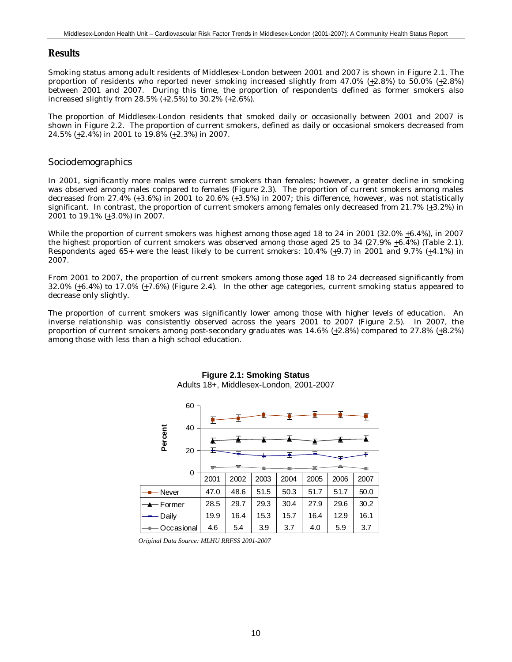## **Results**

Smoking status among adult residents of Middlesex-London between 2001 and 2007 is shown in Figure 2.1. The proportion of residents who reported never smoking increased slightly from 47.0% (+2.8%) to 50.0% (+2.8%) between 2001 and 2007. During this time, the proportion of respondents defined as former smokers also increased slightly from 28.5% (+2.5%) to 30.2% (+2.6%).

The proportion of Middlesex-London residents that smoked daily or occasionally between 2001 and 2007 is shown in Figure 2.2. The proportion of current smokers, defined as daily or occasional smokers decreased from 24.5% (+2.4%) in 2001 to 19.8% (+2.3%) in 2007.

## *Sociodemographics*

In 2001, significantly more males were current smokers than females; however, a greater decline in smoking was observed among males compared to females (Figure 2.3). The proportion of current smokers among males decreased from 27.4% (+3.6%) in 2001 to 20.6% (+3.5%) in 2007; this difference, however, was not statistically significant. In contrast, the proportion of current smokers among females only decreased from 21.7% (+3.2%) in 2001 to 19.1%  $(+3.0\%)$  in 2007.

While the proportion of current smokers was highest among those aged 18 to 24 in 2001 (32.0% +6.4%), in 2007 the highest proportion of current smokers was observed among those aged 25 to 34 (27.9% +6.4%) (Table 2.1). Respondents aged 65+ were the least likely to be current smokers: 10.4% (+9.7) in 2001 and 9.7% (+4.1%) in 2007.

From 2001 to 2007, the proportion of current smokers among those aged 18 to 24 decreased significantly from 32.0% (+6.4%) to 17.0% (+7.6%) (Figure 2.4). In the other age categories, current smoking status appeared to decrease only slightly.

The proportion of current smokers was significantly lower among those with higher levels of education. An inverse relationship was consistently observed across the years 2001 to 2007 (Figure 2.5). In 2007, the proportion of current smokers among post-secondary graduates was  $14.6\%$  ( $\pm 2.8\%$ ) compared to 27.8% ( $\pm 8.2\%$ ) among those with less than a high school education.



## **Figure 2.1: Smoking Status** Adults 18+, Middlesex-London, 2001-2007

*Original Data Source: MLHU RRFSS 2001-2007*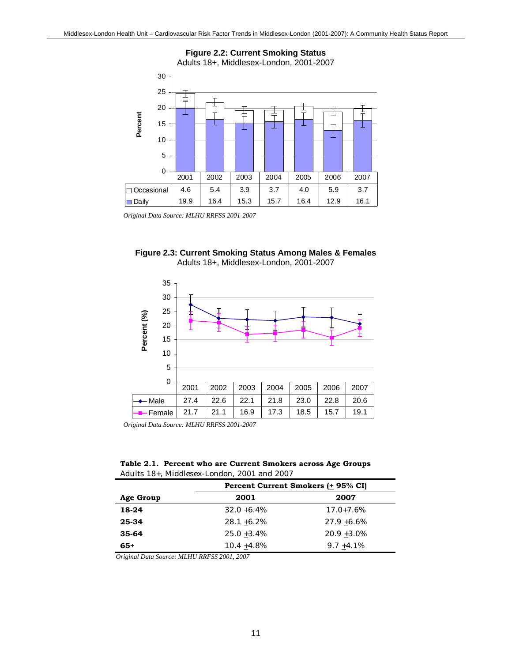

*Original Data Source: MLHU RRFSS 2001-2007*





*Original Data Source: MLHU RRFSS 2001-2007*

**Table 2.1. Percent who are Current Smokers across Age Groups** Adults 18+, Middlesex-London, 2001 and 2007

|           | Percent Current Smokers (+ 95% CI) |                |  |  |
|-----------|------------------------------------|----------------|--|--|
| Age Group | 2001                               | 2007           |  |  |
| 18-24     | $32.0 + 6.4\%$                     | $17.0 + 7.6\%$ |  |  |
| 25-34     | $28.1 + 6.2\%$                     | $27.9 + 6.6\%$ |  |  |
| $35-64$   | $25.0 + 3.4\%$                     | $20.9 + 3.0\%$ |  |  |
| $65+$     | $10.4 + 4.8\%$                     | $9.7 + 4.1\%$  |  |  |

*Original Data Source: MLHU RRFSS 2001, 2007*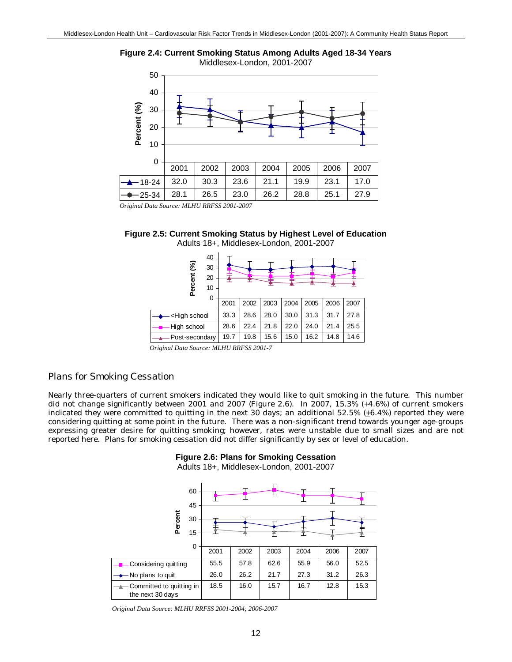

**Figure 2.4: Current Smoking Status Among Adults Aged 18-34 Years**

*Original Data Source: MLHU RRFSS 2001-2007*



| 40<br>શ્રી<br>30<br>Percent<br>20<br>10<br>0                                                                              |      |      |      |      | ᆂ    |      |      |
|---------------------------------------------------------------------------------------------------------------------------|------|------|------|------|------|------|------|
|                                                                                                                           | 2001 | 2002 | 2003 | 2004 | 2005 | 2006 | 2007 |
| <high school<="" td=""><td>33.3</td><td>28.6</td><td>28.0</td><td>30.0</td><td>31.3</td><td>31.7</td><td>27.8</td></high> | 33.3 | 28.6 | 28.0 | 30.0 | 31.3 | 31.7 | 27.8 |
| High school                                                                                                               | 28.6 | 22.4 | 21.8 | 22.0 | 24.0 | 21.4 | 25.5 |
| Post-secondary                                                                                                            | 19.7 | 19.8 | 15.6 | 15.0 | 16.2 | 14.8 | 14.6 |

*Original Data Source: MLHU RRFSS 2001-7*

## *Plans for Smoking Cessation*

Nearly three-quarters of current smokers indicated they would like to quit smoking in the future. This number did not change significantly between 2001 and 2007 (Figure 2.6). In 2007, 15.3%  $(+4.6%)$  of current smokers indicated they were committed to quitting in the next 30 days; an additional 52.5%  $(+6.4%)$  reported they were considering quitting at some point in the future. There was a non-significant trend towards younger age-groups expressing greater desire for quitting smoking; however, rates were unstable due to small sizes and are not reported here. Plans for smoking cessation did not differ significantly by sex or level of education.

## **Figure 2.6: Plans for Smoking Cessation**

Adults 18+, Middlesex-London, 2001-2007

|                                              | 60<br>45    |      |      |      |      |      |      |
|----------------------------------------------|-------------|------|------|------|------|------|------|
| Percent                                      | 30<br>15    |      |      |      |      |      |      |
|                                              | $\mathbf 0$ | 2001 | 2002 | 2003 | 2004 | 2006 | 2007 |
| Considering quitting                         |             | 55.5 | 57.8 | 62.6 | 55.9 | 56.0 | 52.5 |
| No plans to quit                             |             | 26.0 | 26.2 | 21.7 | 27.3 | 31.2 | 26.3 |
| Committed to quitting in<br>the next 30 days |             | 18.5 | 16.0 | 15.7 | 16.7 | 12.8 | 15.3 |

*Original Data Source: MLHU RRFSS 2001-2004; 2006-2007*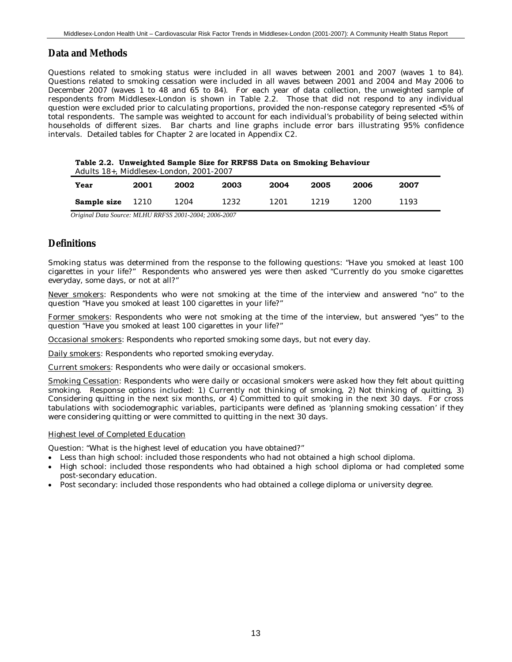## **Data and Methods**

Questions related to smoking status were included in all waves between 2001 and 2007 (waves 1 to 84). Questions related to smoking cessation were included in all waves between 2001 and 2004 and May 2006 to December 2007 (waves 1 to 48 and 65 to 84). For each year of data collection, the unweighted sample of respondents from Middlesex-London is shown in Table 2.2. Those that did not respond to any individual question were excluded prior to calculating proportions, provided the non-response category represented <5% of total respondents. The sample was weighted to account for each individual's probability of being selected within households of different sizes. Bar charts and line graphs include error bars illustrating 95% confidence intervals. Detailed tables for Chapter 2 are located in Appendix C2.

| Table 2.2. Unweighted Sample Size for RRFSS Data on Smoking Behaviour |
|-----------------------------------------------------------------------|
| $\Delta$ dulte $18+$ Middlesey-London $2001-2007$                     |

| $A$ guits $I\sigma^+$ , middlesex-London, $ZUUI$ - $ZUUI$ |      |      |      |      |      |      |      |  |
|-----------------------------------------------------------|------|------|------|------|------|------|------|--|
| Year                                                      | 2001 | 2002 | 2003 | 2004 | 2005 | 2006 | 2007 |  |
| Sample size                                               | 1210 | 1204 | 1232 | 1201 | 1219 | 1200 | 1193 |  |
|                                                           |      |      |      |      |      |      |      |  |

*Original Data Source: MLHU RRFSS 2001-2004; 2006-2007*

## **Definitions**

Smoking status was determined from the response to the following questions: "Have you smoked at least 100 cigarettes in your life?" Respondents who answered yes were then asked "Currently do you smoke cigarettes everyday, some days, or not at all?"

Never smokers: Respondents who were not smoking at the time of the interview and answered "no" to the question "Have you smoked at least 100 cigarettes in your life?"

Former smokers: Respondents who were not smoking at the time of the interview, but answered "yes" to the question "Have you smoked at least 100 cigarettes in your life?"

Occasional smokers: Respondents who reported smoking some days, but not every day.

Daily smokers: Respondents who reported smoking everyday.

Current smokers: Respondents who were daily or occasional smokers.

Smoking Cessation: Respondents who were daily or occasional smokers were asked how they felt about quitting smoking. Response options included: 1) Currently not thinking of smoking, 2) Not thinking of quitting, 3) Considering quitting in the next six months, or 4) Committed to quit smoking in the next 30 days. For cross tabulations with sociodemographic variables, participants were defined as 'planning smoking cessation' if they were considering quitting or were committed to quitting in the next 30 days.

#### Highest level of Completed Education

Question: "What is the highest level of education you have obtained?"

- Less than high school: included those respondents who had not obtained a high school diploma.
- High school: included those respondents who had obtained a high school diploma or had completed some post-secondary education.
- Post secondary: included those respondents who had obtained a college diploma or university degree.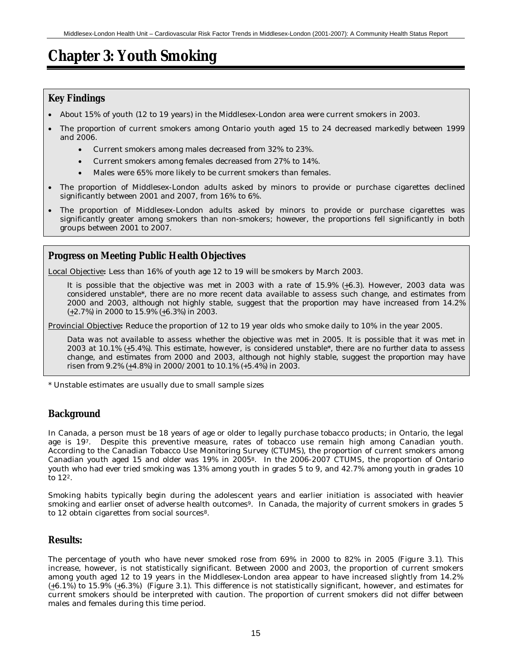# **Chapter 3: Youth Smoking**

## **Key Findings**

- About 15% of youth (12 to 19 years) in the Middlesex-London area were current smokers in 2003.
- The proportion of current smokers among Ontario youth aged 15 to 24 decreased markedly between 1999 and 2006.
	- Current smokers among males decreased from 32% to 23%.
	- Current smokers among females decreased from 27% to 14%.
	- Males were 65% more likely to be current smokers than females.
- The proportion of Middlesex-London adults asked by minors to provide or purchase cigarettes declined significantly between 2001 and 2007, from 16% to 6%.
- The proportion of Middlesex-London adults asked by minors to provide or purchase cigarettes was significantly greater among smokers than non-smokers; however, the proportions fell significantly in both groups between 2001 to 2007.

## **Progress on Meeting Public Health Objectives**

Local Objective**:** Less than 16% of youth age 12 to 19 will be smokers by March 2003.

*It is possible that the objective was met in 2003 with a rate of 15.9% (+6.3). However, 2003 data was considered unstable\*, there are no more recent data available to assess such change, and estimates from 2000 and 2003, although not highly stable, suggest that the proportion may have increased from 14.2% (+2.7%) in 2000 to 15.9% (+6.3%) in 2003.*

Provincial Objective**:** Reduce the proportion of 12 to 19 year olds who smoke *daily* to 10% in the year 2005.

*Data was not available to assess whether the objective was met in 2005. It is possible that it was met in 2003 at 10.1% (+5.4%). This estimate, however, is considered unstable\*, there are no further data to assess change, and estimates from 2000 and 2003, although not highly stable, suggest the proportion may have risen from 9.2% (+4.8%) in 2000/2001 to 10.1% (+5.4%)* in 2003.

\* Unstable estimates are usually due to small sample sizes

# **Background**

In Canada, a person must be 18 years of age or older to legally purchase tobacco products; in Ontario, the legal age is 197. Despite this preventive measure, rates of tobacco use remain high among Canadian youth. According to the Canadian Tobacco Use Monitoring Survey (CTUMS), the proportion of current smokers among Canadian youth aged 15 and older was 19% in 20058. In the 2006-2007 CTUMS, the proportion of Ontario youth who had ever tried smoking was 13% among youth in grades 5 to 9, and 42.7% among youth in grades 10 to 122.

Smoking habits typically begin during the adolescent years and earlier initiation is associated with heavier smoking and earlier onset of adverse health outcomes<sup>9</sup>. In Canada, the majority of current smokers in grades 5 to 12 obtain cigarettes from social sources<sup>8</sup>.

## **Results:**

The percentage of youth who have never smoked rose from 69% in 2000 to 82% in 2005 (Figure 3.1). This increase, however, is not statistically significant. Between 2000 and 2003, the proportion of current smokers among youth aged 12 to 19 years in the Middlesex-London area appear to have increased slightly from 14.2% (+6.1%) to 15.9% (+6.3%) (Figure 3.1). This difference is not statistically significant, however, and estimates for current smokers should be interpreted with caution. The proportion of current smokers did not differ between males and females during this time period.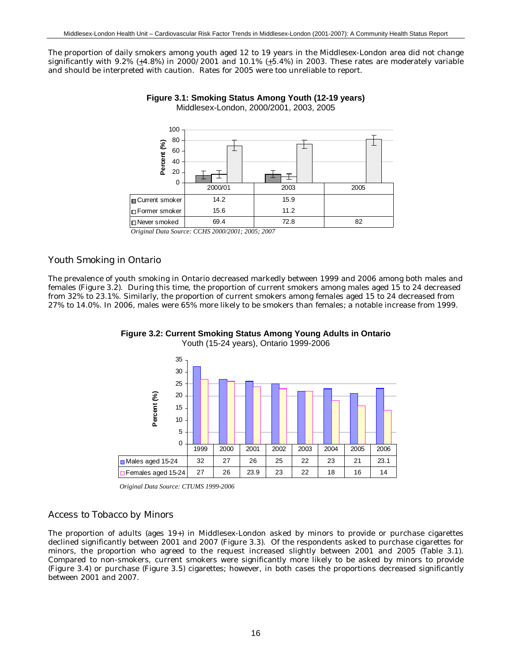The proportion of daily smokers among youth aged 12 to 19 years in the Middlesex-London area did not change significantly with 9.2% (+4.8%) in 2000/2001 and 10.1% (+5.4%) in 2003. These rates are moderately variable and should be interpreted with caution. Rates for 2005 were too unreliable to report.





### *Youth Smoking in Ontario*

The prevalence of youth smoking in Ontario decreased markedly between 1999 and 2006 among both males and females (Figure 3.2). During this time, the proportion of current smokers among males aged 15 to 24 decreased from 32% to 23.1%. Similarly, the proportion of current smokers among females aged 15 to 24 decreased from 27% to 14.0%. In 2006, males were 65% more likely to be smokers than females; a notable increase from 1999.





*Original Data Source: CTUMS 1999-2006*

### *Access to Tobacco by Minors*

The proportion of adults (ages 19+) in Middlesex-London asked by minors to provide or purchase cigarettes declined significantly between 2001 and 2007 (Figure 3.3). Of the respondents asked to purchase cigarettes for minors, the proportion who agreed to the request increased slightly between 2001 and 2005 (Table 3.1). Compared to non-smokers, current smokers were significantly more likely to be asked by minors to provide (Figure 3.4) or purchase (Figure 3.5) cigarettes; however, in both cases the proportions decreased significantly between 2001 and 2007.

*Original Data Source: CCHS 2000/2001; 2005; 2007*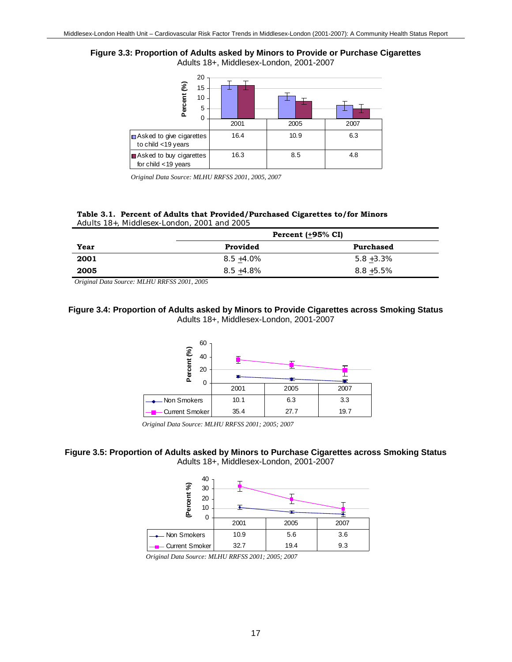



*Original Data Source: MLHU RRFSS 2001, 2005, 2007*

#### **Table 3.1. Percent of Adults that Provided/Purchased Cigarettes to/for Minors** Adults 18+, Middlesex-London, 2001 and 2005

|      | Percent $(+95\% \text{ CI})$ |               |  |  |  |
|------|------------------------------|---------------|--|--|--|
| Year | Provided                     | Purchased     |  |  |  |
| 2001 | $8.5 + 4.0\%$                | $5.8 + 3.3\%$ |  |  |  |
| 2005 | $8.5 + 4.8\%$                | $8.8 + 5.5\%$ |  |  |  |

*Original Data Source: MLHU RRFSS 2001, 2005*

### **Figure 3.4: Proportion of Adults asked by Minors to Provide Cigarettes across Smoking Status** Adults 18+, Middlesex-London, 2001-2007



*Original Data Source: MLHU RRFSS 2001; 2005; 2007*

### **Figure 3.5: Proportion of Adults asked by Minors to Purchase Cigarettes across Smoking Status** Adults 18+, Middlesex-London, 2001-2007



*Original Data Source: MLHU RRFSS 2001; 2005; 2007*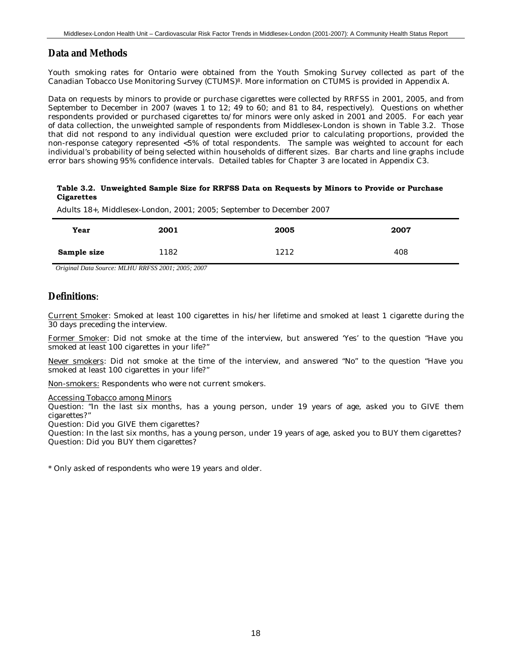## **Data and Methods**

Youth smoking rates for Ontario were obtained from the Youth Smoking Survey collected as part of the Canadian Tobacco Use Monitoring Survey (CTUMS)8. More information on CTUMS is provided in Appendix A.

Data on requests by minors to provide or purchase cigarettes were collected by RRFSS in 2001, 2005, and from September to December in 2007 (waves 1 to 12; 49 to 60; and 81 to 84, respectively). Questions on whether respondents provided or purchased cigarettes to/for minors were only asked in 2001 and 2005. For each year of data collection, the unweighted sample of respondents from Middlesex-London is shown in Table 3.2. Those that did not respond to any individual question were excluded prior to calculating proportions, provided the non-response category represented <5% of total respondents. The sample was weighted to account for each individual's probability of being selected within households of different sizes. Bar charts and line graphs include error bars showing 95% confidence intervals. Detailed tables for Chapter 3 are located in Appendix C3.

#### **Table 3.2. Unweighted Sample Size for RRFSS Data on Requests by Minors to Provide or Purchase Cigarettes**

Adults 18+, Middlesex-London, 2001; 2005; September to December 2007

| Year        | 2001 | 2005 | 2007 |
|-------------|------|------|------|
| Sample size | 1182 | 1212 | 408  |

*Original Data Source: MLHU RRFSS 2001; 2005; 2007*

# **Definitions**:

Current Smoker: Smoked at least 100 cigarettes in his/her lifetime and smoked at least 1 cigarette during the 30 days preceding the interview.

Former Smoker: Did not smoke at the time of the interview, but answered 'Yes' to the question "Have you smoked at least 100 cigarettes in your life?"

Never smokers: Did not smoke at the time of the interview, and answered "No" to the question "Have you smoked at least 100 cigarettes in your life?"

Non-smokers: Respondents who were not current smokers.

Accessing Tobacco among Minors

Question: "In the last six months, has a young person, under 19 years of age, asked you to GIVE them cigarettes?"

Question: Did you GIVE them cigarettes?

Question: In the last six months, has a young person, under 19 years of age, asked you to BUY them cigarettes? Question: Did you BUY them cigarettes?

\* Only asked of respondents who were 19 years and older.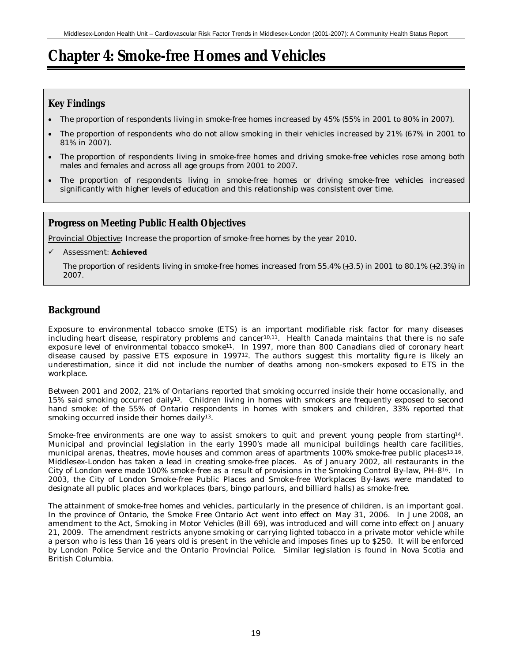# **Chapter 4: Smoke-free Homes and Vehicles**

# **Key Findings**

- The proportion of respondents living in smoke-free homes increased by 45% (55% in 2001 to 80% in 2007).
- The proportion of respondents who do not allow smoking in their vehicles increased by 21% (67% in 2001 to 81% in 2007).
- The proportion of respondents living in smoke-free homes *and* driving smoke-free vehicles rose among both males and females and across all age groups from 2001 to 2007.
- The proportion of respondents living in smoke-free homes or driving smoke-free vehicles increased significantly with higher levels of education and this relationship was consistent over time.

# **Progress on Meeting Public Health Objectives**

Provincial Objective**:** Increase the proportion of smoke-free homes by the year 2010.

9 Assessment: **Achieved**

*The proportion of residents living in smoke-free homes increased from 55.4% (+3.5) in 2001 to 80.1% (+2.3%) in 2007.*

# **Background**

Exposure to environmental tobacco smoke (ETS) is an important modifiable risk factor for many diseases including heart disease, respiratory problems and cancer<sup>10,11</sup>. Health Canada maintains that there is no safe exposure level of environmental tobacco smoke11. In 1997, more than 800 Canadians died of coronary heart disease caused by passive ETS exposure in 1997<sup>12</sup>. The authors suggest this mortality figure is likely an underestimation, since it did not include the number of deaths among non-smokers exposed to ETS in the workplace.

Between 2001 and 2002, 21% of Ontarians reported that smoking occurred inside their home occasionally, and 15% said smoking occurred daily13. Children living in homes with smokers are frequently exposed to second hand smoke: of the 55% of Ontario respondents in homes with smokers and children, 33% reported that smoking occurred inside their homes daily<sup>13</sup>.

Smoke-free environments are one way to assist smokers to quit and prevent young people from starting14. Municipal and provincial legislation in the early 1990's made all municipal buildings health care facilities, municipal arenas, theatres, movie houses and common areas of apartments 100% smoke-free public places15,16. Middlesex-London has taken a lead in creating smoke-free places. As of January 2002, all restaurants in the City of London were made 100% smoke-free as a result of provisions in the Smoking Control By-law, PH-816. In 2003, the City of London Smoke-free Public Places and Smoke-free Workplaces By-laws were mandated to designate all public places and workplaces (bars, bingo parlours, and billiard halls) as smoke-free.

The attainment of smoke-free homes and vehicles, particularly in the presence of children, is an important goal. In the province of Ontario, the Smoke Free Ontario Act went into effect on May 31, 2006. In June 2008, an amendment to the Act, Smoking in Motor Vehicles (Bill 69), was introduced and will come into effect on January 21, 2009. The amendment restricts anyone smoking or carrying lighted tobacco in a private motor vehicle while a person who is less than 16 years old is present in the vehicle and imposes fines up to \$250. It will be enforced by London Police Service and the Ontario Provincial Police. Similar legislation is found in Nova Scotia and British Columbia.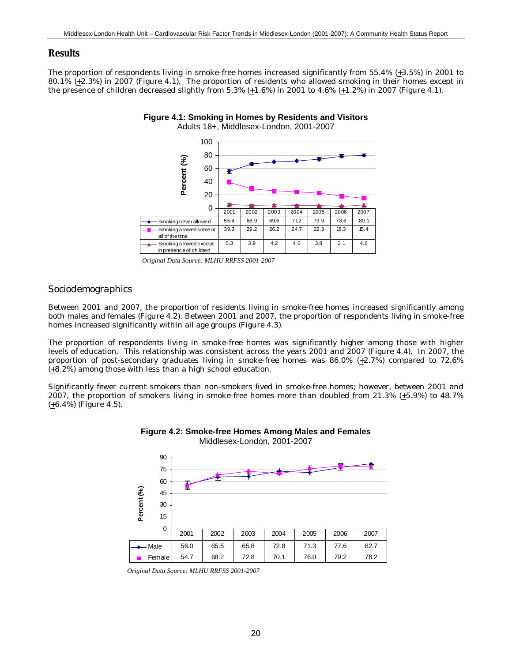### **Results**

The proportion of respondents living in smoke-free homes increased significantly from 55.4% (+3.5%) in 2001 to 80.1% (+2.3%) in 2007 (Figure 4.1). The proportion of residents who allowed smoking in their homes except in the presence of children decreased slightly from 5.3%  $(+1.6%)$  in 2001 to 4.6%  $(+1.2%)$  in 2007 (Figure 4.1).





*Original Data Source: MLHU RRFSS 2001-2007*

### *Sociodemographics*

Between 2001 and 2007, the proportion of residents living in smoke-free homes increased significantly among both males and females (Figure 4.2). Between 2001 and 2007, the proportion of respondents living in smoke-free homes increased significantly within all age groups (Figure 4.3).

The proportion of respondents living in smoke-free homes was significantly higher among those with higher levels of education. This relationship was consistent across the years 2001 and 2007 (Figure 4.4). In 2007, the proportion of post-secondary graduates living in smoke-free homes was  $86.0\%$  ( $\pm$ 2.7%) compared to 72.6% (+8.2%) among those with less than a high school education.

Significantly fewer current smokers than non-smokers lived in smoke-free homes; however, between 2001 and 2007, the proportion of smokers living in smoke-free homes more than doubled from  $21.3\%$  ( $\pm 5.9\%$ ) to 48.7%  $(+6.4\%)$  (Figure 4.5).





*Original Data Source: MLHU RRFSS 2001-2007*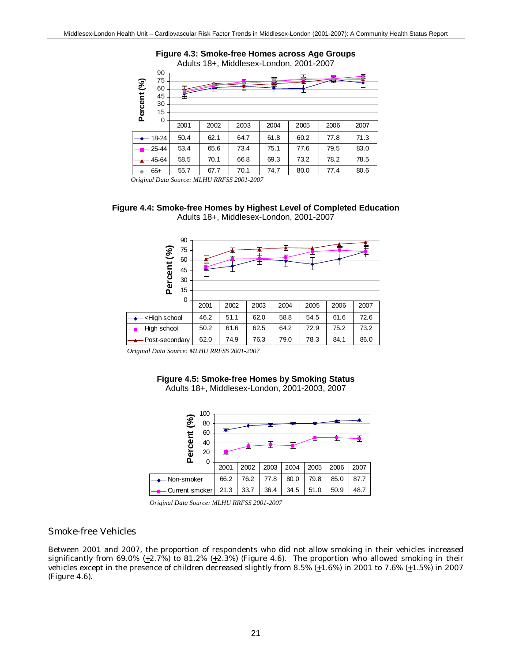

*Original Data Source: MLHU RRFSS 2001-2007*





*Original Data Source: MLHU RRFSS 2001-2007*

#### **Figure 4.5: Smoke-free Homes by Smoking Status** Adults 18+, Middlesex-London, 2001-2003, 2007



*Original Data Source: MLHU RRFSS 2001-2007*

## *Smoke-free Vehicles*

Between 2001 and 2007, the proportion of respondents who did not allow smoking in their vehicles increased significantly from 69.0% ( $\pm$ 2.7%) to 81.2% ( $\pm$ 2.3%) (Figure 4.6). The proportion who allowed smoking in their vehicles except in the presence of children decreased slightly from 8.5%  $(+1.6)$  in 2001 to 7.6%  $(+1.5)$  in 2007 (Figure 4.6).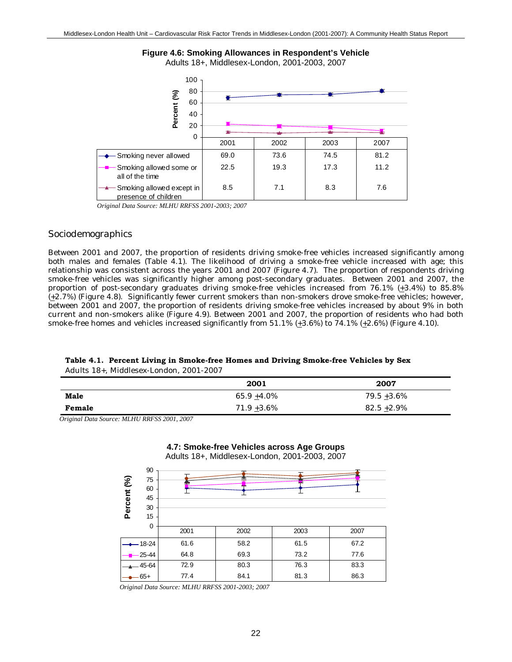

**Figure 4.6: Smoking Allowances in Respondent's Vehicle** Adults 18+, Middlesex-London, 2001-2003, 2007

*Original Data Source: MLHU RRFSS 2001-2003; 2007*

### *Sociodemographics*

Between 2001 and 2007, the proportion of residents driving smoke-free vehicles increased significantly among both males and females (Table 4.1). The likelihood of driving a smoke-free vehicle increased with age; this relationship was consistent across the years 2001 and 2007 (Figure 4.7). The proportion of respondents driving smoke-free vehicles was significantly higher among post-secondary graduates. Between 2001 and 2007, the proportion of post-secondary graduates driving smoke-free vehicles increased from 76.1%  $(\pm 3.4\%)$  to 85.8% (+2.7%) (Figure 4.8). Significantly fewer current smokers than non-smokers drove smoke-free vehicles; however, between 2001 and 2007, the proportion of residents driving smoke-free vehicles increased by about 9% in both current and non-smokers alike (Figure 4.9). Between 2001 and 2007, the proportion of residents who had both smoke-free homes *and* vehicles increased significantly from 51.1% (+3.6%) to 74.1% (+2.6%) (Figure 4.10).

#### **Table 4.1. Percent Living in Smoke-free Homes and Driving Smoke-free Vehicles by Sex** Adults 18+, Middlesex-London, 2001-2007

|        | 2001           | 2007           |
|--------|----------------|----------------|
| Male   | $65.9 + 4.0\%$ | $79.5 + 3.6\%$ |
| Female | $71.9 + 3.6\%$ | $82.5 + 2.9\%$ |

**4.7: Smoke-free Vehicles across Age Groups**

*Original Data Source: MLHU RRFSS 2001, 2007*



*Original Data Source: MLHU RRFSS 2001-2003; 2007*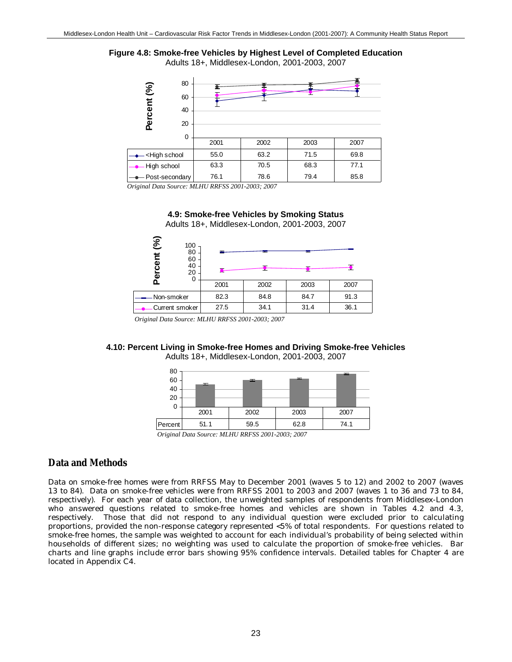



*Original Data Source: MLHU RRFSS 2001-2003; 2007*



Non-smoker 82.3 84.8 84.7 91.3 Current smoker 27.5 34.1 31.4 36.1

2001 2002 2003 2007

## **4.9: Smoke-free Vehicles by Smoking Status**

*Original Data Source: MLHU RRFSS 2001-2003; 2007*

 $\Omega$ 

## **4.10: Percent Living in Smoke-free Homes and Driving Smoke-free Vehicles**

Adults 18+, Middlesex-London, 2001-2003, 2007

| 80<br>60<br>40<br>20           | ᆂ    | ᆂ    | æ.,  | ᆂ    |  |
|--------------------------------|------|------|------|------|--|
| 0                              | 2001 | 2002 | 2003 | 2007 |  |
| Percent                        | 51.1 | 59.5 | 62.8 | 74.1 |  |
| $\alpha$ , $\alpha$ , $\alpha$ |      |      |      |      |  |

*Original Data Source: MLHU RRFSS 2001-2003; 2007*

## **Data and Methods**

Data on smoke-free homes were from RRFSS May to December 2001 (waves 5 to 12) and 2002 to 2007 (waves 13 to 84). Data on smoke-free vehicles were from RRFSS 2001 to 2003 and 2007 (waves 1 to 36 and 73 to 84, respectively). For each year of data collection, the unweighted samples of respondents from Middlesex-London who answered questions related to smoke-free homes and vehicles are shown in Tables 4.2 and 4.3, respectively. Those that did not respond to any individual question were excluded prior to calculating proportions, provided the non-response category represented <5% of total respondents. For questions related to smoke-free homes, the sample was weighted to account for each individual's probability of being selected within households of different sizes; no weighting was used to calculate the proportion of smoke-free vehicles. Bar charts and line graphs include error bars showing 95% confidence intervals. Detailed tables for Chapter 4 are located in Appendix C4.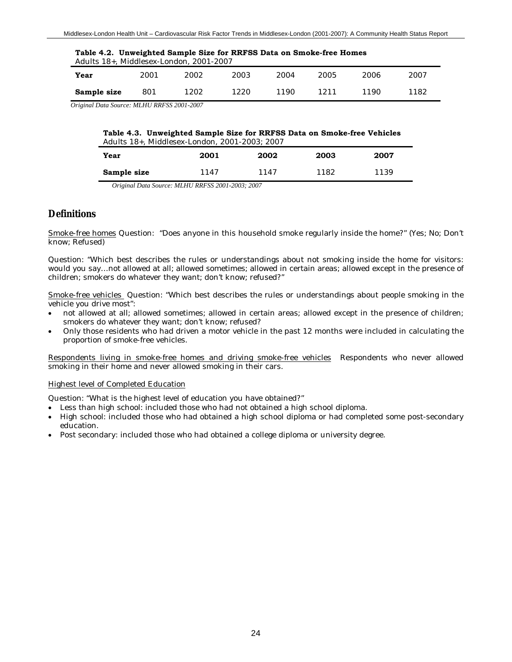| Table 4.2. Unweighted Sample Size for RRFSS Data on Smoke-free Homes<br>Adults 18+, Middlesex-London, 2001-2007 |      |      |      |       |      |       |      |  |  |  |
|-----------------------------------------------------------------------------------------------------------------|------|------|------|-------|------|-------|------|--|--|--|
| Year                                                                                                            | 2001 | 2002 | 2003 | 2004  | 2005 | 2006  | 2007 |  |  |  |
| Sample size                                                                                                     | 801  | 1202 | 1220 | 1190. | 1211 | 1190. | 1182 |  |  |  |

*Original Data Source: MLHU RRFSS 2001-2007*

| Table 4.3. Unweighted Sample Size for RRFSS Data on Smoke-free Vehicles |
|-------------------------------------------------------------------------|
| Adults 18+. Middlesex-London. 2001-2003: 2007                           |
|                                                                         |

| Year        | 2001 | 2002 | 2003 | 2007 |
|-------------|------|------|------|------|
| Sample size | 1147 | 1147 | 1182 | 1139 |

*Original Data Source: MLHU RRFSS 2001-2003; 2007*

## **Definitions**

Smoke-free homes Question: "Does anyone in this household smoke regularly inside the home?" (Yes; No; Don't know; Refused)

Question: "Which best describes the rules or understandings about not smoking inside the home for visitors: would you say…not allowed at all; allowed sometimes; allowed in certain areas; allowed except in the presence of children; smokers do whatever they want; don't know; refused?"

Smoke-free vehicles Question: "Which best describes the rules or understandings about people smoking in the vehicle you drive most":

- not allowed at all; allowed sometimes; allowed in certain areas; allowed except in the presence of children; smokers do whatever they want; don't know; refused?
- Only those residents who had driven a motor vehicle in the past 12 months were included in calculating the proportion of smoke-free vehicles.

Respondents living in smoke-free homes and driving smoke-free vehicles Respondents who never allowed smoking in their home *and* never allowed smoking in their cars.

#### Highest level of Completed Education

Question: "What is the highest level of education you have obtained?"

- Less than high school: included those who had not obtained a high school diploma.
- High school: included those who had obtained a high school diploma or had completed some post-secondary education.
- Post secondary: included those who had obtained a college diploma or university degree.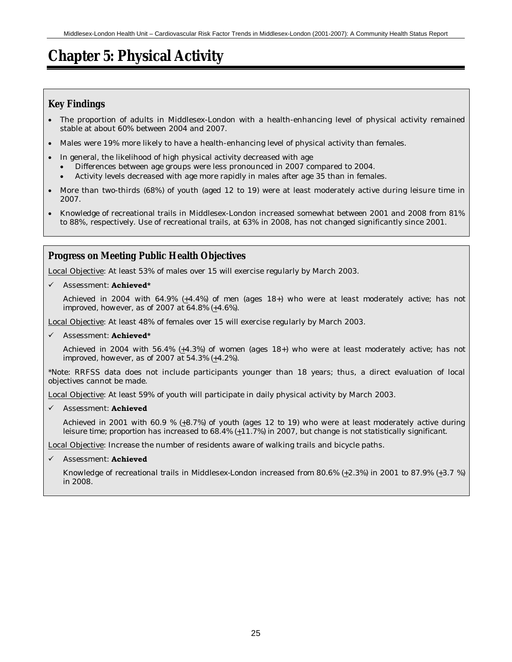# **Chapter 5: Physical Activity**

# **Key Findings**

- The proportion of adults in Middlesex-London with a health-enhancing level of physical activity remained stable at about 60% between 2004 and 2007.
- Males were 19% more likely to have a health-enhancing level of physical activity than females.
- In general, the likelihood of high physical activity decreased with age
	- Differences between age groups were less pronounced in 2007 compared to 2004.
	- Activity levels decreased with age more rapidly in males after age 35 than in females.
- More than two-thirds (68%) of youth (aged 12 to 19) were at least moderately active during leisure time in 2007.
- Knowledge of recreational trails in Middlesex-London increased somewhat between 2001 and 2008 from 81% to 88%, respectively. Use of recreational trails, at 63% in 2008, has not changed significantly since 2001.

# **Progress on Meeting Public Health Objectives**

Local Objective: At least 53% of males over 15 will exercise regularly by March 2003.

9 Assessment: **Achieved\***

*Achieved in 2004 with 64.9% (+4.4%) of men (ages 18+) who were at least moderately active; has not improved, however, as of 2007 at 64.8% (+4.6%).*

Local Objective: At least 48% of females over 15 will exercise regularly by March 2003.

#### Assessment: **Achieved\***

*Achieved in 2004 with 56.4% (+4.3%) of women (ages 18+) who were at least moderately active; has not improved, however, as of 2007 at 54.3% (+4.2%).*

\*Note: RRFSS data does not include participants younger than 18 years; thus, a direct evaluation of local objectives cannot be made.

Local Objective: At least 59% of youth will participate in daily physical activity by March 2003.

9 Assessment: **Achieved**

*Achieved in 2001 with 60.9 % (+8.7%) of youth (ages 12 to 19) who were at least moderately active during leisure time; proportion has increased to 68.4% (+11.7%) in 2007, but change is not statistically significant.*

Local Objective: Increase the number of residents aware of walking trails and bicycle paths.

## 9 Assessment: **Achieved**

*Knowledge of recreational trails in Middlesex-London increased from 80.6% (+2.3%) in 2001 to 87.9% (+3.7 %) in 2008.*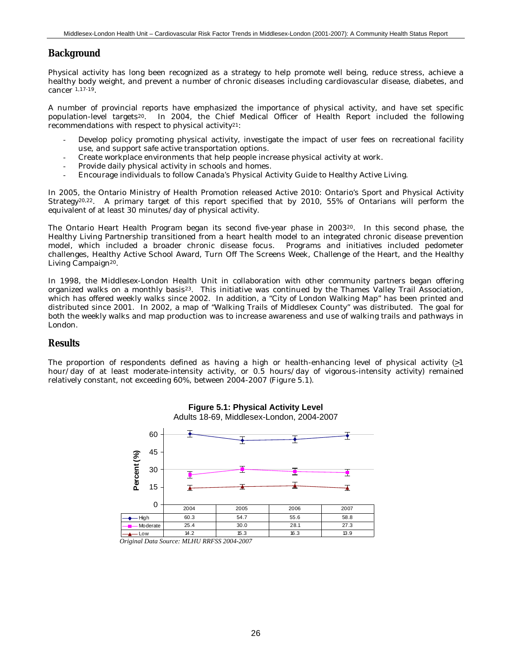## **Background**

Physical activity has long been recognized as a strategy to help promote well being, reduce stress, achieve a healthy body weight, and prevent a number of chronic diseases including cardiovascular disease, diabetes, and cancer 1,17-19.

A number of provincial reports have emphasized the importance of physical activity, and have set specific population-level targets20. In 2004, the Chief Medical Officer of Health Report included the following recommendations with respect to physical activity21:

- Develop policy promoting physical activity, investigate the impact of user fees on recreational facility use, and support safe active transportation options.
- Create workplace environments that help people increase physical activity at work.
- Provide daily physical activity in schools and homes.
- Encourage individuals to follow Canada's Physical Activity Guide to Healthy Active Living.

In 2005, the Ontario Ministry of Health Promotion released Active 2010: Ontario's Sport and Physical Activity Strategy20,22. A primary target of this report specified that by 2010, 55% of Ontarians will perform the equivalent of at least 30 minutes/day of physical activity.

The Ontario Heart Health Program began its second five-year phase in 2003<sup>20</sup>. In this second phase, the Healthy Living Partnership transitioned from a heart health model to an integrated chronic disease prevention model, which included a broader chronic disease focus. Programs and initiatives included pedometer challenges, Healthy Active School Award, Turn Off The Screens Week, Challenge of the Heart, and the Healthy Living Campaign<sup>20</sup>.

In 1998, the Middlesex-London Health Unit in collaboration with other community partners began offering organized walks on a monthly basis23. This initiative was continued by the Thames Valley Trail Association, which has offered weekly walks since 2002. In addition, a "City of London Walking Map" has been printed and distributed since 2001. In 2002, a map of "Walking Trails of Middlesex County" was distributed. The goal for both the weekly walks and map production was to increase awareness and use of walking trails and pathways in London.

## **Results**

The proportion of respondents defined as having a high or health-enhancing level of physical activity  $\geq 1$ hour/day of at least moderate-intensity activity, or 0.5 hours/day of vigorous-intensity activity) remained relatively constant, not exceeding 60%, between 2004-2007 (Figure 5.1).





*Original Data Source: MLHU RRFSS 2004-2007*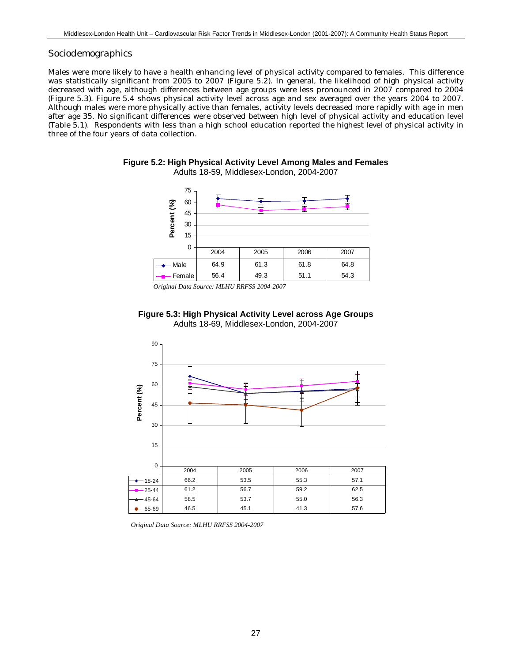#### *Sociodemographics*

Males were more likely to have a health enhancing level of physical activity compared to females. This difference was statistically significant from 2005 to 2007 (Figure 5.2). In general, the likelihood of high physical activity decreased with age, although differences between age groups were less pronounced in 2007 compared to 2004 (Figure 5.3). Figure 5.4 shows physical activity level across age and sex averaged over the years 2004 to 2007. Although males were more physically active than females, activity levels decreased more rapidly with age in men after age 35. No significant differences were observed between high level of physical activity and education level (Table 5.1). Respondents with less than a high school education reported the highest level of physical activity in three of the four years of data collection.





*Original Data Source: MLHU RRFSS 2004-2007*





*Original Data Source: MLHU RRFSS 2004-2007*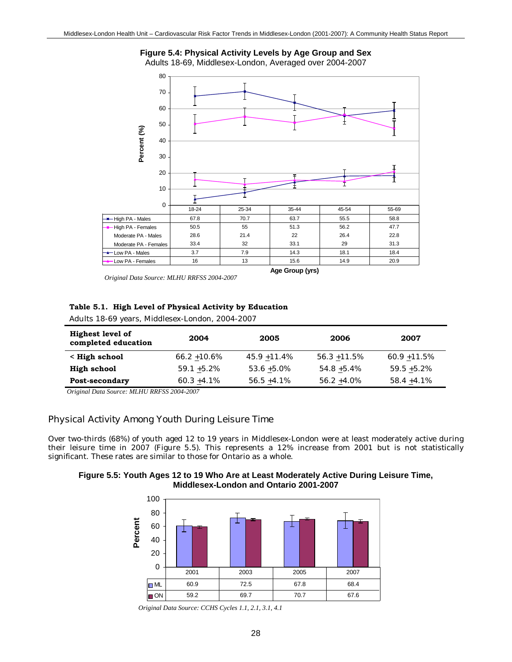

Adults 18-69, Middlesex-London, Averaged over 2004-2007



*Original Data Source: MLHU RRFSS 2004-2007*

#### **Table 5.1. High Level of Physical Activity by Education**

Adults 18-69 years, Middlesex-London, 2004-2007

| <b>Highest level of</b><br>completed education | 2004            | 2005            | 2006            | 2007            |
|------------------------------------------------|-----------------|-----------------|-----------------|-----------------|
| < High school                                  | $66.2 + 10.6\%$ | $45.9 + 11.4\%$ | $56.3 + 11.5\%$ | $60.9 + 11.5\%$ |
| High school                                    | $59.1 + 5.2\%$  | $53.6 + 5.0\%$  | $54.8 + 5.4\%$  | $59.5 + 5.2\%$  |
| Post-secondary                                 | $60.3 + 4.1\%$  | $56.5 + 4.1\%$  | $56.2 + 4.0\%$  | $58.4 + 4.1\%$  |

*Original Data Source: MLHU RRFSS 2004-2007*

### *Physical Activity Among Youth During Leisure Time*

Over two-thirds (68%) of youth aged 12 to 19 years in Middlesex-London were at least moderately active during their leisure time in 2007 (Figure 5.5). This represents a 12% increase from 2001 but is not statistically significant. These rates are similar to those for Ontario as a whole.

**Figure 5.5: Youth Ages 12 to 19 Who Are at Least Moderately Active During Leisure Time, Middlesex-London and Ontario 2001-2007**



*Original Data Source: CCHS Cycles 1.1, 2.1, 3.1, 4.1*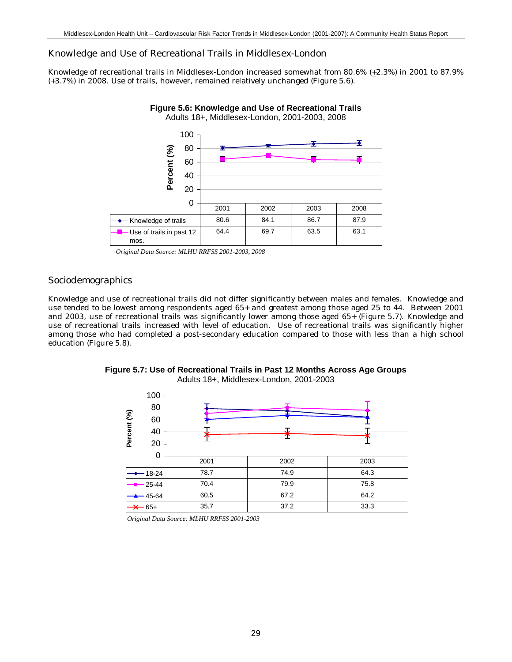#### *Knowledge and Use of Recreational Trails in Middlesex-London*

Knowledge of recreational trails in Middlesex-London increased somewhat from 80.6% (+2.3%) in 2001 to 87.9% (+3.7%) in 2008. Use of trails, however, remained relatively unchanged (Figure 5.6).



*Original Data Source: MLHU RRFSS 2001-2003, 2008*

#### *Sociodemographics*

Knowledge and use of recreational trails did not differ significantly between males and females. Knowledge and use tended to be lowest among respondents aged 65+ and greatest among those aged 25 to 44. Between 2001 and 2003, use of recreational trails was significantly lower among those aged 65+ (Figure 5.7). Knowledge and use of recreational trails increased with level of education. Use of recreational trails was significantly higher among those who had completed a post-secondary education compared to those with less than a high school education (Figure 5.8).



**Figure 5.7: Use of Recreational Trails in Past 12 Months Across Age Groups** Adults 18+, Middlesex-London, 2001-2003

*Original Data Source: MLHU RRFSS 2001-2003*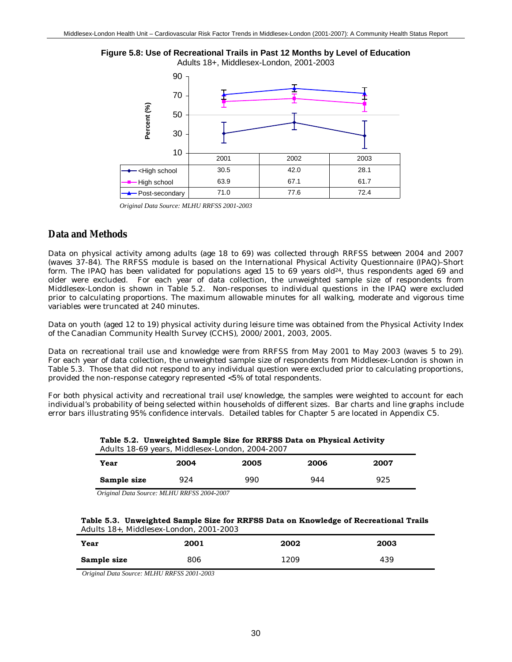



*Original Data Source: MLHU RRFSS 2001-2003*

### **Data and Methods**

Data on physical activity among adults (age 18 to 69) was collected through RRFSS between 2004 and 2007 (waves 37-84). The RRFSS module is based on the International Physical Activity Questionnaire (IPAQ)–Short form. The IPAQ has been validated for populations aged 15 to 69 years old<sup>24</sup>, thus respondents aged 69 and older were excluded. For each year of data collection, the unweighted sample size of respondents from Middlesex-London is shown in Table 5.2. Non-responses to individual questions in the IPAQ were excluded prior to calculating proportions. The maximum allowable minutes for all walking, moderate and vigorous time variables were truncated at 240 minutes.

Data on youth (aged 12 to 19) physical activity during leisure time was obtained from the Physical Activity Index of the Canadian Community Health Survey (CCHS), 2000/2001, 2003, 2005.

Data on recreational trail use and knowledge were from RRFSS from May 2001 to May 2003 (waves 5 to 29). For each year of data collection, the unweighted sample size of respondents from Middlesex-London is shown in Table 5.3. Those that did not respond to any individual question were excluded prior to calculating proportions, provided the non-response category represented <5% of total respondents.

For both physical activity and recreational trail use/knowledge, the samples were weighted to account for each individual's probability of being selected within households of different sizes. Bar charts and line graphs include error bars illustrating 95% confidence intervals. Detailed tables for Chapter 5 are located in Appendix C5.

**Table 5.2. Unweighted Sample Size for RRFSS Data on Physical Activity** Adults 18-69 years, Middlesex-London, 2004-2007

| Year        | 2004 | 2005 | 2006 | 2007 |  |
|-------------|------|------|------|------|--|
| Sample size | 924  | 990  | 944  | 925  |  |
|             |      |      |      |      |  |

*Original Data Source: MLHU RRFSS 2004-2007*

| Table 5.3. Unweighted Sample Size for RRFSS Data on Knowledge of Recreational Trails |
|--------------------------------------------------------------------------------------|
| Adults 18+. Middlesex-London. 2001-2003                                              |

| Year        | 2001 | 2002 | 2003 |
|-------------|------|------|------|
| Sample size | 806  | 1209 | 439  |

*Original Data Source: MLHU RRFSS 2001-2003*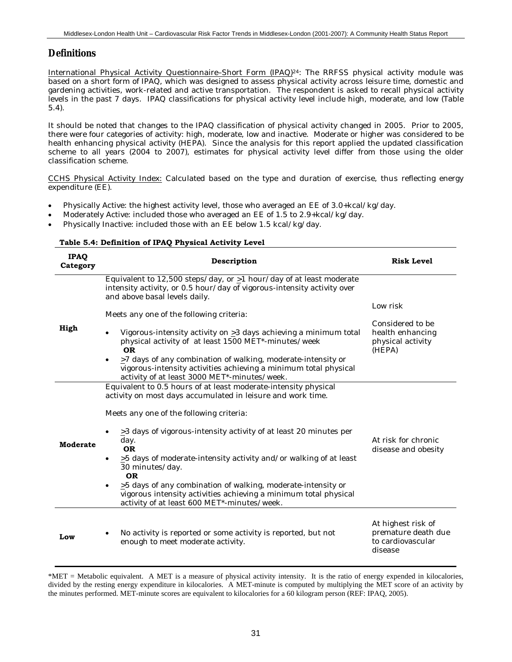### **Definitions**

International Physical Activity Questionnaire–Short Form (IPAQ)24: The RRFSS physical activity module was based on a short form of IPAQ, which was designed to assess physical activity across leisure time, domestic and gardening activities, work-related and active transportation. The respondent is asked to recall physical activity levels in the past 7 days. IPAQ classifications for physical activity level include high, moderate, and low (Table 5.4).

It should be noted that changes to the IPAQ classification of physical activity changed in 2005. Prior to 2005, there were four categories of activity: high, moderate, low and inactive. Moderate or higher was considered to be health enhancing physical activity (HEPA). Since the analysis for this report applied the updated classification scheme to all years (2004 to 2007), estimates for physical activity level differ from those using the older classification scheme.

CCHS Physical Activity Index: Calculated based on the type and duration of exercise, thus reflecting energy expenditure (EE).

- Physically Active: the highest activity level, those who averaged an EE of 3.0+kcal/kg/day.
- Moderately Active: included those who averaged an EE of 1.5 to 2.9+kcal/kg/day.
- Physically Inactive: included those with an EE below 1.5 kcal/kg/day.

**Table 5.4: Definition of IPAQ Physical Activity Level**

| <b>IPAQ</b><br>Category | Description                                                                                                                                                                            | <b>Risk Level</b>                                                         |
|-------------------------|----------------------------------------------------------------------------------------------------------------------------------------------------------------------------------------|---------------------------------------------------------------------------|
|                         | Equivalent to 12,500 steps/day, or $\geq$ 1 hour/day of at least moderate<br>intensity activity, or 0.5 hour/day of vigorous-intensity activity over<br>and above basal levels daily.  | Low risk                                                                  |
|                         | Meets any one of the following criteria:                                                                                                                                               |                                                                           |
| High                    | Vigorous-intensity activity on $\geq$ 3 days achieving a minimum total<br>$\bullet$<br>physical activity of at least 1500 MET*-minutes/week<br><b>OR</b>                               | Considered to be<br>health enhancing<br>physical activity<br>(HEPA)       |
|                         | $\geq$ 7 days of any combination of walking, moderate-intensity or<br>vigorous-intensity activities achieving a minimum total physical<br>activity of at least 3000 MET*-minutes/week. |                                                                           |
|                         | Equivalent to 0.5 hours of at least moderate-intensity physical<br>activity on most days accumulated in leisure and work time.                                                         |                                                                           |
|                         | Meets any one of the following criteria:                                                                                                                                               |                                                                           |
| <b>Moderate</b>         | $\geq$ 3 days of vigorous-intensity activity of at least 20 minutes per<br>day.<br><b>OR</b>                                                                                           | At risk for chronic<br>disease and obesity                                |
|                         | $>5$ days of moderate-intensity activity and/or walking of at least<br>$\bullet$<br>30 minutes/day.<br><b>OR</b>                                                                       |                                                                           |
|                         | $\geq$ 5 days of any combination of walking, moderate-intensity or<br>vigorous intensity activities achieving a minimum total physical<br>activity of at least 600 MET*-minutes/week.  |                                                                           |
| Low                     | No activity is reported or some activity is reported, but not<br>enough to meet moderate activity.                                                                                     | At highest risk of<br>premature death due<br>to cardiovascular<br>disease |

<sup>\*</sup>MET = Metabolic equivalent. A MET is a measure of physical activity intensity. It is the ratio of energy expended in kilocalories, divided by the resting energy expenditure in kilocalories. A MET-minute is computed by multiplying the MET score of an activity by the minutes performed. MET-minute scores are equivalent to kilocalories for a 60 kilogram person (REF: IPAQ, 2005).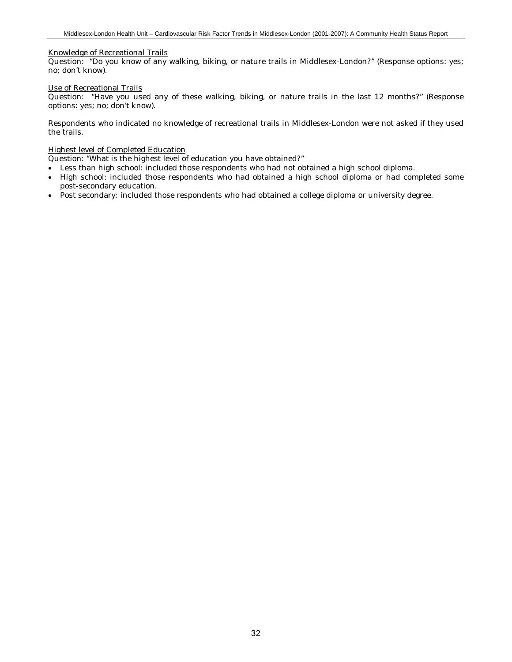#### Knowledge of Recreational Trails

Question: "Do you know of any walking, biking, or nature trails in Middlesex-London?" (Response options: yes; no; don't know).

#### Use of Recreational Trails

Question: "Have you used any of these walking, biking, or nature trails in the last 12 months?" (Response options: yes; no; don't know).

Respondents who indicated no knowledge of recreational trails in Middlesex-London were not asked if they used the trails.

#### Highest level of Completed Education

Question: "What is the highest level of education you have obtained?"

- Less than high school: included those respondents who had not obtained a high school diploma.
- High school: included those respondents who had obtained a high school diploma or had completed some post-secondary education.
- Post secondary: included those respondents who had obtained a college diploma or university degree.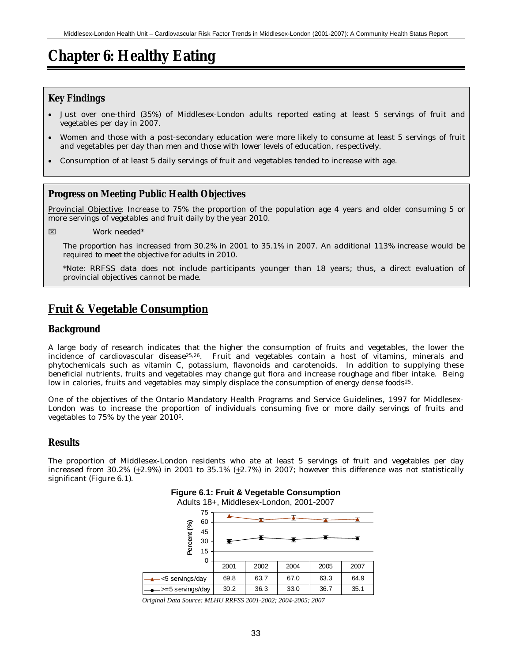# **Chapter 6: Healthy Eating**

### **Key Findings**

- Just over one-third (35%) of Middlesex-London adults reported eating at least 5 servings of fruit and vegetables per day in 2007.
- Women and those with a post-secondary education were more likely to consume at least 5 servings of fruit and vegetables per day than men and those with lower levels of education, respectively.
- Consumption of at least 5 daily servings of fruit and vegetables tended to increase with age.

#### **Progress on Meeting Public Health Objectives**

Provincial Objective: Increase to 75% the proportion of the population age 4 years and older consuming 5 or more servings of vegetables and fruit daily by the year 2010.

⌧ Work needed\*

*The proportion has increased from 30.2% in 2001 to 35.1% in 2007. An additional 113% increase would be required to meet the objective for adults in 2010.*

\*Note: RRFSS data does not include participants younger than 18 years; thus, a direct evaluation of provincial objectives cannot be made.

# **Fruit & Vegetable Consumption**

#### **Background**

A large body of research indicates that the higher the consumption of fruits and vegetables, the lower the incidence of cardiovascular disease25,26. Fruit and vegetables contain a host of vitamins, minerals and phytochemicals such as vitamin C, potassium, flavonoids and carotenoids. In addition to supplying these beneficial nutrients, fruits and vegetables may change gut flora and increase roughage and fiber intake. Being low in calories, fruits and vegetables may simply displace the consumption of energy dense foods<sup>25</sup>.

One of the objectives of the Ontario Mandatory Health Programs and Service Guidelines, 1997 for Middlesex-London was to increase the proportion of individuals consuming five or more daily servings of fruits and vegetables to 75% by the year 20106.

#### **Results**

The proportion of Middlesex-London residents who ate at least 5 servings of fruit and vegetables per day increased from 30.2% (+2.9%) in 2001 to 35.1% (+2.7%) in 2007; however this difference was not statistically significant (Figure 6.1).



**Figure 6.1: Fruit & Vegetable Consumption**

Adults 18+, Middlesex-London, 2001-2007

*Original Data Source: MLHU RRFSS 2001-2002; 2004-2005; 2007*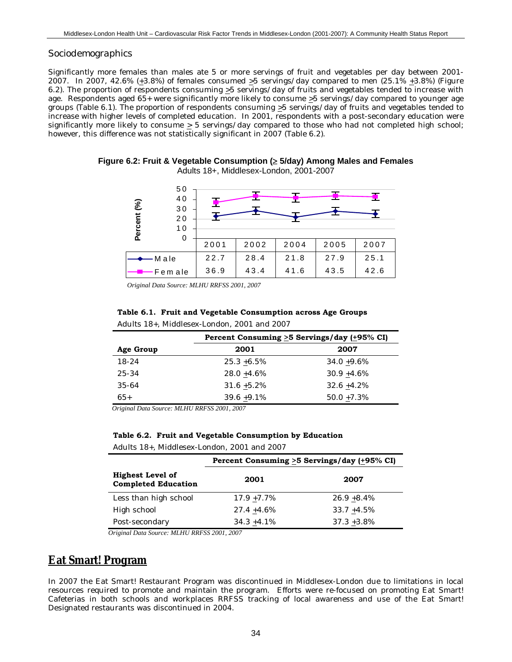#### *Sociodemographics*

Significantly more females than males ate 5 or more servings of fruit and vegetables per day between 2001- 2007. In 2007, 42.6% (+3.8%) of females consumed >5 servings/day compared to men (25.1% +3.8%) (Figure 6.2). The proportion of respondents consuming >5 servings/day of fruits and vegetables tended to increase with age. Respondents aged 65+ were significantly more likely to consume >5 servings/day compared to younger age groups (Table 6.1). The proportion of respondents consuming  $\geq$ 5 servings/day of fruits and vegetables tended to increase with higher levels of completed education. In 2001, respondents with a post-secondary education were significantly more likely to consume > 5 servings/day compared to those who had not completed high school; however, this difference was not statistically significant in 2007 (Table 6.2).

5 0 4 0 Percent (%) **Percent (%)** 3 0 2 0 1 0 0 2001 2002 2004 2005 2007 M ale 22.7 28.4 21.8 27.9 25.1 Fem ale 36.9 43.4 41.6 43.5 42.6

**Figure 6.2: Fruit & Vegetable Consumption (**≥ **5/day) Among Males and Females** Adults 18+, Middlesex-London, 2001-2007

*Original Data Source: MLHU RRFSS 2001, 2007*

| Table 6.1. Fruit and Vegetable Consumption across Age Groups |
|--------------------------------------------------------------|
| Adults 18+, Middlesex-London, 2001 and 2007                  |

|           | Percent Consuming $\geq$ 5 Servings/day ( $\pm$ 95% CI) |                |  |
|-----------|---------------------------------------------------------|----------------|--|
| Age Group | 2001                                                    | 2007           |  |
| $18-24$   | $25.3 + 6.5\%$                                          | $34.0 + 9.6\%$ |  |
| $25 - 34$ | $28.0 + 4.6\%$                                          | $30.9 + 4.6\%$ |  |
| 35-64     | $31.6 + 5.2\%$                                          | $32.6 + 4.2\%$ |  |
| $65+$     | $39.6 + 9.1\%$                                          | $50.0 + 7.3\%$ |  |

*Original Data Source: MLHU RRFSS 2001, 2007*

| Table 6.2. Fruit and Vegetable Consumption by Education |
|---------------------------------------------------------|
| Adults 18+, Middlesex-London, 2001 and 2007             |

|                                                       | Percent Consuming >5 Servings/day (+95% CI) |                |  |  |
|-------------------------------------------------------|---------------------------------------------|----------------|--|--|
| <b>Highest Level of</b><br><b>Completed Education</b> | 2001                                        | 2007           |  |  |
| Less than high school                                 | $17.9 + 7.7\%$                              | $26.9 + 8.4\%$ |  |  |
| High school                                           | $27.4 + 4.6\%$                              | $33.7 + 4.5\%$ |  |  |
| Post-secondary                                        | $34.3 + 4.1\%$                              | $37.3 + 3.8\%$ |  |  |

*Original Data Source: MLHU RRFSS 2001, 2007*

# **Eat Smart! Program**

In 2007 the Eat Smart! Restaurant Program was discontinued in Middlesex-London due to limitations in local resources required to promote and maintain the program. Efforts were re-focused on promoting Eat Smart! Cafeterias in both schools and workplaces RRFSS tracking of local awareness and use of the Eat Smart! Designated restaurants was discontinued in 2004.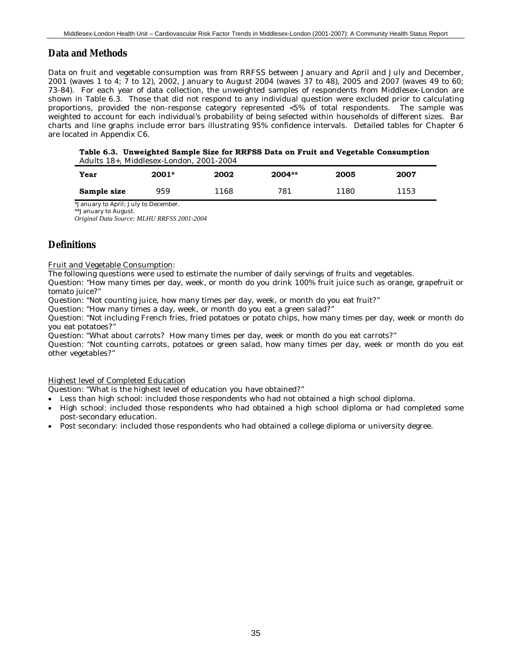## **Data and Methods**

Data on fruit and vegetable consumption was from RRFSS between January and April and July and December, 2001 (waves 1 to 4; 7 to 12), 2002, January to August 2004 (waves 37 to 48), 2005 and 2007 (waves 49 to 60; 73-84). For each year of data collection, the unweighted samples of respondents from Middlesex-London are shown in Table 6.3. Those that did not respond to any individual question were excluded prior to calculating proportions, provided the non-response category represented <5% of total respondents. The sample was weighted to account for each individual's probability of being selected within households of different sizes. Bar charts and line graphs include error bars illustrating 95% confidence intervals. Detailed tables for Chapter 6 are located in Appendix C6.

**Table 6.3. Unweighted Sample Size for RRFSS Data on Fruit and Vegetable Consumption** Adults 18+, Middlesex-London, 2001-2004

| Year        | 2001* | 2002 | 2004** | 2005 | 2007 |
|-------------|-------|------|--------|------|------|
| Sample size | 959   | 1168 | 781    | 1180 | 1153 |

\*January to April; July to December.

\*\*January to August.

*Original Data Source: MLHU RRFSS 2001-2004*

## **Definitions**

Fruit and Vegetable Consumption:

The following questions were used to estimate the number of daily servings of fruits and vegetables.

Question: "How many times per day, week, or month do you drink 100% fruit juice such as orange, grapefruit or tomato juice?"

Question: "Not counting juice, how many times per day, week, or month do you eat fruit?"

Question: "How many times a day, week, or month do you eat a green salad?"

Question: "Not including French fries, fried potatoes or potato chips, how many times per day, week or month do you eat potatoes?"

Question: "What about carrots? How many times per day, week or month do you eat carrots?"

Question: "Not counting carrots, potatoes or green salad, how many times per day, week or month do you eat other vegetables?"

#### Highest level of Completed Education

Question: "What is the highest level of education you have obtained?"

- Less than high school: included those respondents who had not obtained a high school diploma.
- High school: included those respondents who had obtained a high school diploma or had completed some post-secondary education.
- Post secondary: included those respondents who had obtained a college diploma or university degree.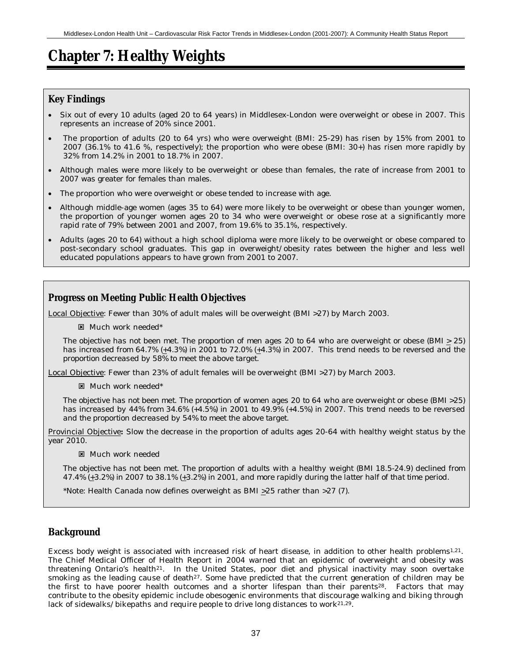# **Chapter 7: Healthy Weights**

## **Key Findings**

- Six out of every 10 adults (aged 20 to 64 years) in Middlesex-London were overweight or obese in 2007. This represents an increase of 20% since 2001.
- The proportion of adults (20 to 64 yrs) who were overweight (BMI: 25-29) has risen by 15% from 2001 to 2007 (36.1% to 41.6 %, respectively); the proportion who were obese (BMI: 30+) has risen more rapidly by 32% from 14.2% in 2001 to 18.7% in 2007.
- Although males were more likely to be overweight or obese than females, the rate of increase from 2001 to 2007 was greater for females than males.
- The proportion who were overweight or obese tended to increase with age.
- Although middle-age women (ages 35 to 64) were more likely to be overweight or obese than younger women, the proportion of younger women ages 20 to 34 who were overweight or obese rose at a significantly more rapid rate of 79% between 2001 and 2007, from 19.6% to 35.1%, respectively.
- Adults (ages 20 to 64) without a high school diploma were more likely to be overweight or obese compared to post-secondary school graduates. This gap in overweight/obesity rates between the higher and less well educated populations appears to have grown from 2001 to 2007.

## **Progress on Meeting Public Health Objectives**

Local Objective: Fewer than 30% of adult males will be overweight (BMI >27) by March 2003.

**E** Much work needed\*

*The objective has not been met. The proportion of men ages 20 to 64 who are overweight or obese (BMI > 25) has increased from 64.7% (+4.3%) in 2001 to 72.0% (+4.3%) in 2007. This trend needs to be reversed and the proportion decreased by 58% to meet the above target.*

Local Objective: Fewer than 23% of adult females will be overweight (BMI >27) by March 2003.

: Much work needed\*

*The objective has not been met. The proportion of women ages 20 to 64 who are overweight or obese (BMI >25) has increased by 44% from 34.6% (+4.5%) in 2001 to 49.9% (+4.5%) in 2007. This trend needs to be reversed and the proportion decreased by 54% to meet the above target.*

Provincial Objective**:** Slow the decrease in the proportion of adults ages 20-64 with healthy weight status by the year 2010.

: Much work needed

*The objective has not been met. The proportion of adults with a healthy weight (BMI 18.5-24.9) declined from 47.4% (+3.2%) in 2007 to 38.1% (+3.2%) in 2001, and more rapidly during the latter half of that time period.*

\*Note: Health Canada now defines overweight as BMI  $\geq$ 25 rather than >27 (7).

## **Background**

Excess body weight is associated with increased risk of heart disease, in addition to other health problems1,21. The Chief Medical Officer of Health Report in 2004 warned that an epidemic of overweight and obesity was threatening Ontario's health<sup>21</sup>. In the United States, poor diet and physical inactivity may soon overtake smoking as the leading cause of death<sup>27</sup>. Some have predicted that the current generation of children may be the first to have poorer health outcomes and a shorter lifespan than their parents28. Factors that may contribute to the obesity epidemic include obesogenic environments that discourage walking and biking through lack of sidewalks/bikepaths and require people to drive long distances to work $21,29$ .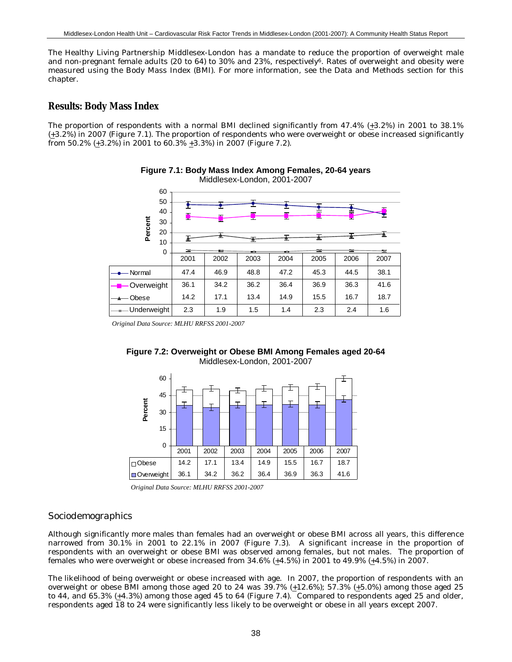The Healthy Living Partnership Middlesex-London has a mandate to reduce the proportion of overweight male and non-pregnant female adults (20 to 64) to 30% and 23%, respectively6. Rates of overweight and obesity were measured using the Body Mass Index (BMI). For more information, see the Data and Methods section for this chapter.

### **Results: Body Mass Index**

The proportion of respondents with a normal BMI declined significantly from 47.4% (+3.2%) in 2001 to 38.1% (+3.2%) in 2007 (Figure 7.1). The proportion of respondents who were overweight or obese increased significantly from 50.2% (+3.2%) in 2001 to 60.3% +3.3%) in 2007 (Figure 7.2).



**Figure 7.1: Body Mass Index Among Females, 20-64 years** Middlesex-London, 2001-2007

*Original Data Source: MLHU RRFSS 2001-2007*





*Original Data Source: MLHU RRFSS 2001-2007*

#### *Sociodemographics*

Although significantly more males than females had an overweight or obese BMI across all years, this difference narrowed from 30.1% in 2001 to 22.1% in 2007 (Figure 7.3). A significant increase in the proportion of respondents with an overweight or obese BMI was observed among females, but not males. The proportion of females who were overweight or obese increased from  $34.6\%$  ( $\pm 4.5\%$ ) in 2001 to  $49.9\%$  ( $\pm 4.5\%$ ) in 2007.

The likelihood of being overweight or obese increased with age. In 2007, the proportion of respondents with an overweight or obese BMI among those aged 20 to 24 was  $39.7\%$  ( $\pm 12.6\%$ ); 57.3% ( $\pm 5.0\%$ ) among those aged 25 to 44, and  $65.3\%$  ( $\pm 4.3\%$ ) among those aged 45 to 64 (Figure 7.4). Compared to respondents aged 25 and older, respondents aged 18 to 24 were significantly less likely to be overweight or obese in all years except 2007.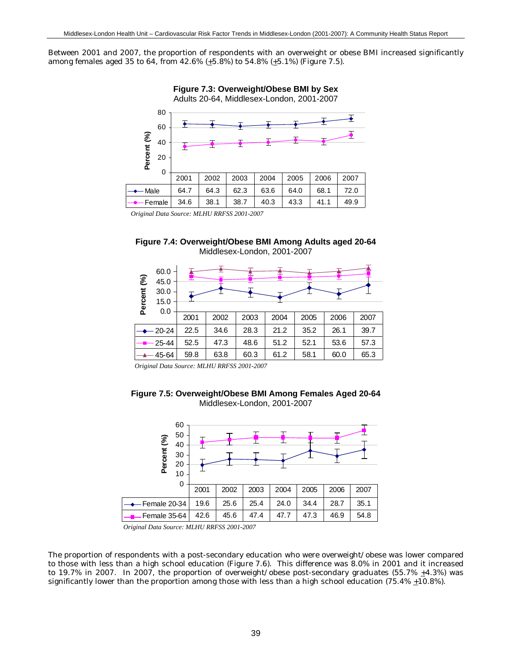Between 2001 and 2007, the proportion of respondents with an overweight or obese BMI increased significantly among females aged 35 to 64, from 42.6% (+5.8%) to 54.8% (+5.1%) (Figure 7.5).



**Figure 7.3: Overweight/Obese BMI by Sex**

*Original Data Source: MLHU RRFSS 2001-2007*





*Original Data Source: MLHU RRFSS 2001-2007*





*Original Data Source: MLHU RRFSS 2001-2007*

The proportion of respondents with a post-secondary education who were overweight/obese was lower compared to those with less than a high school education (Figure 7.6). This difference was 8.0% in 2001 and it increased to 19.7% in 2007. In 2007, the proportion of overweight/obese post-secondary graduates (55.7%  $\pm$ 4.3%) was significantly lower than the proportion among those with less than a high school education (75.4%  $\pm$ 10.8%).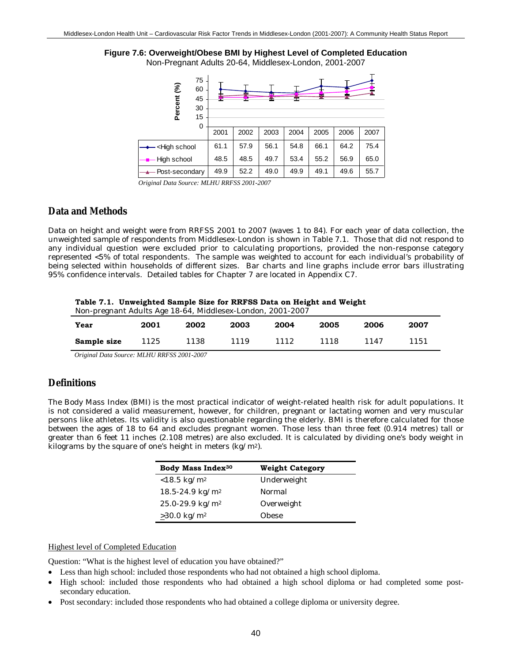# **Figure 7.6: Overweight/Obese BMI by Highest Level of Completed Education**

Non-Pregnant Adults 20-64, Middlesex-London, 2001-2007



*Original Data Source: MLHU RRFSS 2001-2007*

### **Data and Methods**

Data on height and weight were from RRFSS 2001 to 2007 (waves 1 to 84). For each year of data collection, the unweighted sample of respondents from Middlesex-London is shown in Table 7.1. Those that did not respond to any individual question were excluded prior to calculating proportions, provided the non-response category represented <5% of total respondents. The sample was weighted to account for each individual's probability of being selected within households of different sizes. Bar charts and line graphs include error bars illustrating 95% confidence intervals. Detailed tables for Chapter 7 are located in Appendix C7.

|  |  |  | Table 7.1.  Unweighted Sample Size for RRFSS Data on Height and Weight |  |  |
|--|--|--|------------------------------------------------------------------------|--|--|
|--|--|--|------------------------------------------------------------------------|--|--|

| Year        | 2001 | 2002 | 2003 | 2004 | 2005 | 2006 | 2007 |
|-------------|------|------|------|------|------|------|------|
| Sample size | 1125 | 1138 | 1119 | 1112 | 1118 | 1147 | 1151 |
|             | .    |      |      |      |      |      |      |

*Original Data Source: MLHU RRFSS 2001-2007*

### **Definitions**

The Body Mass Index (BMI) is the most practical indicator of weight-related health risk for adult populations. It is not considered a valid measurement, however, for children, pregnant or lactating women and very muscular persons like athletes. Its validity is also questionable regarding the elderly. BMI is therefore calculated for those between the ages of 18 to 64 and excludes pregnant women. Those less than three feet (0.914 metres) tall or greater than 6 feet 11 inches (2.108 metres) are also excluded. It is calculated by dividing one's body weight in kilograms by the square of one's height in meters (kg/m2).

| Body Mass Index <sup>30</sup>   | Weight Category |
|---------------------------------|-----------------|
| $< 18.5 \text{ kg/m}^2$         | Underweight     |
| 18.5-24.9 kg/m <sup>2</sup>     | Normal          |
| $25.0 - 29.9$ kg/m <sup>2</sup> | Overweight      |
| $\geq 30.0 \text{ kg/m}^2$      | Obese           |

#### Highest level of Completed Education

Question: "What is the highest level of education you have obtained?"

- Less than high school: included those respondents who had not obtained a high school diploma.
- High school: included those respondents who had obtained a high school diploma or had completed some postsecondary education.
- Post secondary: included those respondents who had obtained a college diploma or university degree.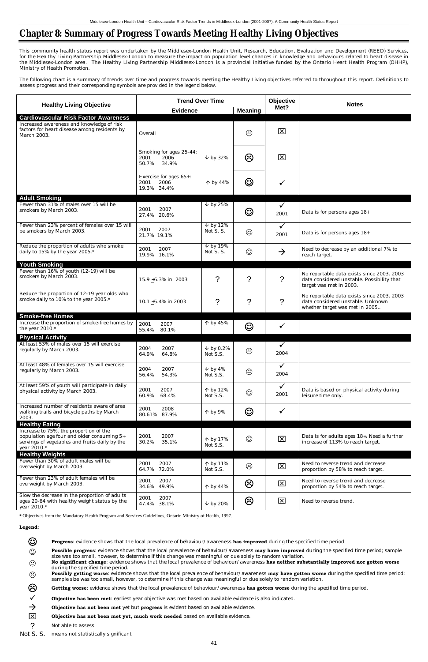# **Chapter 8: Summary of Progress Towards Meeting Healthy Living Objectives**

This community health status report was undertaken by the Middlesex-London Health Unit, Research, Education, Evaluation and Development (REED) Services, for the Healthy Living Partnership Middlesex-London to measure the impact on population level changes in knowledge and behaviours related to heart disease in the Middlesex-London area. The Healthy Living Partnership Middlesex-London is a provincial initiative funded by the Ontario Heart Health Program (OHHP), Ministry of Health Promotion.

The following chart is a summary of trends over time and progress towards meeting the Healthy Living objectives referred to throughout this report. Definitions to assess progress and their corresponding symbols are provided in the legend below.

|                                                                                                                                                       | <b>Trend Over Time</b>                                    |                                               |                | <b>Objective</b>     | <b>Notes</b>                                                                                                        |
|-------------------------------------------------------------------------------------------------------------------------------------------------------|-----------------------------------------------------------|-----------------------------------------------|----------------|----------------------|---------------------------------------------------------------------------------------------------------------------|
| <b>Healthy Living Objective</b>                                                                                                                       | <b>Evidence</b>                                           |                                               | <b>Meaning</b> | Met?                 |                                                                                                                     |
| <b>Cardiovascular Risk Factor Awareness</b>                                                                                                           |                                                           |                                               |                |                      |                                                                                                                     |
| Increased awareness and knowledge of risk<br>factors for heart disease among residents by<br>March 2003.                                              | Overall                                                   |                                               | $\odot$        | 区                    |                                                                                                                     |
|                                                                                                                                                       | Smoking for ages 25-44:<br>2001<br>2006<br>50.7%<br>34.9% | $\downarrow$ by 32%                           | ගි             | 区                    |                                                                                                                     |
|                                                                                                                                                       | Exercise for ages 65+:<br>2006<br>2001<br>19.3% 34.4%     | $\uparrow$ by 44%                             | $\odot$        | $\checkmark$         |                                                                                                                     |
| <b>Adult Smoking</b>                                                                                                                                  |                                                           |                                               |                |                      |                                                                                                                     |
| Fewer than 31% of males over 15 will be<br>smokers by March 2003.                                                                                     | 2001<br>2007<br>27.4% 20.6%                               | $\downarrow$ by 25%                           | $\odot$        | $\checkmark$<br>2001 | Data is for persons ages 18+                                                                                        |
| Fewer than 23% percent of females over 15 will<br>be smokers by March 2003.                                                                           | 2007<br>2001<br>21.7% 19.1%                               | $\overline{\smash{\vee}}$ by 12%<br>Not S. S. | $\odot$        | $\checkmark$<br>2001 | Data is for persons ages 18+                                                                                        |
| Reduce the proportion of adults who smoke<br>daily to 15% by the year 2005.*                                                                          | 2001<br>2007<br>19.9% 16.1%                               | $\downarrow$ by 19%<br>Not S. S.              | $\odot$        | $\rightarrow$        | Need to decrease by an additional 7% to<br>reach target.                                                            |
| <b>Youth Smoking</b>                                                                                                                                  |                                                           |                                               |                |                      |                                                                                                                     |
| Fewer than 16% of youth (12-19) will be<br>smokers by March 2003.                                                                                     | 15.9 $\pm$ 6.3% in 2003                                   | $\gamma$                                      | $\gamma$       | $\gamma$             | No reportable data exists since 2003. 2003<br>data considered unstable. Possibility that<br>target was met in 2003. |
| Reduce the proportion of 12-19 year olds who<br>smoke daily to 10% to the year 2005.*                                                                 | 10.1 $\pm$ 5.4% in 2003                                   | ?                                             | $\gamma$       | $\gamma$             | No reportable data exists since 2003. 2003<br>data considered unstable. Unknown<br>whether target was met in 2005   |
| <b>Smoke-free Homes</b>                                                                                                                               |                                                           |                                               |                |                      |                                                                                                                     |
| Increase the proportion of smoke-free homes by<br>the year 2010.*                                                                                     | 2001<br>2007<br>55.4%<br>80.1%                            | $\uparrow$ by 45%                             | $\odot$        | $\checkmark$         |                                                                                                                     |
| <b>Physical Activity</b>                                                                                                                              |                                                           |                                               |                |                      |                                                                                                                     |
| At least 53% of males over 15 will exercise<br>regularly by March 2003.                                                                               | 2004<br>2007<br>64.9%<br>64.8%                            | $\downarrow$ by 0.2%<br>Not S.S.              | $\odot$        | $\checkmark$<br>2004 |                                                                                                                     |
| At least 48% of females over 15 will exercise<br>regularly by March 2003.                                                                             | 2004<br>2007<br>56.4%<br>54.3%                            | $\downarrow$ by 4%<br>Not S.S.                | $\odot$        | $\checkmark$<br>2004 |                                                                                                                     |
| At least 59% of youth will participate in daily<br>physical activity by March 2003.                                                                   | 2007<br>2001<br>68.4%<br>60.9%                            | ↑ by 12%<br>Not S.S.                          | $\odot$        | $\checkmark$<br>2001 | Data is based on physical activity during<br>leisure time only.                                                     |
| Increased number of residents aware of area<br>walking trails and bicycle paths by March<br>2003.                                                     | 2008<br>2001<br>80.61%<br>87.9%                           | $\uparrow$ by 9%                              | $\odot$        | $\checkmark$         |                                                                                                                     |
| <b>Healthy Eating</b>                                                                                                                                 |                                                           |                                               |                |                      |                                                                                                                     |
| Increase to 75%, the proportion of the<br>population age four and older consuming 5+<br>servings of vegetables and fruits daily by the<br>year 2010.* | 2001<br>2007<br>30.2%<br>35.1%                            | ↑ by 17%<br>Not S.S.                          | $_{\odot}$     | 区                    | Data is for adults ages 18+. Need a further<br>increase of 113% to reach target.                                    |
| <b>Healthy Weights</b>                                                                                                                                |                                                           |                                               |                |                      |                                                                                                                     |
| Fewer than 30% of adult males will be<br>overweight by March 2003.                                                                                    | 2001<br>2007<br>64.7%<br>72.0%                            | ↑ by 11%<br>Not S.S.                          | ☺              | $\boxed{\mathsf{x}}$ | Need to reverse trend and decrease<br>proportion by 58% to reach target.                                            |
| Fewer than 23% of adult females will be<br>overweight by March 2003.                                                                                  | 2007<br>2001<br>34.6%<br>49.9%                            | $\uparrow$ by 44%                             | ල              | $\boxed{\mathsf{x}}$ | Need to reverse trend and decrease<br>proportion by 54% to reach target.                                            |
| Slow the decrease in the proportion of adults<br>ages 20-64 with healthy weight status by the<br>year 2010.*                                          | 2001<br>2007<br>47.4% 38.1%                               | $\downarrow$ by 20%                           | ල              | 区                    | Need to reverse trend.                                                                                              |

**\*** Objectives from the Mandatory Health Program and Services Guidelines, Ontario Ministry of Health, 1997.

### **Legend:**



**EXECUPS** Progress: evidence shows that the local prevalence of behaviour/awareness has improved during the specified time period

- ☺ **Possible progress**: evidence shows that the local prevalence of behaviour/awareness **may have improved** during the specified time period; sample size was too small, however, to determine if this change was meaningful or due solely to random variation.
- . **No significant change**: evidence shows that the local prevalence of behaviour/awareness **has neither substantially improved nor gotten worse** during the specified time period.
- / **Possibly getting worse**: evidence shows that the local prevalence of behaviour/awareness **may have gotten worse** during the specified time period: sample size was too small, however, to determine if this change was meaningful or due solely to random variation.
- / **Getting worse**: evidence shows that the local prevalence of behaviour/awareness **has gotten worse** during the specified time period.
- 9 **Objective has been met**: earliest year objective was met based on available evidence is also indicated.
- → Objective has not been met yet but progress is evident based on available evidence.
- **X** Objective has not been met yet, much work needed based on available evidence.
- ? Not able to assess
- Not S. S. means not statistically significant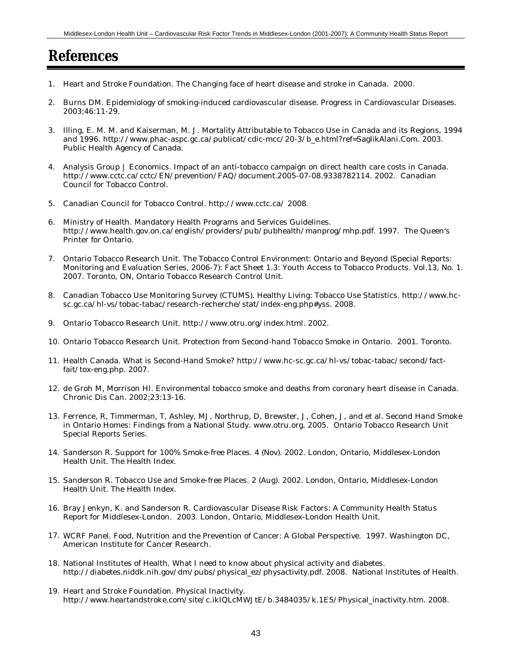# **References**

- 1. Heart and Stroke Foundation. The Changing face of heart disease and stroke in Canada. 2000.
- 2. Burns DM. Epidemiology of smoking-induced cardiovascular disease. Progress in Cardiovascular Diseases. 2003;46:11-29.
- 3. Illing, E. M. M. and Kaiserman, M. J. Mortality Attributable to Tobacco Use in Canada and its Regions, 1994 and 1996. http://www.phac-aspc.gc.ca/publicat/cdic-mcc/20-3/b\_e.html?ref=SaglikAlani.Com. 2003. Public Health Agency of Canada.
- 4. Analysis Group | Economics. Impact of an anti-tobacco campaign on direct health care costs in Canada. http://www.cctc.ca/cctc/EN/prevention/FAQ/document.2005-07-08.9338782114. 2002. Canadian Council for Tobacco Control.
- 5. Canadian Council for Tobacco Control. http://www.cctc.ca/ 2008.
- 6. Ministry of Health. Mandatory Health Programs and Services Guidelines. http://www.health.gov.on.ca/english/providers/pub/pubhealth/manprog/mhp.pdf. 1997. The Queen's Printer for Ontario.
- 7. Ontario Tobacco Research Unit. The Tobacco Control Environment: Ontario and Beyond (Special Reports: Monitoring and Evaluation Series, 2006-7): Fact Sheet 1.3: Youth Access to Tobacco Products. Vol.13, No. 1. 2007. Toronto, ON, Ontario Tobacco Research Control Unit.
- 8. Canadian Tobacco Use Monitoring Survey (CTUMS). Healthy Living: Tobacco Use Statistics. http://www.hcsc.gc.ca/hl-vs/tobac-tabac/research-recherche/stat/index-eng.php#yss. 2008.
- 9. Ontario Tobacco Research Unit. http://www.otru.org/index.html. 2002.
- 10. Ontario Tobacco Research Unit. Protection from Second-hand Tobacco Smoke in Ontario. 2001. Toronto.
- 11. Health Canada. What is Second-Hand Smoke? http://www.hc-sc.gc.ca/hl-vs/tobac-tabac/second/factfait/tox-eng.php. 2007.
- 12. de Groh M, Morrison HI. Environmental tobacco smoke and deaths from coronary heart disease in Canada. Chronic Dis Can. 2002;23:13-16.
- 13. Ferrence, R, Timmerman, T, Ashley, MJ, Northrup, D, Brewster, J, Cohen, J, and et al. Second Hand Smoke in Ontario Homes: Findings from a National Study. www.otru.org. 2005. Ontario Tobacco Research Unit Special Reports Series.
- 14. Sanderson R. Support for 100% Smoke-free Places. 4 (Nov). 2002. London, Ontario, Middlesex-London Health Unit. The Health Index.
- 15. Sanderson R. Tobacco Use and Smoke-free Places. 2 (Aug). 2002. London, Ontario, Middlesex-London Health Unit. The Health Index.
- 16. Bray Jenkyn, K. and Sanderson R. Cardiovascular Disease Risk Factors: A Community Health Status Report for Middlesex-London. 2003. London, Ontario, Middlesex-London Health Unit.
- 17. WCRF Panel. Food, Nutrition and the Prevention of Cancer: A Global Perspective. 1997. Washington DC, American Institute for Cancer Research.
- 18. National Institutes of Health. What I need to know about physical activity and diabetes. http://diabetes.niddk.nih.gov/dm/pubs/physical\_ez/physactivity.pdf. 2008. National Institutes of Health.
- 19. Heart and Stroke Foundation. Physical Inactivity. http://www.heartandstroke.com/site/c.ikIQLcMWJtE/b.3484035/k.1E5/Physical\_inactivity.htm. 2008.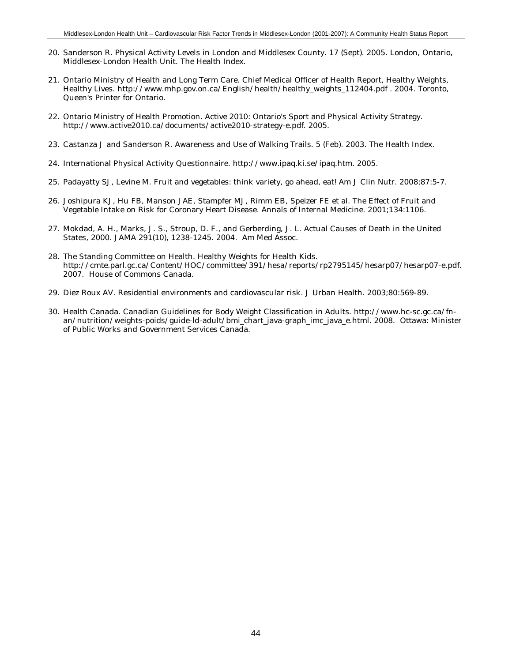- 20. Sanderson R. Physical Activity Levels in London and Middlesex County. 17 (Sept). 2005. London, Ontario, Middlesex-London Health Unit. The Health Index.
- 21. Ontario Ministry of Health and Long Term Care. Chief Medical Officer of Health Report, Healthy Weights, Healthy Lives. http://www.mhp.gov.on.ca/English/health/healthy\_weights\_112404.pdf . 2004. Toronto, Queen's Printer for Ontario.
- 22. Ontario Ministry of Health Promotion. Active 2010: Ontario's Sport and Physical Activity Strategy. http://www.active2010.ca/documents/active2010-strategy-e.pdf. 2005.
- 23. Castanza J and Sanderson R. Awareness and Use of Walking Trails. 5 (Feb). 2003. The Health Index.
- 24. International Physical Activity Questionnaire. http://www.ipaq.ki.se/ipaq.htm. 2005.
- 25. Padayatty SJ, Levine M. Fruit and vegetables: think variety, go ahead, eat! Am J Clin Nutr. 2008;87:5-7.
- 26. Joshipura KJ, Hu FB, Manson JAE, Stampfer MJ, Rimm EB, Speizer FE et al. The Effect of Fruit and Vegetable Intake on Risk for Coronary Heart Disease. Annals of Internal Medicine. 2001;134:1106.
- 27. Mokdad, A. H., Marks, J. S., Stroup, D. F., and Gerberding, J. L. Actual Causes of Death in the United States, 2000. JAMA 291(10), 1238-1245. 2004. Am Med Assoc.
- 28. The Standing Committee on Health. Healthy Weights for Health Kids. http://cmte.parl.gc.ca/Content/HOC/committee/391/hesa/reports/rp2795145/hesarp07/hesarp07-e.pdf. 2007. House of Commons Canada.
- 29. Diez Roux AV. Residential environments and cardiovascular risk. J Urban Health. 2003;80:569-89.
- 30. Health Canada. Canadian Guidelines for Body Weight Classification in Adults. http://www.hc-sc.gc.ca/fnan/nutrition/weights-poids/guide-ld-adult/bmi\_chart\_java-graph\_imc\_java\_e.html. 2008. Ottawa: Minister of Public Works and Government Services Canada.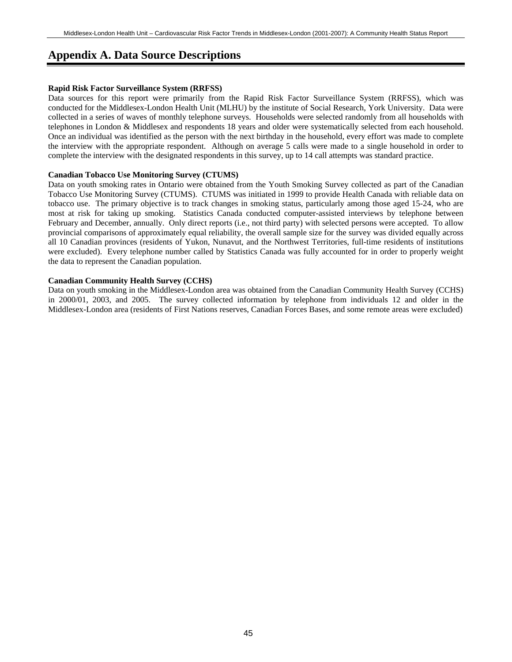# **Appendix A. Data Source Descriptions**

#### **Rapid Risk Factor Surveillance System (RRFSS)**

Data sources for this report were primarily from the Rapid Risk Factor Surveillance System (RRFSS), which was conducted for the Middlesex-London Health Unit (MLHU) by the institute of Social Research, York University. Data were collected in a series of waves of monthly telephone surveys. Households were selected randomly from all households with telephones in London & Middlesex and respondents 18 years and older were systematically selected from each household. Once an individual was identified as the person with the next birthday in the household, every effort was made to complete the interview with the appropriate respondent. Although on average 5 calls were made to a single household in order to complete the interview with the designated respondents in this survey, up to 14 call attempts was standard practice.

#### **Canadian Tobacco Use Monitoring Survey (CTUMS)**

Data on youth smoking rates in Ontario were obtained from the Youth Smoking Survey collected as part of the Canadian Tobacco Use Monitoring Survey (CTUMS). CTUMS was initiated in 1999 to provide Health Canada with reliable data on tobacco use. The primary objective is to track changes in smoking status, particularly among those aged 15-24, who are most at risk for taking up smoking. Statistics Canada conducted computer-assisted interviews by telephone between February and December, annually. Only direct reports (i.e., not third party) with selected persons were accepted. To allow provincial comparisons of approximately equal reliability, the overall sample size for the survey was divided equally across all 10 Canadian provinces (residents of Yukon, Nunavut, and the Northwest Territories, full-time residents of institutions were excluded). Every telephone number called by Statistics Canada was fully accounted for in order to properly weight the data to represent the Canadian population.

#### **Canadian Community Health Survey (CCHS)**

Data on youth smoking in the Middlesex-London area was obtained from the Canadian Community Health Survey (CCHS) in 2000/01, 2003, and 2005. The survey collected information by telephone from individuals 12 and older in the Middlesex-London area (residents of First Nations reserves, Canadian Forces Bases, and some remote areas were excluded)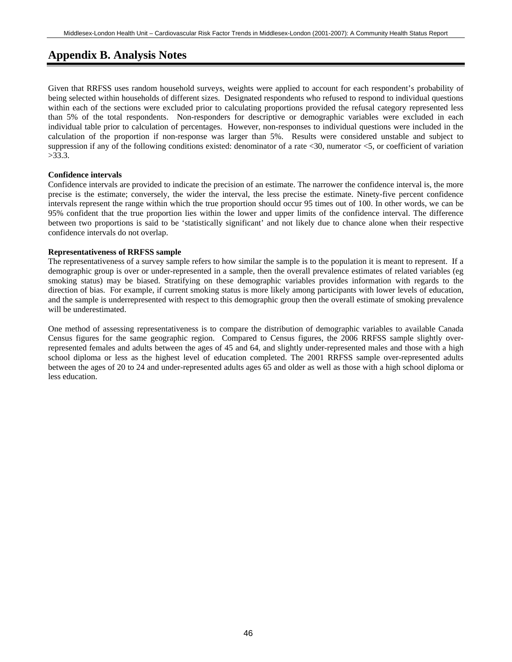# **Appendix B. Analysis Notes**

Given that RRFSS uses random household surveys, weights were applied to account for each respondent's probability of being selected within households of different sizes. Designated respondents who refused to respond to individual questions within each of the sections were excluded prior to calculating proportions provided the refusal category represented less than 5% of the total respondents. Non-responders for descriptive or demographic variables were excluded in each individual table prior to calculation of percentages. However, non-responses to individual questions were included in the calculation of the proportion if non-response was larger than 5%. Results were considered unstable and subject to suppression if any of the following conditions existed: denominator of a rate  $\langle 30,$  numerator  $\langle 5,$  or coefficient of variation >33.3.

#### **Confidence intervals**

Confidence intervals are provided to indicate the precision of an estimate. The narrower the confidence interval is, the more precise is the estimate; conversely, the wider the interval, the less precise the estimate. Ninety-five percent confidence intervals represent the range within which the true proportion should occur 95 times out of 100. In other words, we can be 95% confident that the true proportion lies within the lower and upper limits of the confidence interval. The difference between two proportions is said to be 'statistically significant' and not likely due to chance alone when their respective confidence intervals do not overlap.

#### **Representativeness of RRFSS sample**

The representativeness of a survey sample refers to how similar the sample is to the population it is meant to represent. If a demographic group is over or under-represented in a sample, then the overall prevalence estimates of related variables (eg smoking status) may be biased. Stratifying on these demographic variables provides information with regards to the direction of bias. For example, if current smoking status is more likely among participants with lower levels of education, and the sample is underrepresented with respect to this demographic group then the overall estimate of smoking prevalence will be underestimated.

One method of assessing representativeness is to compare the distribution of demographic variables to available Canada Census figures for the same geographic region. Compared to Census figures, the 2006 RRFSS sample slightly overrepresented females and adults between the ages of 45 and 64, and slightly under-represented males and those with a high school diploma or less as the highest level of education completed. The 2001 RRFSS sample over-represented adults between the ages of 20 to 24 and under-represented adults ages 65 and older as well as those with a high school diploma or less education.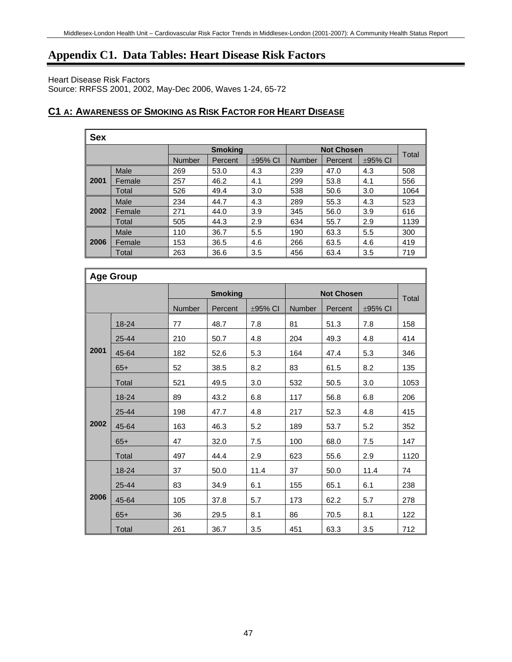# **Appendix C1. Data Tables: Heart Disease Risk Factors**

Heart Disease Risk Factors

Source: RRFSS 2001, 2002, May-Dec 2006, Waves 1-24, 65-72

# **C1 A: AWARENESS OF SMOKING AS RISK FACTOR FOR HEART DISEASE**

| <b>Sex</b> |                |               |         |              |                   |         |              |              |
|------------|----------------|---------------|---------|--------------|-------------------|---------|--------------|--------------|
|            | <b>Smoking</b> |               |         |              | <b>Not Chosen</b> |         |              |              |
|            |                | <b>Number</b> | Percent | $\pm$ 95% CI | <b>Number</b>     | Percent | $\pm$ 95% CI | <b>Total</b> |
|            | Male           | 269           | 53.0    | 4.3          | 239               | 47.0    | 4.3          | 508          |
| 2001       | Female         | 257           | 46.2    | 4.1          | 299               | 53.8    | 4.1          | 556          |
|            | Total          | 526           | 49.4    | 3.0          | 538               | 50.6    | 3.0          | 1064         |
|            | Male           | 234           | 44.7    | 4.3          | 289               | 55.3    | 4.3          | 523          |
| 2002       | Female         | 271           | 44.0    | 3.9          | 345               | 56.0    | 3.9          | 616          |
|            | Total          | 505           | 44.3    | 2.9          | 634               | 55.7    | 2.9          | 1139         |
|            | Male           | 110           | 36.7    | 5.5          | 190               | 63.3    | 5.5          | 300          |
| 2006       | Female         | 153           | 36.5    | 4.6          | 266               | 63.5    | 4.6          | 419          |
|            | Total          | 263           | 36.6    | 3.5          | 456               | 63.4    | 3.5          | 719          |

|      | <b>Age Group</b> |        |                |         |        |                   |            |       |  |  |  |
|------|------------------|--------|----------------|---------|--------|-------------------|------------|-------|--|--|--|
|      |                  |        | <b>Smoking</b> |         |        | <b>Not Chosen</b> |            | Total |  |  |  |
|      |                  | Number | Percent        | ±95% CI | Number | Percent           | $±95\%$ CI |       |  |  |  |
|      | 18-24            | 77     | 48.7           | 7.8     | 81     | 51.3              | 7.8        | 158   |  |  |  |
|      | 25-44            | 210    | 50.7           | 4.8     | 204    | 49.3              | 4.8        | 414   |  |  |  |
| 2001 | 45-64            | 182    | 52.6           | 5.3     | 164    | 47.4              | 5.3        | 346   |  |  |  |
|      | $65+$            | 52     | 38.5           | 8.2     | 83     | 61.5              | 8.2        | 135   |  |  |  |
|      | Total            | 521    | 49.5           | 3.0     | 532    | 50.5              | 3.0        | 1053  |  |  |  |
|      | 18-24            | 89     | 43.2           | 6.8     | 117    | 56.8              | 6.8        | 206   |  |  |  |
|      | 25-44            | 198    | 47.7           | 4.8     | 217    | 52.3              | 4.8        | 415   |  |  |  |
| 2002 | 45-64            | 163    | 46.3           | 5.2     | 189    | 53.7              | 5.2        | 352   |  |  |  |
|      | $65+$            | 47     | 32.0           | 7.5     | 100    | 68.0              | 7.5        | 147   |  |  |  |
|      | Total            | 497    | 44.4           | 2.9     | 623    | 55.6              | 2.9        | 1120  |  |  |  |
|      | 18-24            | 37     | 50.0           | 11.4    | 37     | 50.0              | 11.4       | 74    |  |  |  |
|      | 25-44            | 83     | 34.9           | 6.1     | 155    | 65.1              | 6.1        | 238   |  |  |  |
| 2006 | 45-64            | 105    | 37.8           | 5.7     | 173    | 62.2              | 5.7        | 278   |  |  |  |
|      | $65+$            | 36     | 29.5           | 8.1     | 86     | 70.5              | 8.1        | 122   |  |  |  |
|      | Total            | 261    | 36.7           | 3.5     | 451    | 63.3              | 3.5        | 712   |  |  |  |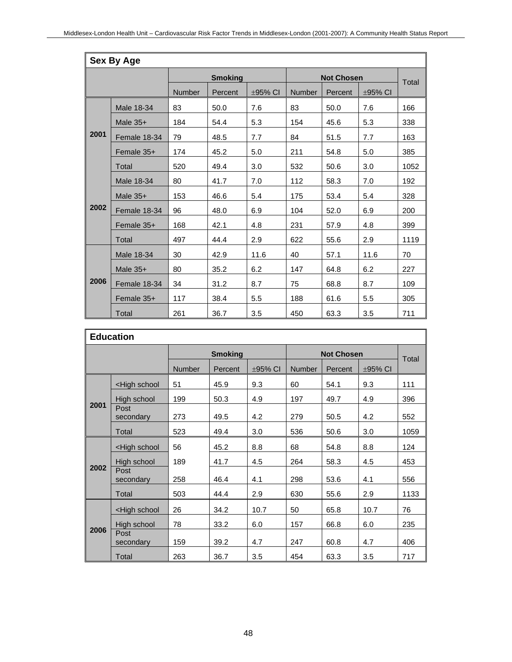|      | <b>Sex By Age</b> |        |                |              |        |                   |         |       |  |  |  |
|------|-------------------|--------|----------------|--------------|--------|-------------------|---------|-------|--|--|--|
|      |                   |        | <b>Smoking</b> |              |        | <b>Not Chosen</b> |         | Total |  |  |  |
|      |                   | Number | Percent        | $\pm$ 95% CI | Number | Percent           | ±95% CI |       |  |  |  |
|      | Male 18-34        | 83     | 50.0           | 7.6          | 83     | 50.0              | 7.6     | 166   |  |  |  |
|      | Male $35+$        | 184    | 54.4           | 5.3          | 154    | 45.6              | 5.3     | 338   |  |  |  |
| 2001 | Female 18-34      | 79     | 48.5           | 7.7          | 84     | 51.5              | 7.7     | 163   |  |  |  |
|      | Female 35+        | 174    | 45.2           | 5.0          | 211    | 54.8              | 5.0     | 385   |  |  |  |
|      | Total             | 520    | 49.4           | 3.0          | 532    | 50.6              | 3.0     | 1052  |  |  |  |
|      | Male 18-34        | 80     | 41.7           | 7.0          | 112    | 58.3              | 7.0     | 192   |  |  |  |
|      | Male $35+$        | 153    | 46.6           | 5.4          | 175    | 53.4              | 5.4     | 328   |  |  |  |
| 2002 | Female 18-34      | 96     | 48.0           | 6.9          | 104    | 52.0              | 6.9     | 200   |  |  |  |
|      | Female 35+        | 168    | 42.1           | 4.8          | 231    | 57.9              | 4.8     | 399   |  |  |  |
|      | Total             | 497    | 44.4           | 2.9          | 622    | 55.6              | 2.9     | 1119  |  |  |  |
|      | Male 18-34        | 30     | 42.9           | 11.6         | 40     | 57.1              | 11.6    | 70    |  |  |  |
|      | Male $35+$        | 80     | 35.2           | 6.2          | 147    | 64.8              | 6.2     | 227   |  |  |  |
| 2006 | Female 18-34      | 34     | 31.2           | 8.7          | 75     | 68.8              | 8.7     | 109   |  |  |  |
|      | Female 35+        | 117    | 38.4           | 5.5          | 188    | 61.6              | 5.5     | 305   |  |  |  |
|      | Total             | 261    | 36.7           | 3.5          | 450    | 63.3              | 3.5     | 711   |  |  |  |

|      | <b>Education</b>                                                                                                    |               |                |              |               |                   |              |              |  |  |
|------|---------------------------------------------------------------------------------------------------------------------|---------------|----------------|--------------|---------------|-------------------|--------------|--------------|--|--|
|      |                                                                                                                     |               | <b>Smoking</b> |              |               | <b>Not Chosen</b> |              | <b>Total</b> |  |  |
|      |                                                                                                                     | <b>Number</b> | Percent        | $\pm$ 95% CI | <b>Number</b> | Percent           | $\pm$ 95% CI |              |  |  |
|      | <high school<="" th=""><th>51</th><th>45.9</th><th>9.3</th><th>60</th><th>54.1</th><th>9.3</th><th>111</th></high>  | 51            | 45.9           | 9.3          | 60            | 54.1              | 9.3          | 111          |  |  |
| 2001 | High school                                                                                                         | 199           | 50.3           | 4.9          | 197           | 49.7              | 4.9          | 396          |  |  |
|      | Post<br>secondary                                                                                                   | 273           | 49.5           | 4.2          | 279           | 50.5              | 4.2          | 552          |  |  |
|      | Total                                                                                                               | 523           | 49.4           | 3.0          | 536           | 50.6              | 3.0          | 1059         |  |  |
|      | <high school<="" th=""><th>56</th><th>45.2</th><th>8.8</th><th>68</th><th>54.8</th><th>8.8</th><th>124</th></high>  | 56            | 45.2           | 8.8          | 68            | 54.8              | 8.8          | 124          |  |  |
|      | High school                                                                                                         | 189           | 41.7           | 4.5          | 264           | 58.3              | 4.5          | 453          |  |  |
| 2002 | Post<br>secondary                                                                                                   | 258           | 46.4           | 4.1          | 298           | 53.6              | 4.1          | 556          |  |  |
|      | Total                                                                                                               | 503           | 44.4           | 2.9          | 630           | 55.6              | 2.9          | 1133         |  |  |
|      | <high school<="" th=""><th>26</th><th>34.2</th><th>10.7</th><th>50</th><th>65.8</th><th>10.7</th><th>76</th></high> | 26            | 34.2           | 10.7         | 50            | 65.8              | 10.7         | 76           |  |  |
|      | High school                                                                                                         | 78            | 33.2           | 6.0          | 157           | 66.8              | 6.0          | 235          |  |  |
| 2006 | Post<br>secondary                                                                                                   | 159           | 39.2           | 4.7          | 247           | 60.8              | 4.7          | 406          |  |  |
|      | Total                                                                                                               | 263           | 36.7           | 3.5          | 454           | 63.3              | 3.5          | 717          |  |  |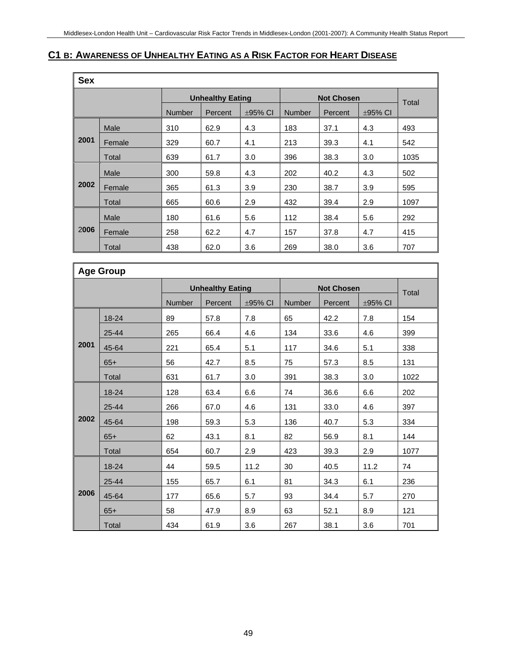# **C1 B: AWARENESS OF UNHEALTHY EATING AS A RISK FACTOR FOR HEART DISEASE**

| <b>Sex</b> |        |               |                         |              |                   |         |              |      |  |  |  |
|------------|--------|---------------|-------------------------|--------------|-------------------|---------|--------------|------|--|--|--|
|            |        |               | <b>Unhealthy Eating</b> |              | <b>Not Chosen</b> | Total   |              |      |  |  |  |
|            |        | <b>Number</b> | Percent                 | $\pm$ 95% CI | <b>Number</b>     | Percent | $\pm$ 95% CI |      |  |  |  |
|            | Male   | 310           | 62.9                    | 4.3          | 183               | 37.1    | 4.3          | 493  |  |  |  |
| 2001       | Female | 329           | 60.7                    | 4.1          | 213               | 39.3    | 4.1          | 542  |  |  |  |
|            | Total  | 639           | 61.7                    | 3.0          | 396               | 38.3    | 3.0          | 1035 |  |  |  |
|            | Male   | 300           | 59.8                    | 4.3          | 202               | 40.2    | 4.3          | 502  |  |  |  |
| 2002       | Female | 365           | 61.3                    | 3.9          | 230               | 38.7    | 3.9          | 595  |  |  |  |
|            | Total  | 665           | 60.6                    | 2.9          | 432               | 39.4    | 2.9          | 1097 |  |  |  |
|            | Male   | 180           | 61.6                    | 5.6          | 112               | 38.4    | 5.6          | 292  |  |  |  |
| 2006       | Female | 258           | 62.2                    | 4.7          | 157               | 37.8    | 4.7          | 415  |  |  |  |
|            | Total  | 438           | 62.0                    | 3.6          | 269               | 38.0    | 3.6          | 707  |  |  |  |

|      | <b>Age Group</b> |        |                         |         |        |                   |              |       |  |  |  |  |
|------|------------------|--------|-------------------------|---------|--------|-------------------|--------------|-------|--|--|--|--|
|      |                  |        | <b>Unhealthy Eating</b> |         |        | <b>Not Chosen</b> |              | Total |  |  |  |  |
|      |                  | Number | Percent                 | ±95% CI | Number | Percent           | $\pm$ 95% CI |       |  |  |  |  |
|      | 18-24            | 89     | 57.8                    | 7.8     | 65     | 42.2              | 7.8          | 154   |  |  |  |  |
|      | 25-44            | 265    | 66.4                    | 4.6     | 134    | 33.6              | 4.6          | 399   |  |  |  |  |
| 2001 | 45-64            | 221    | 65.4                    | 5.1     | 117    | 34.6              | 5.1          | 338   |  |  |  |  |
|      | $65+$            | 56     | 42.7                    | 8.5     | 75     | 57.3              | 8.5          | 131   |  |  |  |  |
|      | Total            | 631    | 61.7                    | 3.0     | 391    | 38.3              | 3.0          | 1022  |  |  |  |  |
|      | 18-24            | 128    | 63.4                    | 6.6     | 74     | 36.6              | 6.6          | 202   |  |  |  |  |
|      | 25-44            | 266    | 67.0                    | 4.6     | 131    | 33.0              | 4.6          | 397   |  |  |  |  |
| 2002 | 45-64            | 198    | 59.3                    | 5.3     | 136    | 40.7              | 5.3          | 334   |  |  |  |  |
|      | $65+$            | 62     | 43.1                    | 8.1     | 82     | 56.9              | 8.1          | 144   |  |  |  |  |
|      | Total            | 654    | 60.7                    | 2.9     | 423    | 39.3              | 2.9          | 1077  |  |  |  |  |
|      | 18-24            | 44     | 59.5                    | 11.2    | 30     | 40.5              | 11.2         | 74    |  |  |  |  |
|      | 25-44            | 155    | 65.7                    | 6.1     | 81     | 34.3              | 6.1          | 236   |  |  |  |  |
| 2006 | 45-64            | 177    | 65.6                    | 5.7     | 93     | 34.4              | 5.7          | 270   |  |  |  |  |
|      | $65+$            | 58     | 47.9                    | 8.9     | 63     | 52.1              | 8.9          | 121   |  |  |  |  |
|      | Total            | 434    | 61.9                    | 3.6     | 267    | 38.1              | 3.6          | 701   |  |  |  |  |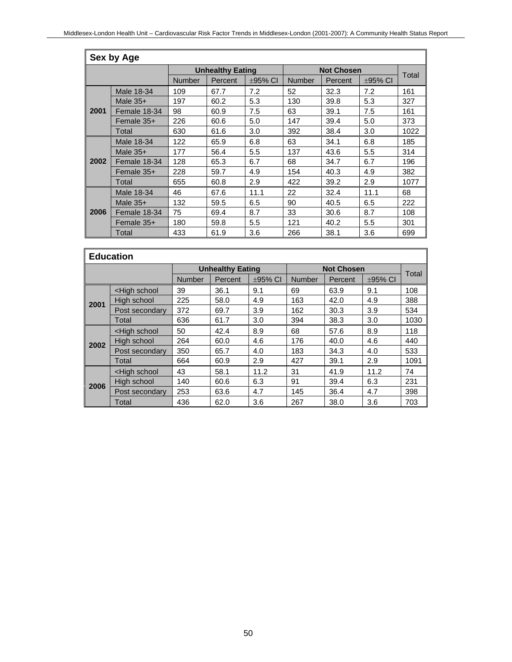|      | Sex by Age   |               |                         |              |               |                   |              |       |  |  |  |  |
|------|--------------|---------------|-------------------------|--------------|---------------|-------------------|--------------|-------|--|--|--|--|
|      |              |               | <b>Unhealthy Eating</b> |              |               | <b>Not Chosen</b> |              | Total |  |  |  |  |
|      |              | <b>Number</b> | Percent                 | $\pm$ 95% CI | <b>Number</b> | Percent           | $\pm$ 95% CI |       |  |  |  |  |
|      | Male 18-34   | 109           | 67.7                    | 7.2          | 52            | 32.3              | 7.2          | 161   |  |  |  |  |
|      | Male $35+$   | 197           | 60.2                    | 5.3          | 130           | 39.8              | 5.3          | 327   |  |  |  |  |
| 2001 | Female 18-34 | 98            | 60.9                    | 7.5          | 63            | 39.1              | 7.5          | 161   |  |  |  |  |
|      | Female 35+   | 226           | 60.6                    | 5.0          | 147           | 39.4              | 5.0          | 373   |  |  |  |  |
|      | Total        | 630           | 61.6                    | 3.0          | 392           | 38.4              | 3.0          | 1022  |  |  |  |  |
|      | Male 18-34   | 122           | 65.9                    | 6.8          | 63            | 34.1              | 6.8          | 185   |  |  |  |  |
|      | Male $35+$   | 177           | 56.4                    | 5.5          | 137           | 43.6              | 5.5          | 314   |  |  |  |  |
| 2002 | Female 18-34 | 128           | 65.3                    | 6.7          | 68            | 34.7              | 6.7          | 196   |  |  |  |  |
|      | Female $35+$ | 228           | 59.7                    | 4.9          | 154           | 40.3              | 4.9          | 382   |  |  |  |  |
|      | Total        | 655           | 60.8                    | 2.9          | 422           | 39.2              | 2.9          | 1077  |  |  |  |  |
|      | Male 18-34   | 46            | 67.6                    | 11.1         | 22            | 32.4              | 11.1         | 68    |  |  |  |  |
|      | Male $35+$   | 132           | 59.5                    | 6.5          | 90            | 40.5              | 6.5          | 222   |  |  |  |  |
| 2006 | Female 18-34 | 75            | 69.4                    | 8.7          | 33            | 30.6              | 8.7          | 108   |  |  |  |  |
|      | Female $35+$ | 180           | 59.8                    | 5.5          | 121           | 40.2              | 5.5          | 301   |  |  |  |  |
|      | Total        | 433           | 61.9                    | 3.6          | 266           | 38.1              | 3.6          | 699   |  |  |  |  |

| <b>Education</b> |                                                                                                                     |               |                         |         |                   |         |              |       |  |  |
|------------------|---------------------------------------------------------------------------------------------------------------------|---------------|-------------------------|---------|-------------------|---------|--------------|-------|--|--|
|                  |                                                                                                                     |               | <b>Unhealthy Eating</b> |         | <b>Not Chosen</b> |         |              |       |  |  |
|                  |                                                                                                                     | <b>Number</b> | Percent                 | ±95% CI | <b>Number</b>     | Percent | $\pm$ 95% CI | Total |  |  |
|                  | <high school<="" th=""><th>39</th><th>36.1</th><th>9.1</th><th>69</th><th>63.9</th><th>9.1</th><th>108</th></high>  | 39            | 36.1                    | 9.1     | 69                | 63.9    | 9.1          | 108   |  |  |
| 2001             | High school                                                                                                         | 225           | 58.0                    | 4.9     | 163               | 42.0    | 4.9          | 388   |  |  |
|                  | Post secondary                                                                                                      | 372           | 69.7                    | 3.9     | 162               | 30.3    | 3.9          | 534   |  |  |
|                  | Total                                                                                                               | 636           | 61.7                    | 3.0     | 394               | 38.3    | 3.0          | 1030  |  |  |
|                  | <high school<="" th=""><th>50</th><th>42.4</th><th>8.9</th><th>68</th><th>57.6</th><th>8.9</th><th>118</th></high>  | 50            | 42.4                    | 8.9     | 68                | 57.6    | 8.9          | 118   |  |  |
| 2002             | High school                                                                                                         | 264           | 60.0                    | 4.6     | 176               | 40.0    | 4.6          | 440   |  |  |
|                  | Post secondary                                                                                                      | 350           | 65.7                    | 4.0     | 183               | 34.3    | 4.0          | 533   |  |  |
|                  | Total                                                                                                               | 664           | 60.9                    | 2.9     | 427               | 39.1    | 2.9          | 1091  |  |  |
|                  | <high school<="" th=""><th>43</th><th>58.1</th><th>11.2</th><th>31</th><th>41.9</th><th>11.2</th><th>74</th></high> | 43            | 58.1                    | 11.2    | 31                | 41.9    | 11.2         | 74    |  |  |
| 2006             | High school                                                                                                         | 140           | 60.6                    | 6.3     | 91                | 39.4    | 6.3          | 231   |  |  |
|                  | Post secondary                                                                                                      | 253           | 63.6                    | 4.7     | 145               | 36.4    | 4.7          | 398   |  |  |
|                  | Total                                                                                                               | 436           | 62.0                    | 3.6     | 267               | 38.0    | 3.6          | 703   |  |  |

٦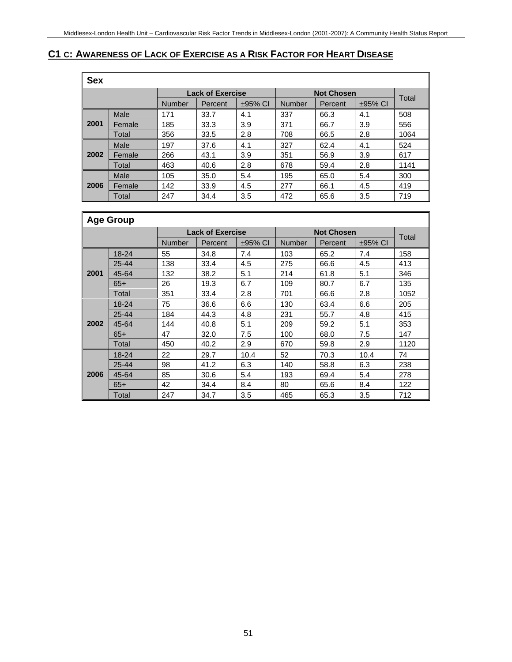# **C1 C: AWARENESS OF LACK OF EXERCISE AS A RISK FACTOR FOR HEART DISEASE**

| <b>Sex</b> |        |               |                         |              |               |                   |              |       |
|------------|--------|---------------|-------------------------|--------------|---------------|-------------------|--------------|-------|
|            |        |               | <b>Lack of Exercise</b> |              |               | <b>Not Chosen</b> |              | Total |
|            |        | <b>Number</b> | Percent                 | $\pm$ 95% CI | <b>Number</b> | Percent           | $\pm$ 95% CI |       |
|            | Male   | 171           | 33.7                    | 4.1          | 337           | 66.3              | 4.1          | 508   |
| 2001       | Female | 185           | 33.3                    | 3.9          | 371           | 66.7              | 3.9          | 556   |
|            | Total  | 356           | 33.5                    | 2.8          | 708           | 66.5              | 2.8          | 1064  |
|            | Male   | 197           | 37.6                    | 4.1          | 327           | 62.4              | 4.1          | 524   |
| 2002       | Female | 266           | 43.1                    | 3.9          | 351           | 56.9              | 3.9          | 617   |
|            | Total  | 463           | 40.6                    | 2.8          | 678           | 59.4              | 2.8          | 1141  |
|            | Male   | 105           | 35.0                    | 5.4          | 195           | 65.0              | 5.4          | 300   |
| 2006       | Female | 142           | 33.9                    | 4.5          | 277           | 66.1              | 4.5          | 419   |
|            | Total  | 247           | 34.4                    | 3.5          | 472           | 65.6              | 3.5          | 719   |

|      | <b>Age Group</b> |        |                         |              |               |                   |              |       |
|------|------------------|--------|-------------------------|--------------|---------------|-------------------|--------------|-------|
|      |                  |        | <b>Lack of Exercise</b> |              |               | <b>Not Chosen</b> |              | Total |
|      |                  | Number | Percent                 | $\pm$ 95% CI | <b>Number</b> | Percent           | $\pm$ 95% CI |       |
|      | 18-24            | 55     | 34.8                    | 7.4          | 103           | 65.2              | 7.4          | 158   |
|      | 25-44            | 138    | 33.4                    | 4.5          | 275           | 66.6              | 4.5          | 413   |
| 2001 | 45-64            | 132    | 38.2                    | 5.1          | 214           | 61.8              | 5.1          | 346   |
|      | $65+$            | 26     | 19.3                    | 6.7          | 109           | 80.7              | 6.7          | 135   |
|      | Total            | 351    | 33.4                    | 2.8          | 701           | 66.6              | 2.8          | 1052  |
|      | $18 - 24$        | 75     | 36.6                    | 6.6          | 130           | 63.4              | 6.6          | 205   |
|      | 25-44            | 184    | 44.3                    | 4.8          | 231           | 55.7              | 4.8          | 415   |
| 2002 | 45-64            | 144    | 40.8                    | 5.1          | 209           | 59.2              | 5.1          | 353   |
|      | $65+$            | 47     | 32.0                    | 7.5          | 100           | 68.0              | 7.5          | 147   |
|      | Total            | 450    | 40.2                    | 2.9          | 670           | 59.8              | 2.9          | 1120  |
|      | 18-24            | 22     | 29.7                    | 10.4         | 52            | 70.3              | 10.4         | 74    |
|      | 25-44            | 98     | 41.2                    | 6.3          | 140           | 58.8              | 6.3          | 238   |
| 2006 | 45-64            | 85     | 30.6                    | 5.4          | 193           | 69.4              | 5.4          | 278   |
|      | $65+$            | 42     | 34.4                    | 8.4          | 80            | 65.6              | 8.4          | 122   |
|      | Total            | 247    | 34.7                    | 3.5          | 465           | 65.3              | 3.5          | 712   |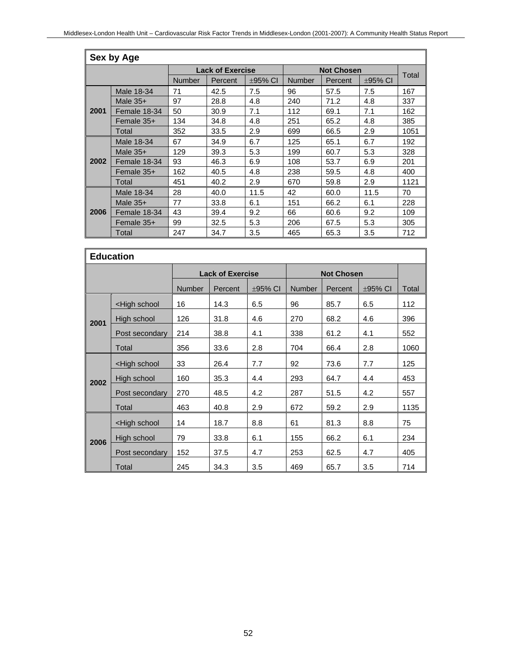|      | Sex by Age   |               |                         |              |               |                   |              |       |  |  |  |  |
|------|--------------|---------------|-------------------------|--------------|---------------|-------------------|--------------|-------|--|--|--|--|
|      |              |               | <b>Lack of Exercise</b> |              |               | <b>Not Chosen</b> |              |       |  |  |  |  |
|      |              | <b>Number</b> | Percent                 | $\pm$ 95% CI | <b>Number</b> | Percent           | $\pm$ 95% CI | Total |  |  |  |  |
|      | Male 18-34   | 71            | 42.5                    | 7.5          | 96            | 57.5              | 7.5          | 167   |  |  |  |  |
|      | Male $35+$   | 97            | 28.8                    | 4.8          | 240           | 71.2              | 4.8          | 337   |  |  |  |  |
| 2001 | Female 18-34 | 50            | 30.9                    | 7.1          | 112           | 69.1              | 7.1          | 162   |  |  |  |  |
|      | Female 35+   | 134           | 34.8                    | 4.8          | 251           | 65.2              | 4.8          | 385   |  |  |  |  |
|      | Total        | 352           | 33.5                    | 2.9          | 699           | 66.5              | 2.9          | 1051  |  |  |  |  |
|      | Male 18-34   | 67            | 34.9                    | 6.7          | 125           | 65.1              | 6.7          | 192   |  |  |  |  |
|      | Male $35+$   | 129           | 39.3                    | 5.3          | 199           | 60.7              | 5.3          | 328   |  |  |  |  |
| 2002 | Female 18-34 | 93            | 46.3                    | 6.9          | 108           | 53.7              | 6.9          | 201   |  |  |  |  |
|      | Female $35+$ | 162           | 40.5                    | 4.8          | 238           | 59.5              | 4.8          | 400   |  |  |  |  |
|      | Total        | 451           | 40.2                    | 2.9          | 670           | 59.8              | 2.9          | 1121  |  |  |  |  |
|      | Male 18-34   | 28            | 40.0                    | 11.5         | 42            | 60.0              | 11.5         | 70    |  |  |  |  |
|      | Male $35+$   | 77            | 33.8                    | 6.1          | 151           | 66.2              | 6.1          | 228   |  |  |  |  |
| 2006 | Female 18-34 | 43            | 39.4                    | 9.2          | 66            | 60.6              | 9.2          | 109   |  |  |  |  |
|      | Female $35+$ | 99            | 32.5                    | 5.3          | 206           | 67.5              | 5.3          | 305   |  |  |  |  |
|      | Total        | 247           | 34.7                    | 3.5          | 465           | 65.3              | 3.5          | 712   |  |  |  |  |

|      | <b>Education</b>                                                                                                   |                         |         |              |                   |         |              |       |
|------|--------------------------------------------------------------------------------------------------------------------|-------------------------|---------|--------------|-------------------|---------|--------------|-------|
|      |                                                                                                                    | <b>Lack of Exercise</b> |         |              | <b>Not Chosen</b> |         |              |       |
|      |                                                                                                                    | <b>Number</b>           | Percent | $\pm$ 95% CI | <b>Number</b>     | Percent | $\pm$ 95% CI | Total |
|      | <high school<="" td=""><td>16</td><td>14.3</td><td>6.5</td><td>96</td><td>85.7</td><td>6.5</td><td>112</td></high> | 16                      | 14.3    | 6.5          | 96                | 85.7    | 6.5          | 112   |
| 2001 | High school                                                                                                        | 126                     | 31.8    | 4.6          | 270               | 68.2    | 4.6          | 396   |
|      | Post secondary                                                                                                     | 214                     | 38.8    | 4.1          | 338               | 61.2    | 4.1          | 552   |
|      | Total                                                                                                              | 356                     | 33.6    | 2.8          | 704               | 66.4    | 2.8          | 1060  |
|      | <high school<="" td=""><td>33</td><td>26.4</td><td>7.7</td><td>92</td><td>73.6</td><td>7.7</td><td>125</td></high> | 33                      | 26.4    | 7.7          | 92                | 73.6    | 7.7          | 125   |
| 2002 | High school                                                                                                        | 160                     | 35.3    | 4.4          | 293               | 64.7    | 4.4          | 453   |
|      | Post secondary                                                                                                     | 270                     | 48.5    | 4.2          | 287               | 51.5    | 4.2          | 557   |
|      | Total                                                                                                              | 463                     | 40.8    | 2.9          | 672               | 59.2    | 2.9          | 1135  |
|      | <high school<="" td=""><td>14</td><td>18.7</td><td>8.8</td><td>61</td><td>81.3</td><td>8.8</td><td>75</td></high>  | 14                      | 18.7    | 8.8          | 61                | 81.3    | 8.8          | 75    |
|      | High school                                                                                                        | 79                      | 33.8    | 6.1          | 155               | 66.2    | 6.1          | 234   |
| 2006 | Post secondary                                                                                                     | 152                     | 37.5    | 4.7          | 253               | 62.5    | 4.7          | 405   |
|      | Total                                                                                                              | 245                     | 34.3    | 3.5          | 469               | 65.7    | 3.5          | 714   |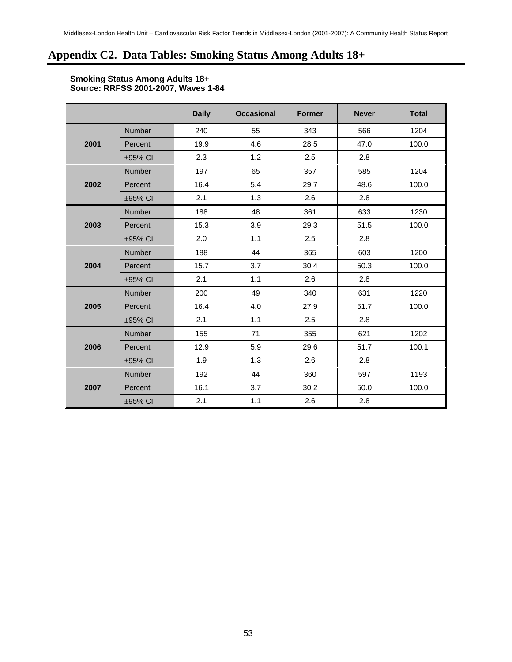# **Appendix C2. Data Tables: Smoking Status Among Adults 18+**

#### **Smoking Status Among Adults 18+ Source: RRFSS 2001-2007, Waves 1-84**

|      |               | <b>Daily</b> | <b>Occasional</b> | <b>Former</b> | <b>Never</b> | <b>Total</b> |
|------|---------------|--------------|-------------------|---------------|--------------|--------------|
|      | <b>Number</b> | 240          | 55                | 343           | 566          | 1204         |
| 2001 | Percent       | 19.9         | 4.6               | 28.5          | 47.0         | 100.0        |
|      | ±95% CI       | 2.3          | 1.2               | 2.5           | 2.8          |              |
|      | Number        | 197          | 65                | 357           | 585          | 1204         |
| 2002 | Percent       | 16.4         | 5.4               | 29.7          | 48.6         | 100.0        |
|      | ±95% CI       | 2.1          | 1.3               | 2.6           | 2.8          |              |
|      | Number        | 188          | 48                | 361           | 633          | 1230         |
| 2003 | Percent       | 15.3         | 3.9               | 29.3          | 51.5         | 100.0        |
|      | ±95% CI       | 2.0          | 1.1               | 2.5           | 2.8          |              |
|      | Number        | 188          | 44                | 365           | 603          | 1200         |
| 2004 | Percent       | 15.7         | 3.7               | 30.4          | 50.3         | 100.0        |
|      | ±95% CI       | 2.1          | 1.1               | 2.6           | 2.8          |              |
|      | Number        | 200          | 49                | 340           | 631          | 1220         |
| 2005 | Percent       | 16.4         | 4.0               | 27.9          | 51.7         | 100.0        |
|      | ±95% CI       | 2.1          | 1.1               | 2.5           | 2.8          |              |
|      | Number        | 155          | 71                | 355           | 621          | 1202         |
| 2006 | Percent       | 12.9         | 5.9               | 29.6          | 51.7         | 100.1        |
|      | ±95% CI       | 1.9          | 1.3               | 2.6           | 2.8          |              |
|      | Number        | 192          | 44                | 360           | 597          | 1193         |
| 2007 | Percent       | 16.1         | 3.7               | 30.2          | 50.0         | 100.0        |
|      | ±95% CI       | 2.1          | 1.1               | 2.6           | 2.8          |              |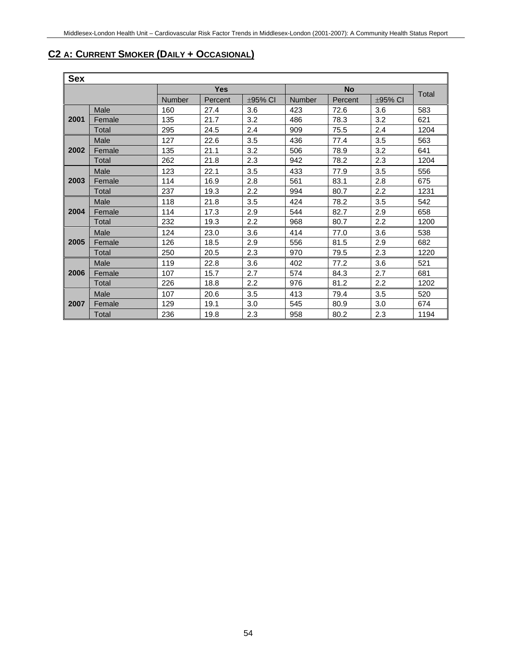# **C2 A: CURRENT SMOKER (DAILY + OCCASIONAL)**

| Sex  |        |               |            |              |               |           |              |       |
|------|--------|---------------|------------|--------------|---------------|-----------|--------------|-------|
|      |        |               | <b>Yes</b> |              |               | <b>No</b> |              |       |
|      |        | <b>Number</b> | Percent    | $\pm$ 95% CI | <b>Number</b> | Percent   | $\pm$ 95% CI | Total |
|      | Male   | 160           | 27.4       | 3.6          | 423           | 72.6      | 3.6          | 583   |
| 2001 | Female | 135           | 21.7       | 3.2          | 486           | 78.3      | 3.2          | 621   |
|      | Total  | 295           | 24.5       | 2.4          | 909           | 75.5      | 2.4          | 1204  |
|      | Male   | 127           | 22.6       | 3.5          | 436           | 77.4      | 3.5          | 563   |
| 2002 | Female | 135           | 21.1       | 3.2          | 506           | 78.9      | 3.2          | 641   |
|      | Total  | 262           | 21.8       | 2.3          | 942           | 78.2      | 2.3          | 1204  |
|      | Male   | 123           | 22.1       | 3.5          | 433           | 77.9      | 3.5          | 556   |
| 2003 | Female | 114           | 16.9       | 2.8          | 561           | 83.1      | 2.8          | 675   |
|      | Total  | 237           | 19.3       | 2.2          | 994           | 80.7      | 2.2          | 1231  |
|      | Male   | 118           | 21.8       | 3.5          | 424           | 78.2      | 3.5          | 542   |
| 2004 | Female | 114           | 17.3       | 2.9          | 544           | 82.7      | 2.9          | 658   |
|      | Total  | 232           | 19.3       | 2.2          | 968           | 80.7      | 2.2          | 1200  |
|      | Male   | 124           | 23.0       | 3.6          | 414           | 77.0      | 3.6          | 538   |
| 2005 | Female | 126           | 18.5       | 2.9          | 556           | 81.5      | 2.9          | 682   |
|      | Total  | 250           | 20.5       | 2.3          | 970           | 79.5      | 2.3          | 1220  |
|      | Male   | 119           | 22.8       | 3.6          | 402           | 77.2      | 3.6          | 521   |
| 2006 | Female | 107           | 15.7       | 2.7          | 574           | 84.3      | 2.7          | 681   |
|      | Total  | 226           | 18.8       | 2.2          | 976           | 81.2      | 2.2          | 1202  |
|      | Male   | 107           | 20.6       | 3.5          | 413           | 79.4      | 3.5          | 520   |
| 2007 | Female | 129           | 19.1       | 3.0          | 545           | 80.9      | 3.0          | 674   |
|      | Total  | 236           | 19.8       | 2.3          | 958           | 80.2      | 2.3          | 1194  |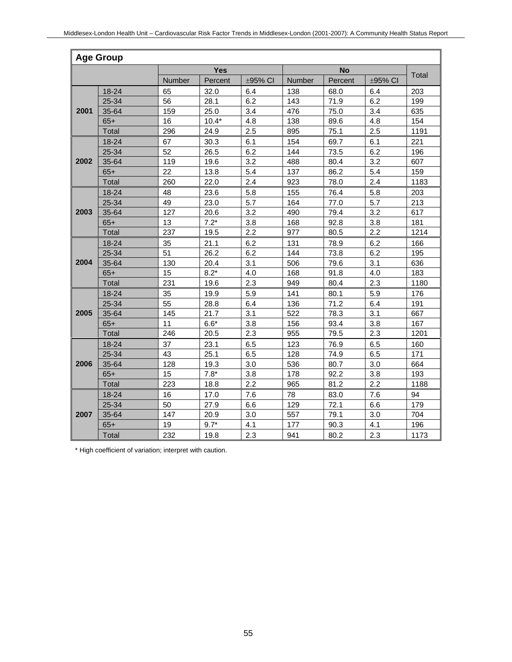|      | <b>Age Group</b> |               |            |         |               |           |         |       |
|------|------------------|---------------|------------|---------|---------------|-----------|---------|-------|
|      |                  |               | <b>Yes</b> |         |               | <b>No</b> |         |       |
|      |                  | <b>Number</b> | Percent    | ±95% CI | <b>Number</b> | Percent   | ±95% CI | Total |
|      | 18-24            | 65            | 32.0       | 6.4     | 138           | 68.0      | 6.4     | 203   |
|      | 25-34            | 56            | 28.1       | 6.2     | 143           | 71.9      | 6.2     | 199   |
| 2001 | 35-64            | 159           | 25.0       | 3.4     | 476           | 75.0      | 3.4     | 635   |
|      | $65+$            | 16            | $10.4*$    | 4.8     | 138           | 89.6      | 4.8     | 154   |
|      | Total            | 296           | 24.9       | 2.5     | 895           | 75.1      | 2.5     | 1191  |
|      | 18-24            | 67            | 30.3       | 6.1     | 154           | 69.7      | 6.1     | 221   |
|      | 25-34            | 52            | 26.5       | 6.2     | 144           | 73.5      | 6.2     | 196   |
| 2002 | 35-64            | 119           | 19.6       | 3.2     | 488           | 80.4      | 3.2     | 607   |
|      | $65+$            | 22            | 13.8       | 5.4     | 137           | 86.2      | 5.4     | 159   |
|      | <b>Total</b>     | 260           | 22.0       | 2.4     | 923           | 78.0      | 2.4     | 1183  |
|      | 18-24            | 48            | 23.6       | 5.8     | 155           | 76.4      | 5.8     | 203   |
|      | 25-34            | 49            | 23.0       | 5.7     | 164           | 77.0      | 5.7     | 213   |
| 2003 | 35-64            | 127           | 20.6       | 3.2     | 490           | 79.4      | 3.2     | 617   |
|      | $65+$            | 13            | $7.2*$     | 3.8     | 168           | 92.8      | 3.8     | 181   |
|      | Total            | 237           | 19.5       | 2.2     | 977           | 80.5      | 2.2     | 1214  |
|      | 18-24            | 35            | 21.1       | 6.2     | 131           | 78.9      | 6.2     | 166   |
|      | 25-34            | 51            | 26.2       | 6.2     | 144           | 73.8      | 6.2     | 195   |
| 2004 | 35-64            | 130           | 20.4       | 3.1     | 506           | 79.6      | 3.1     | 636   |
|      | $65+$            | 15            | $8.2*$     | 4.0     | 168           | 91.8      | 4.0     | 183   |
|      | <b>Total</b>     | 231           | 19.6       | 2.3     | 949           | 80.4      | 2.3     | 1180  |
|      | $18 - 24$        | 35            | 19.9       | 5.9     | 141           | 80.1      | 5.9     | 176   |
|      | 25-34            | 55            | 28.8       | 6.4     | 136           | 71.2      | 6.4     | 191   |
| 2005 | 35-64            | 145           | 21.7       | 3.1     | 522           | 78.3      | 3.1     | 667   |
|      | $65+$            | 11            | $6.6*$     | 3.8     | 156           | 93.4      | 3.8     | 167   |
|      | Total            | 246           | 20.5       | 2.3     | 955           | 79.5      | 2.3     | 1201  |
|      | 18-24            | 37            | 23.1       | 6.5     | 123           | 76.9      | 6.5     | 160   |
|      | 25-34            | 43            | 25.1       | 6.5     | 128           | 74.9      | 6.5     | 171   |
| 2006 | 35-64            | 128           | 19.3       | 3.0     | 536           | 80.7      | 3.0     | 664   |
|      | $65+$            | 15            | $7.8*$     | 3.8     | 178           | 92.2      | 3.8     | 193   |
|      | Total            | 223           | 18.8       | 2.2     | 965           | 81.2      | 2.2     | 1188  |
|      | $18 - 24$        | 16            | 17.0       | 7.6     | 78            | 83.0      | 7.6     | 94    |
|      | 25-34            | 50            | 27.9       | 6.6     | 129           | 72.1      | 6.6     | 179   |
| 2007 | 35-64            | 147           | 20.9       | 3.0     | 557           | 79.1      | 3.0     | 704   |
|      | $65+$            | 19            | $9.7*$     | 4.1     | 177           | 90.3      | 4.1     | 196   |
|      | <b>Total</b>     | 232           | 19.8       | 2.3     | 941           | 80.2      | 2.3     | 1173  |

\* High coefficient of variation; interpret with caution.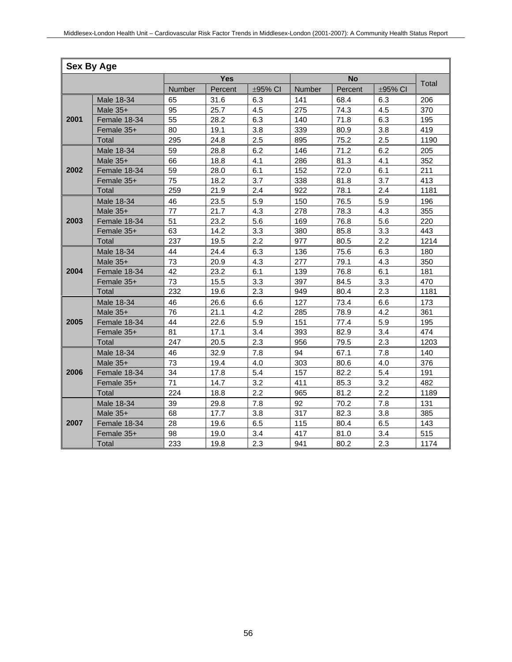|      | <b>Sex By Age</b> |        |            |         |        |           |         |       |
|------|-------------------|--------|------------|---------|--------|-----------|---------|-------|
|      |                   |        | <b>Yes</b> |         |        | <b>No</b> |         |       |
|      |                   | Number | Percent    | ±95% CI | Number | Percent   | ±95% CI | Total |
|      | Male 18-34        | 65     | 31.6       | 6.3     | 141    | 68.4      | 6.3     | 206   |
|      | Male $35+$        | 95     | 25.7       | 4.5     | 275    | 74.3      | 4.5     | 370   |
| 2001 | Female 18-34      | 55     | 28.2       | 6.3     | 140    | 71.8      | 6.3     | 195   |
|      | Female 35+        | 80     | 19.1       | 3.8     | 339    | 80.9      | 3.8     | 419   |
|      | Total             | 295    | 24.8       | 2.5     | 895    | 75.2      | 2.5     | 1190  |
|      | Male 18-34        | 59     | 28.8       | 6.2     | 146    | 71.2      | 6.2     | 205   |
|      | Male 35+          | 66     | 18.8       | 4.1     | 286    | 81.3      | 4.1     | 352   |
| 2002 | Female 18-34      | 59     | 28.0       | 6.1     | 152    | 72.0      | 6.1     | 211   |
|      | Female 35+        | 75     | 18.2       | 3.7     | 338    | 81.8      | 3.7     | 413   |
|      | Total             | 259    | 21.9       | 2.4     | 922    | 78.1      | 2.4     | 1181  |
|      | Male 18-34        | 46     | 23.5       | 5.9     | 150    | 76.5      | 5.9     | 196   |
|      | Male 35+          | 77     | 21.7       | 4.3     | 278    | 78.3      | 4.3     | 355   |
| 2003 | Female 18-34      | 51     | 23.2       | 5.6     | 169    | 76.8      | 5.6     | 220   |
|      | Female 35+        | 63     | 14.2       | 3.3     | 380    | 85.8      | 3.3     | 443   |
|      | Total             | 237    | 19.5       | 2.2     | 977    | 80.5      | 2.2     | 1214  |
|      | Male 18-34        | 44     | 24.4       | 6.3     | 136    | 75.6      | 6.3     | 180   |
|      | Male $35+$        | 73     | 20.9       | 4.3     | 277    | 79.1      | 4.3     | 350   |
| 2004 | Female 18-34      | 42     | 23.2       | 6.1     | 139    | 76.8      | 6.1     | 181   |
|      | Female 35+        | 73     | 15.5       | 3.3     | 397    | 84.5      | 3.3     | 470   |
|      | Total             | 232    | 19.6       | 2.3     | 949    | 80.4      | 2.3     | 1181  |
|      | Male 18-34        | 46     | 26.6       | 6.6     | 127    | 73.4      | 6.6     | 173   |
|      | Male 35+          | 76     | 21.1       | 4.2     | 285    | 78.9      | 4.2     | 361   |
| 2005 | Female 18-34      | 44     | 22.6       | 5.9     | 151    | 77.4      | 5.9     | 195   |
|      | Female 35+        | 81     | 17.1       | 3.4     | 393    | 82.9      | 3.4     | 474   |
|      | Total             | 247    | 20.5       | 2.3     | 956    | 79.5      | 2.3     | 1203  |
|      | Male 18-34        | 46     | 32.9       | 7.8     | 94     | 67.1      | 7.8     | 140   |
|      | Male $35+$        | 73     | 19.4       | 4.0     | 303    | 80.6      | 4.0     | 376   |
| 2006 | Female 18-34      | 34     | 17.8       | 5.4     | 157    | 82.2      | 5.4     | 191   |
|      | Female 35+        | 71     | 14.7       | 3.2     | 411    | 85.3      | 3.2     | 482   |
|      | Total             | 224    | 18.8       | 2.2     | 965    | 81.2      | 2.2     | 1189  |
|      | Male 18-34        | 39     | 29.8       | 7.8     | 92     | 70.2      | 7.8     | 131   |
|      | Male 35+          | 68     | 17.7       | 3.8     | 317    | 82.3      | 3.8     | 385   |
| 2007 | Female 18-34      | 28     | 19.6       | 6.5     | 115    | 80.4      | 6.5     | 143   |
|      | Female 35+        | 98     | 19.0       | 3.4     | 417    | 81.0      | 3.4     | 515   |
|      | Total             | 233    | 19.8       | 2.3     | 941    | 80.2      | 2.3     | 1174  |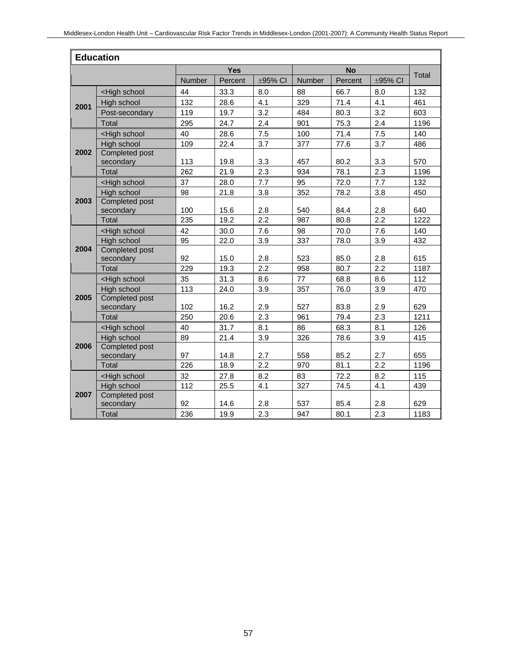|      | <b>Education</b>                                                                                                    |               |            |              |               |           |            |       |
|------|---------------------------------------------------------------------------------------------------------------------|---------------|------------|--------------|---------------|-----------|------------|-------|
|      |                                                                                                                     |               | <b>Yes</b> |              |               | <b>No</b> |            |       |
|      |                                                                                                                     | <b>Number</b> | Percent    | $\pm$ 95% CI | <b>Number</b> | Percent   | ±95% CI    | Total |
|      | <high school<="" td=""><td>44</td><td>33.3</td><td>8.0</td><td>88</td><td>66.7</td><td>8.0</td><td>132</td></high>  | 44            | 33.3       | 8.0          | 88            | 66.7      | 8.0        | 132   |
| 2001 | High school                                                                                                         | 132           | 28.6       | 4.1          | 329           | 71.4      | 4.1        | 461   |
|      | Post-secondary                                                                                                      | 119           | 19.7       | 3.2          | 484           | 80.3      | 3.2        | 603   |
|      | Total                                                                                                               | 295           | 24.7       | 2.4          | 901           | 75.3      | 2.4        | 1196  |
|      | <high school<="" td=""><td>40</td><td>28.6</td><td>7.5</td><td>100</td><td>71.4</td><td>7.5</td><td>140</td></high> | 40            | 28.6       | 7.5          | 100           | 71.4      | 7.5        | 140   |
|      | High school                                                                                                         | 109           | 22.4       | 3.7          | 377           | 77.6      | 3.7        | 486   |
| 2002 | Completed post                                                                                                      |               |            |              |               |           |            |       |
|      | secondary                                                                                                           | 113           | 19.8       | 3.3          | 457           | 80.2      | 3.3        | 570   |
|      | Total                                                                                                               | 262           | 21.9       | 2.3          | 934           | 78.1      | 2.3        | 1196  |
|      | <high school<="" td=""><td>37</td><td>28.0</td><td>7.7</td><td>95</td><td>72.0</td><td>7.7</td><td>132</td></high>  | 37            | 28.0       | 7.7          | 95            | 72.0      | 7.7        | 132   |
|      | High school                                                                                                         | 98            | 21.8       | 3.8          | 352           | 78.2      | 3.8        | 450   |
| 2003 | <b>Completed post</b>                                                                                               |               |            |              |               |           |            |       |
|      | secondary                                                                                                           | 100           | 15.6       | 2.8          | 540           | 84.4      | 2.8        | 640   |
|      | Total                                                                                                               | 235           | 19.2       | 2.2          | 987           | 80.8      | 2.2        | 1222  |
|      | <high school<="" td=""><td>42</td><td>30.0</td><td>7.6</td><td>98</td><td>70.0</td><td>7.6</td><td>140</td></high>  | 42            | 30.0       | 7.6          | 98            | 70.0      | 7.6        | 140   |
|      | High school                                                                                                         | 95            | 22.0       | 3.9          | 337           | 78.0      | 3.9        | 432   |
| 2004 | Completed post                                                                                                      | 92            |            |              |               |           |            |       |
|      | secondary                                                                                                           |               | 15.0       | 2.8<br>2.2   | 523           | 85.0      | 2.8<br>2.2 | 615   |
|      | Total                                                                                                               | 229           | 19.3       |              | 958           | 80.7      |            | 1187  |
|      | <high school<="" td=""><td>35</td><td>31.3</td><td>8.6</td><td>77</td><td>68.8</td><td>8.6</td><td>112</td></high>  | 35            | 31.3       | 8.6          | 77            | 68.8      | 8.6        | 112   |
| 2005 | High school<br>Completed post                                                                                       | 113           | 24.0       | 3.9          | 357           | 76.0      | 3.9        | 470   |
|      | secondary                                                                                                           | 102           | 16.2       | 2.9          | 527           | 83.8      | 2.9        | 629   |
|      | Total                                                                                                               | 250           | 20.6       | 2.3          | 961           | 79.4      | 2.3        | 1211  |
|      | <high school<="" td=""><td>40</td><td>31.7</td><td>8.1</td><td>86</td><td>68.3</td><td>8.1</td><td>126</td></high>  | 40            | 31.7       | 8.1          | 86            | 68.3      | 8.1        | 126   |
|      | High school                                                                                                         | 89            | 21.4       | 3.9          | 326           | 78.6      | 3.9        | 415   |
| 2006 | <b>Completed post</b>                                                                                               |               |            |              |               |           |            |       |
|      | secondary                                                                                                           | 97            | 14.8       | 2.7          | 558           | 85.2      | 2.7        | 655   |
|      | Total                                                                                                               | 226           | 18.9       | 2.2          | 970           | 81.1      | 2.2        | 1196  |
|      | <high school<="" td=""><td>32</td><td>27.8</td><td>8.2</td><td>83</td><td>72.2</td><td>8.2</td><td>115</td></high>  | 32            | 27.8       | 8.2          | 83            | 72.2      | 8.2        | 115   |
|      | High school                                                                                                         | 112           | 25.5       | 4.1          | 327           | 74.5      | 4.1        | 439   |
| 2007 | <b>Completed post</b>                                                                                               |               |            |              |               |           |            |       |
|      | secondary                                                                                                           | 92            | 14.6       | 2.8          | 537           | 85.4      | 2.8        | 629   |
|      | Total                                                                                                               | 236           | 19.9       | 2.3          | 947           | 80.1      | 2.3        | 1183  |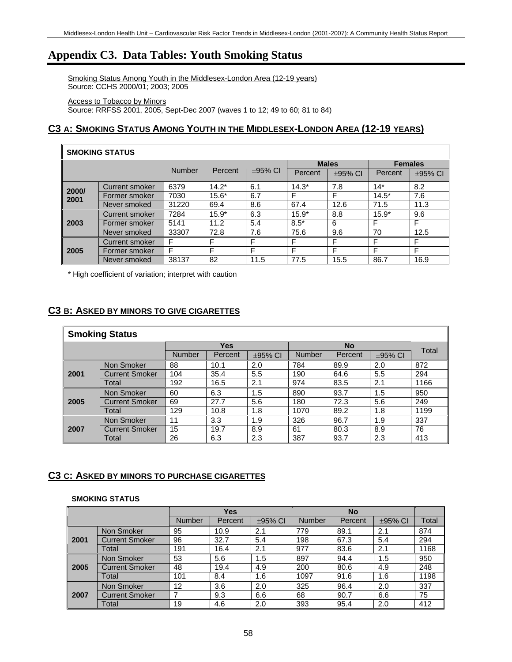# **Appendix C3. Data Tables: Youth Smoking Status**

Smoking Status Among Youth in the Middlesex-London Area (12-19 years) Source: CCHS 2000/01; 2003; 2005

Access to Tobacco by Minors Source: RRFSS 2001, 2005, Sept-Dec 2007 (waves 1 to 12; 49 to 60; 81 to 84)

# **C3 A: SMOKING STATUS AMONG YOUTH IN THE MIDDLESEX-LONDON AREA (12-19 YEARS)**

| <b>SMOKING STATUS</b> |                |               |         |              |         |              |                |               |  |  |
|-----------------------|----------------|---------------|---------|--------------|---------|--------------|----------------|---------------|--|--|
|                       |                |               |         |              |         | <b>Males</b> | <b>Females</b> |               |  |  |
|                       |                | <b>Number</b> | Percent | $\pm$ 95% CI | Percent | $\pm$ 95% CI | Percent        | $\pm 95\%$ CI |  |  |
| 2000/                 | Current smoker | 6379          | $14.2*$ | 6.1          | $14.3*$ | 7.8          | $14*$          | 8.2           |  |  |
| 2001                  | Former smoker  | 7030          | $15.6*$ | 6.7          | F       | F            | $14.5*$        | 7.6           |  |  |
|                       | Never smoked   | 31220         | 69.4    | 8.6          | 67.4    | 12.6         | 71.5           | 11.3          |  |  |
|                       | Current smoker | 7284          | $15.9*$ | 6.3          | $15.9*$ | 8.8          | $15.9*$        | 9.6           |  |  |
| 2003                  | Former smoker  | 5141          | 11.2    | 5.4          | $8.5*$  | 6            | F              | F             |  |  |
|                       | Never smoked   | 33307         | 72.8    | 7.6          | 75.6    | 9.6          | 70             | 12.5          |  |  |
|                       | Current smoker | F             | F       | F            | E       | F            | F              | F             |  |  |
| 2005                  | Former smoker  | F             | F       | F            | F       | F            | F              | F             |  |  |
|                       | Never smoked   | 38137         | 82      | 11.5         | 77.5    | 15.5         | 86.7           | 16.9          |  |  |

\* High coefficient of variation; interpret with caution

### **C3 B: ASKED BY MINORS TO GIVE CIGARETTES**

| <b>Smoking Status</b> |  |
|-----------------------|--|
|-----------------------|--|

|      |                       | <b>Yes</b>    |         |              |               | Total   |              |      |
|------|-----------------------|---------------|---------|--------------|---------------|---------|--------------|------|
|      |                       | <b>Number</b> | Percent | $\pm$ 95% CI | <b>Number</b> | Percent | $\pm$ 95% CI |      |
|      | Non Smoker            | 88            | 10.1    | 2.0          | 784           | 89.9    | 2.0          | 872  |
| 2001 | <b>Current Smoker</b> | 104           | 35.4    | 5.5          | 190           | 64.6    | 5.5          | 294  |
|      | Total                 | 192           | 16.5    | 2.1          | 974           | 83.5    | 2.1          | 1166 |
|      | Non Smoker            | 60            | 6.3     | 1.5          | 890           | 93.7    | 1.5          | 950  |
| 2005 | <b>Current Smoker</b> | 69            | 27.7    | 5.6          | 180           | 72.3    | 5.6          | 249  |
|      | Total                 | 129           | 10.8    | 1.8          | 1070          | 89.2    | 1.8          | 1199 |
|      | Non Smoker            | 11            | 3.3     | 1.9          | 326           | 96.7    | 1.9          | 337  |
| 2007 | Current Smoker        | 15            | 19.7    | 8.9          | 61            | 80.3    | 8.9          | 76   |
|      | Total                 | 26            | 6.3     | 2.3          | 387           | 93.7    | 2.3          | 413  |

### **C3 C: ASKED BY MINORS TO PURCHASE CIGARETTES**

#### **SMOKING STATUS**

|      |                       |               | Yes     |         |               | <b>No</b> |              |       |
|------|-----------------------|---------------|---------|---------|---------------|-----------|--------------|-------|
|      |                       | <b>Number</b> | Percent | ±95% CI | <b>Number</b> | Percent   | $\pm$ 95% CI | Total |
|      | Non Smoker            | 95            | 10.9    | 2.1     | 779           | 89.1      | 2.1          | 874   |
| 2001 | <b>Current Smoker</b> | 96            | 32.7    | 5.4     | 198           | 67.3      | 5.4          | 294   |
|      | Total                 | 191           | 16.4    | 2.1     | 977           | 83.6      | 2.1          | 1168  |
|      | Non Smoker            | 53            | 5.6     | 1.5     | 897           | 94.4      | 1.5          | 950   |
| 2005 | <b>Current Smoker</b> | 48            | 19.4    | 4.9     | 200           | 80.6      | 4.9          | 248   |
|      | Total                 | 101           | 8.4     | 1.6     | 1097          | 91.6      | 1.6          | 1198  |
|      | Non Smoker            | 12            | 3.6     | 2.0     | 325           | 96.4      | 2.0          | 337   |
| 2007 | <b>Current Smoker</b> |               | 9.3     | 6.6     | 68            | 90.7      | 6.6          | 75    |
|      | Total                 | 19            | 4.6     | 2.0     | 393           | 95.4      | 2.0          | 412   |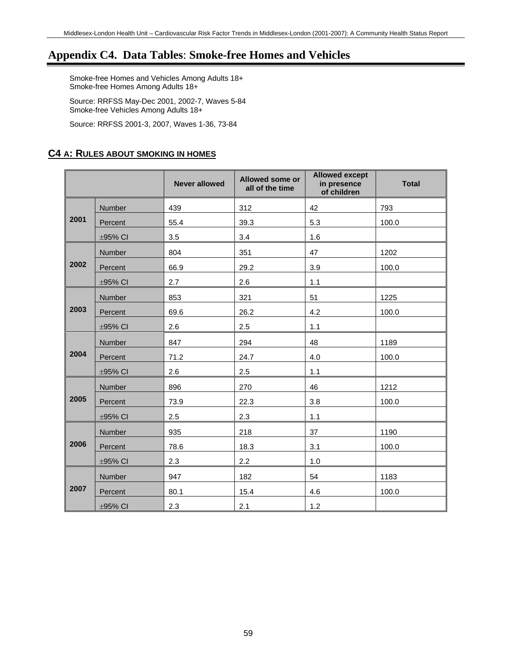# **Appendix C4. Data Tables**: **Smoke-free Homes and Vehicles**

Smoke-free Homes and Vehicles Among Adults 18+ Smoke-free Homes Among Adults 18+

Source: RRFSS May-Dec 2001, 2002-7, Waves 5-84 Smoke-free Vehicles Among Adults 18+

Source: RRFSS 2001-3, 2007, Waves 1-36, 73-84

# **C4 A: RULES ABOUT SMOKING IN HOMES**

|      |               | <b>Never allowed</b> | <b>Allowed some or</b><br>all of the time | <b>Allowed except</b><br>in presence<br>of children | <b>Total</b> |
|------|---------------|----------------------|-------------------------------------------|-----------------------------------------------------|--------------|
| 2001 | Number        | 439                  | 312                                       | 42                                                  | 793          |
|      | Percent       | 55.4                 | 39.3                                      | 5.3                                                 | 100.0        |
|      | ±95% CI       | 3.5                  | 3.4                                       | 1.6                                                 |              |
|      | Number        | 804                  | 351                                       | 47                                                  | 1202         |
| 2002 | Percent       | 66.9                 | 29.2                                      | 3.9                                                 | 100.0        |
|      | $\pm$ 95% CI  | 2.7                  | 2.6                                       | 1.1                                                 |              |
|      | Number        | 853                  | 321                                       | 51                                                  | 1225         |
| 2003 | Percent       | 69.6                 | 26.2                                      | 4.2                                                 | 100.0        |
|      | $\pm$ 95% CI  | 2.6                  | 2.5                                       | 1.1                                                 |              |
|      | Number        | 847                  | 294                                       | 48                                                  | 1189         |
| 2004 | Percent       | 71.2                 | 24.7                                      | 4.0                                                 | 100.0        |
|      | $\pm 95\%$ CI | 2.6                  | 2.5                                       | 1.1                                                 |              |
|      | Number        | 896                  | 270                                       | 46                                                  | 1212         |
| 2005 | Percent       | 73.9                 | 22.3                                      | 3.8                                                 | 100.0        |
|      | $\pm 95\%$ CI | 2.5                  | 2.3                                       | 1.1                                                 |              |
|      | Number        | 935                  | 218                                       | 37                                                  | 1190         |
| 2006 | Percent       | 78.6                 | 18.3                                      | 3.1                                                 | 100.0        |
|      | $\pm 95\%$ CI | 2.3                  | 2.2                                       | 1.0                                                 |              |
|      | Number        | 947                  | 182                                       | 54                                                  | 1183         |
| 2007 | Percent       | 80.1                 | 15.4                                      | 4.6                                                 | 100.0        |
|      | ±95% CI       | 2.3                  | 2.1                                       | 1.2                                                 |              |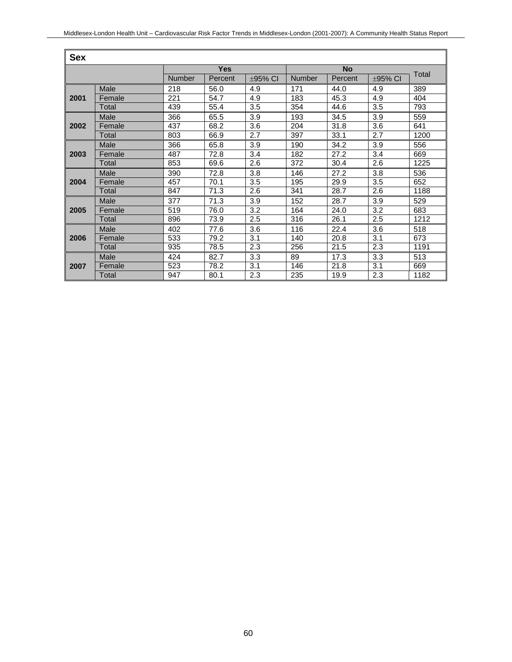| <b>Sex</b> |        |               |         |              |           |         |              |       |  |
|------------|--------|---------------|---------|--------------|-----------|---------|--------------|-------|--|
|            |        | <b>Yes</b>    |         |              | <b>No</b> |         |              |       |  |
|            |        | <b>Number</b> | Percent | $\pm$ 95% CI | Number    | Percent | $\pm$ 95% CI | Total |  |
| 2001       | Male   | 218           | 56.0    | 4.9          | 171       | 44.0    | 4.9          | 389   |  |
|            | Female | 221           | 54.7    | 4.9          | 183       | 45.3    | 4.9          | 404   |  |
|            | Total  | 439           | 55.4    | 3.5          | 354       | 44.6    | 3.5          | 793   |  |
|            | Male   | 366           | 65.5    | 3.9          | 193       | 34.5    | 3.9          | 559   |  |
| 2002       | Female | 437           | 68.2    | 3.6          | 204       | 31.8    | 3.6          | 641   |  |
|            | Total  | 803           | 66.9    | 2.7          | 397       | 33.1    | 2.7          | 1200  |  |
|            | Male   | 366           | 65.8    | 3.9          | 190       | 34.2    | 3.9          | 556   |  |
| 2003       | Female | 487           | 72.8    | 3.4          | 182       | 27.2    | 3.4          | 669   |  |
|            | Total  | 853           | 69.6    | $2.6\,$      | 372       | 30.4    | 2.6          | 1225  |  |
| 2004       | Male   | 390           | 72.8    | 3.8          | 146       | 27.2    | 3.8          | 536   |  |
|            | Female | 457           | 70.1    | 3.5          | 195       | 29.9    | 3.5          | 652   |  |
|            | Total  | 847           | 71.3    | 2.6          | 341       | 28.7    | 2.6          | 1188  |  |
| 2005       | Male   | 377           | 71.3    | 3.9          | 152       | 28.7    | 3.9          | 529   |  |
|            | Female | 519           | 76.0    | 3.2          | 164       | 24.0    | 3.2          | 683   |  |
|            | Total  | 896           | 73.9    | 2.5          | 316       | 26.1    | 2.5          | 1212  |  |
| 2006       | Male   | 402           | 77.6    | 3.6          | 116       | 22.4    | 3.6          | 518   |  |
|            | Female | 533           | 79.2    | 3.1          | 140       | 20.8    | 3.1          | 673   |  |
|            | Total  | 935           | 78.5    | 2.3          | 256       | 21.5    | 2.3          | 1191  |  |
| 2007       | Male   | 424           | 82.7    | 3.3          | 89        | 17.3    | 3.3          | 513   |  |
|            | Female | 523           | 78.2    | 3.1          | 146       | 21.8    | 3.1          | 669   |  |
|            | Total  | 947           | 80.1    | 2.3          | 235       | 19.9    | 2.3          | 1182  |  |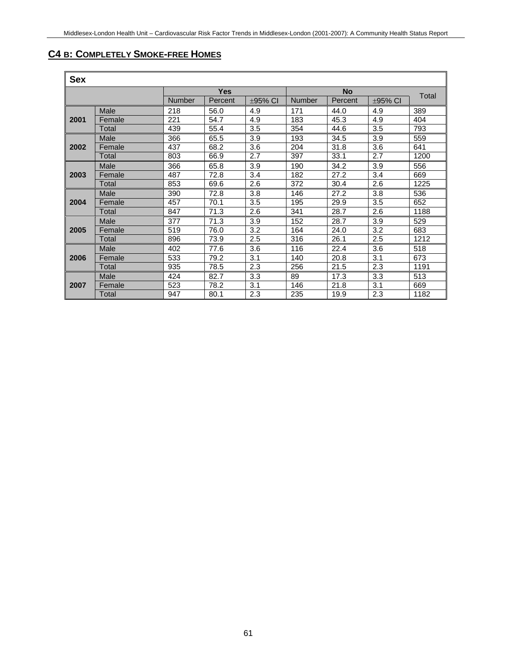# **C4 B: COMPLETELY SMOKE-FREE HOMES**

| <b>Sex</b> |        |            |         |              |           |         |              |       |
|------------|--------|------------|---------|--------------|-----------|---------|--------------|-------|
|            |        | <b>Yes</b> |         |              | <b>No</b> |         |              |       |
|            |        | Number     | Percent | $\pm$ 95% CI | Number    | Percent | $\pm$ 95% CI | Total |
| 2001       | Male   | 218        | 56.0    | 4.9          | 171       | 44.0    | 4.9          | 389   |
|            | Female | 221        | 54.7    | 4.9          | 183       | 45.3    | 4.9          | 404   |
|            | Total  | 439        | 55.4    | 3.5          | 354       | 44.6    | 3.5          | 793   |
|            | Male   | 366        | 65.5    | 3.9          | 193       | 34.5    | 3.9          | 559   |
| 2002       | Female | 437        | 68.2    | 3.6          | 204       | 31.8    | 3.6          | 641   |
|            | Total  | 803        | 66.9    | 2.7          | 397       | 33.1    | 2.7          | 1200  |
|            | Male   | 366        | 65.8    | 3.9          | 190       | 34.2    | 3.9          | 556   |
| 2003       | Female | 487        | 72.8    | 3.4          | 182       | 27.2    | 3.4          | 669   |
|            | Total  | 853        | 69.6    | 2.6          | 372       | 30.4    | 2.6          | 1225  |
|            | Male   | 390        | 72.8    | 3.8          | 146       | 27.2    | 3.8          | 536   |
| 2004       | Female | 457        | 70.1    | 3.5          | 195       | 29.9    | 3.5          | 652   |
|            | Total  | 847        | 71.3    | 2.6          | 341       | 28.7    | 2.6          | 1188  |
| 2005       | Male   | 377        | 71.3    | 3.9          | 152       | 28.7    | 3.9          | 529   |
|            | Female | 519        | 76.0    | 3.2          | 164       | 24.0    | 3.2          | 683   |
|            | Total  | 896        | 73.9    | 2.5          | 316       | 26.1    | 2.5          | 1212  |
| 2006       | Male   | 402        | 77.6    | 3.6          | 116       | 22.4    | 3.6          | 518   |
|            | Female | 533        | 79.2    | 3.1          | 140       | 20.8    | 3.1          | 673   |
|            | Total  | 935        | 78.5    | 2.3          | 256       | 21.5    | 2.3          | 1191  |
| 2007       | Male   | 424        | 82.7    | 3.3          | 89        | 17.3    | 3.3          | 513   |
|            | Female | 523        | 78.2    | 3.1          | 146       | 21.8    | 3.1          | 669   |
|            | Total  | 947        | 80.1    | 2.3          | 235       | 19.9    | 2.3          | 1182  |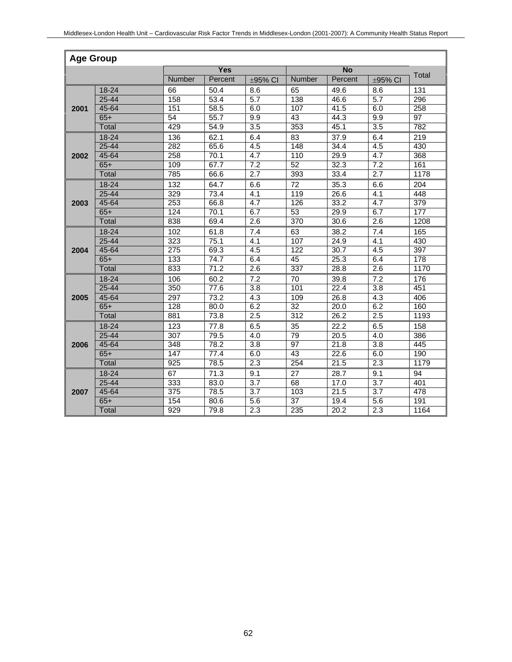| <b>Age Group</b> |           |                  |         |                  |                 |                   |                  |       |
|------------------|-----------|------------------|---------|------------------|-----------------|-------------------|------------------|-------|
|                  |           | Yes              |         |                  | <b>No</b>       |                   |                  |       |
|                  |           | Number           | Percent | ±95% CI          | Number          | Percent           | ±95% CI          | Total |
| 2001             | 18-24     | 66               | 50.4    | 8.6              | 65              | 49.6              | 8.6              | 131   |
|                  | 25-44     | 158              | 53.4    | $\overline{5.7}$ | 138             | 46.6              | $\overline{5.7}$ | 296   |
|                  | 45-64     | 151              | 58.5    | 6.0              | 107             | 41.5              | 6.0              | 258   |
|                  | $65+$     | 54               | 55.7    | 9.9              | 43              | 44.3              | 9.9              | 97    |
|                  | Total     | 429              | 54.9    | 3.5              | 353             | 45.1              | 3.5              | 782   |
|                  | 18-24     | 136              | 62.1    | 6.4              | 83              | 37.9              | 6.4              | 219   |
|                  | 25-44     | 282              | 65.6    | 4.5              | 148             | 34.4              | 4.5              | 430   |
| 2002             | 45-64     | 258              | 70.1    | 4.7              | 110             | 29.9              | 4.7              | 368   |
|                  | $65+$     | 109              | 67.7    | 7.2              | 52              | 32.3              | 7.2              | 161   |
|                  | Total     | 785              | 66.6    | 2.7              | 393             | 33.4              | 2.7              | 1178  |
|                  | 18-24     | 132              | 64.7    | 6.6              | 72              | 35.3              | 6.6              | 204   |
|                  | 25-44     | 329              | 73.4    | 4.1              | 119             | 26.6              | 4.1              | 448   |
| 2003             | $45 - 64$ | 253              | 66.8    | 4.7              | 126             | 33.2              | 4.7              | 379   |
|                  | $65+$     | 124              | 70.1    | 6.7              | $\overline{53}$ | 29.9              | 6.7              | 177   |
|                  | Total     | 838              | 69.4    | $\overline{2.6}$ | 370             | 30.6              | $\overline{2.6}$ | 1208  |
|                  | 18-24     | 102              | 61.8    | 7.4              | 63              | 38.2              | 7.4              | 165   |
|                  | 25-44     | $\overline{323}$ | 75.1    | 4.1              | 107             | 24.9              | 4.1              | 430   |
| 2004             | 45-64     | $\overline{275}$ | 69.3    | 4.5              | 122             | 30.7              | 4.5              | 397   |
|                  | $65+$     | 133              | 74.7    | 6.4              | 45              | 25.3              | 6.4              | 178   |
|                  | Total     | 833              | 71.2    | $\overline{2.6}$ | 337             | 28.8              | $\overline{2.6}$ | 1170  |
| 2005             | 18-24     | 106              | 60.2    | $\overline{7.2}$ | $\overline{70}$ | 39.8              | 7.2              | 176   |
|                  | $25 - 44$ | 350              | 77.6    | $\overline{3.8}$ | 101             | 22.4              | $\overline{3.8}$ | 451   |
|                  | 45-64     | 297              | 73.2    | 4.3              | 109             | 26.8              | 4.3              | 406   |
|                  | $65+$     | 128              | 80.0    | 6.2              | $\overline{32}$ | 20.0              | 6.2              | 160   |
|                  | Total     | 881              | 73.8    | 2.5              | 312             | 26.2              | 2.5              | 1193  |
|                  | 18-24     | $\overline{123}$ | 77.8    | 6.5              | $\overline{35}$ | $\overline{22.2}$ | 6.5              | 158   |
|                  | 25-44     | $\overline{307}$ | 79.5    | 4.0              | 79              | $\overline{2}0.5$ | 4.0              | 386   |
| 2006             | 45-64     | 348              | 78.2    | 3.8              | 97              | 21.8              | 3.8              | 445   |
|                  | $65+$     | 147              | 77.4    | 6.0              | 43              | 22.6              | 6.0              | 190   |
|                  | Total     | 925              | 78.5    | 2.3              | 254             | 21.5              | 2.3              | 1179  |
|                  | 18-24     | 67               | 71.3    | 9.1              | 27              | 28.7              | 9.1              | 94    |
|                  | 25-44     | 333              | 83.0    | $\overline{3.7}$ | 68              | 17.0              | $\overline{3.7}$ | 401   |
| 2007             | 45-64     | $\overline{375}$ | 78.5    | 3.7              | 103             | 21.5              | 3.7              | 478   |
|                  | $65+$     | 154              | 80.6    | 5.6              | $\overline{37}$ | 19.4              | 5.6              | 191   |
|                  | Total     | 929              | 79.8    | 2.3              | 235             | 20.2              | 2.3              | 1164  |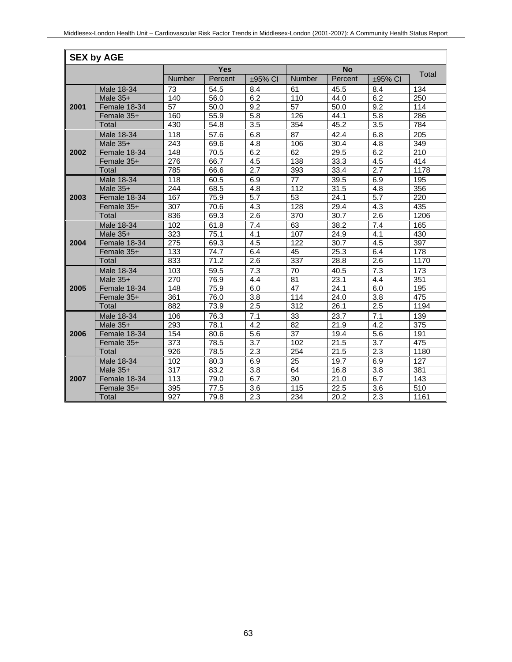|      | <b>SEX by AGE</b> |                  |            |                  |                   |                   |                  |                  |  |  |
|------|-------------------|------------------|------------|------------------|-------------------|-------------------|------------------|------------------|--|--|
|      |                   |                  | <b>Yes</b> |                  |                   | <b>No</b>         |                  |                  |  |  |
|      |                   | Number           | Percent    | ±95% CI          | <b>Number</b>     | Percent           | $\pm$ 95% CI     | Total            |  |  |
|      | Male 18-34        | 73               | 54.5       | 8.4              | 61                | 45.5              | 8.4              | 134              |  |  |
|      | Male 35+          | 140              | 56.0       | 6.2              | 110               | 44.0              | 6.2              | 250              |  |  |
| 2001 | Female 18-34      | $\overline{57}$  | 50.0       | 9.2              | $\overline{57}$   | 50.0              | 9.2              | 114              |  |  |
|      | Female 35+        | 160              | 55.9       | 5.8              | 126               | 44.1              | 5.8              | 286              |  |  |
|      | Total             | 430              | 54.8       | $\overline{3.5}$ | 354               | 45.2              | $\overline{3.5}$ | 784              |  |  |
|      | Male 18-34        | 118              | 57.6       | 6.8              | $\overline{87}$   | 42.4              | 6.8              | 205              |  |  |
|      | Male 35+          | 243              | 69.6       | 4.8              | 106               | 30.4              | 4.8              | 349              |  |  |
| 2002 | Female 18-34      | 148              | 70.5       | 6.2              | 62                | 29.5              | 6.2              | 210              |  |  |
|      | Female 35+        | 276              | 66.7       | 4.5              | 138               | 33.3              | 4.5              | 414              |  |  |
|      | Total             | 785              | 66.6       | 2.7              | 393               | 33.4              | 2.7              | 1178             |  |  |
|      | Male 18-34        | 118              | 60.5       | 6.9              | 77                | 39.5              | 6.9              | 195              |  |  |
|      | Male $35+$        | 244              | 68.5       | 4.8              | 112               | 31.5              | 4.8              | 356              |  |  |
| 2003 | Female 18-34      | 167              | 75.9       | 5.7              | $\overline{53}$   | 24.1              | 5.7              | $\overline{220}$ |  |  |
|      | Female 35+        | 307              | 70.6       | 4.3              | 128               | 29.4              | 4.3              | 435              |  |  |
|      | Total             | 836              | 69.3       | 2.6              | 370               | 30.7              | 2.6              | 1206             |  |  |
|      | Male 18-34        | 102              | 61.8       | 7.4              | 63                | 38.2              | 7.4              | 165              |  |  |
|      | Male 35+          | 323              | 75.1       | 4.1              | 107               | 24.9              | 4.1              | 430              |  |  |
| 2004 | Female 18-34      | 275              | 69.3       | 4.5              | 122               | 30.7              | 4.5              | 397              |  |  |
|      | Female 35+        | 133              | 74.7       | 6.4              | 45                | 25.3              | 6.4              | 178              |  |  |
|      | Total             | 833              | 71.2       | $\overline{2.6}$ | 337               | 28.8              | 2.6              | 1170             |  |  |
|      | Male 18-34        | 103              | 59.5       | 7.3              | 70                | 40.5              | 7.3              | 173              |  |  |
|      | Male $35+$        | 270              | 76.9       | 4.4              | 81                | 23.1              | 4.4              | 351              |  |  |
| 2005 | Female 18-34      | 148              | 75.9       | 6.0              | 47                | 24.1              | 6.0              | 195              |  |  |
|      | Female 35+        | 361              | 76.0       | $\overline{3.8}$ | 114               | 24.0              | $\overline{3.8}$ | 475              |  |  |
|      | <b>Total</b>      | 882              | 73.9       | 2.5              | 312               | 26.1              | 2.5              | 1194             |  |  |
|      | Male 18-34        | 106              | 76.3       | 7.1              | $\overline{33}$   | 23.7              | 7.1              | 139              |  |  |
|      | Male 35+          | 293              | 78.1       | 4.2              | $\overline{82}$   | 21.9              | 4.2              | $\overline{375}$ |  |  |
| 2006 | Female 18-34      | 154              | 80.6       | 5.6              | 37                | 19.4              | 5.6              | 191              |  |  |
|      | Female 35+        | 373              | 78.5       | 3.7              | 102               | 21.5              | 3.7              | 475              |  |  |
|      | <b>Total</b>      | $\overline{926}$ | 78.5       | 2.3              | 254               | 21.5              | 2.3              | 1180             |  |  |
|      | Male 18-34        | 102              | 80.3       | 6.9              | 25                | 19.7              | 6.9              | 127              |  |  |
|      | Male 35+          | 317              | 83.2       | 3.8              | 64                | 16.8              | 3.8              | 381              |  |  |
| 2007 | Female 18-34      | $\overline{113}$ | 79.0       | 6.7              | 30                | 21.0              | 6.7              | $\frac{1}{143}$  |  |  |
|      | Female 35+        | 395              | 77.5       | 3.6              | $\frac{115}{115}$ | 22.5              | 3.6              | 510              |  |  |
|      | Total             | $\overline{927}$ | 79.8       | 2.3              | 234               | $\overline{20.2}$ | 2.3              | 1161             |  |  |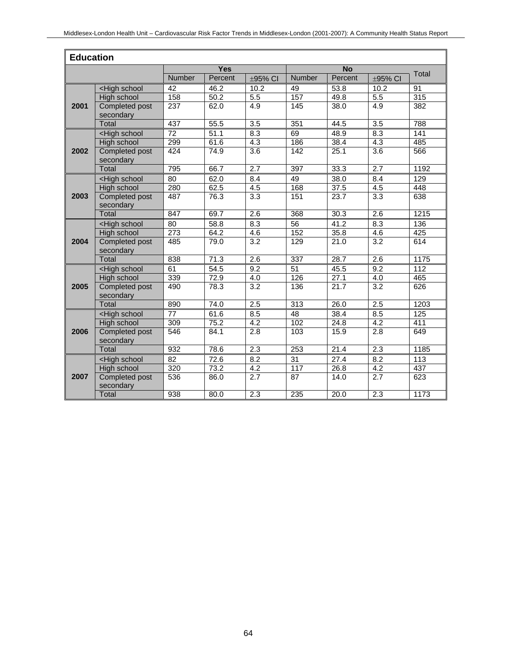|      | <b>Education</b>                                                                                                                           |                  |                   |                  |                 |                   |                  |       |  |  |
|------|--------------------------------------------------------------------------------------------------------------------------------------------|------------------|-------------------|------------------|-----------------|-------------------|------------------|-------|--|--|
|      |                                                                                                                                            |                  | <b>Yes</b>        |                  |                 | <b>No</b>         |                  |       |  |  |
|      |                                                                                                                                            | Number           | Percent           | ±95% CI          | <b>Number</b>   | Percent           | ±95% CI          | Total |  |  |
|      | <high school<="" th=""><th>42</th><th>46.2</th><th>10.2</th><th>49</th><th>53.8</th><th>10.2</th><th>91</th></high>                        | 42               | 46.2              | 10.2             | 49              | 53.8              | 10.2             | 91    |  |  |
|      | <b>High school</b>                                                                                                                         | 158              | 50.2              | $\overline{5.5}$ | 157             | 49.8              | 5.5              | 315   |  |  |
| 2001 | <b>Completed post</b><br>secondary                                                                                                         | $\overline{237}$ | 62.0              | 4.9              | 145             | 38.0              | 4.9              | 382   |  |  |
|      | Total                                                                                                                                      | 437              | 55.5              | 3.5              | 351             | 44.5              | 3.5              | 788   |  |  |
|      | <high school<="" th=""><th>72</th><th>51.1</th><th>8.3</th><th>69</th><th>48.9</th><th>8.3</th><th>141</th></high>                         | 72               | 51.1              | 8.3              | 69              | 48.9              | 8.3              | 141   |  |  |
|      | High school                                                                                                                                | 299              | 61.6              | $\overline{4.3}$ | 186             | 38.4              | $\overline{4.3}$ | 485   |  |  |
| 2002 | Completed post<br>secondary                                                                                                                | 424              | 74.9              | $\overline{3.6}$ | 142             | 25.1              | $\overline{3.6}$ | 566   |  |  |
|      | Total                                                                                                                                      | 795              | 66.7              | $\overline{2.7}$ | 397             | 33.3              | $\overline{2.7}$ | 1192  |  |  |
|      | <high school<="" th=""><th>80</th><th>62.0</th><th>8.4</th><th>49</th><th>38.0</th><th>8.4</th><th>129</th></high>                         | 80               | 62.0              | 8.4              | 49              | 38.0              | 8.4              | 129   |  |  |
|      | High school                                                                                                                                | 280              | 62.5              | 4.5              | 168             | 37.5              | 4.5              | 448   |  |  |
| 2003 | <b>Completed post</b><br>secondary                                                                                                         | 487              | 76.3              | $\overline{3.3}$ | 151             | 23.7              | $\overline{3.3}$ | 638   |  |  |
|      | Total                                                                                                                                      | 847              | 69.7              | 2.6              | 368             | 30.3              | 2.6              | 1215  |  |  |
|      | <high school<="" th=""><th>80</th><th>58.8</th><th>8.3</th><th>56</th><th>41.2</th><th>8.3</th><th>136</th></high>                         | 80               | 58.8              | 8.3              | 56              | 41.2              | 8.3              | 136   |  |  |
|      | High school                                                                                                                                | 273              | 64.2              | 4.6              | 152             | 35.8              | 4.6              | 425   |  |  |
| 2004 | <b>Completed post</b><br>secondary                                                                                                         | 485              | 79.0              | 3.2              | 129             | 21.0              | 3.2              | 614   |  |  |
|      | <b>Total</b>                                                                                                                               | 838              | $\overline{71.3}$ | $\overline{2.6}$ | 337             | 28.7              | $\overline{2.6}$ | 1175  |  |  |
|      | <high school<="" th=""><th>61</th><th>54.5</th><th>9.2</th><th>51</th><th>45.5</th><th>9.2</th><th>112</th></high>                         | 61               | 54.5              | 9.2              | 51              | 45.5              | 9.2              | 112   |  |  |
|      | High school                                                                                                                                | 339              | 72.9              | $\overline{4.0}$ | 126             | 27.1              | 4.0              | 465   |  |  |
| 2005 | Completed post<br>secondary                                                                                                                | 490              | 78.3              | 3.2              | 136             | 21.7              | 3.2              | 626   |  |  |
|      | Total                                                                                                                                      | 890              | 74.0              | 2.5              | 313             | 26.0              | 2.5              | 1203  |  |  |
|      | <high school<="" th=""><th>77</th><th>61.6</th><th>8.5</th><th><math>\overline{48}</math></th><th>38.4</th><th>8.5</th><th>125</th></high> | 77               | 61.6              | 8.5              | $\overline{48}$ | 38.4              | 8.5              | 125   |  |  |
|      | <b>High school</b>                                                                                                                         | 309              | 75.2              | 4.2              | 102             | 24.8              | 4.2              | 411   |  |  |
| 2006 | Completed post<br>secondary                                                                                                                | 546              | 84.1              | 2.8              | 103             | 15.9              | 2.8              | 649   |  |  |
|      | Total                                                                                                                                      | 932              | 78.6              | 2.3              | 253             | 21.4              | 2.3              | 1185  |  |  |
|      | <high school<="" th=""><th>82</th><th>72.6</th><th>8.2</th><th>31</th><th>27.4</th><th>8.2</th><th>113</th></high>                         | 82               | 72.6              | 8.2              | 31              | 27.4              | 8.2              | 113   |  |  |
|      | High school                                                                                                                                | 320              | 73.2              | 4.2              | 117             | 26.8              | $\overline{4.2}$ | 437   |  |  |
| 2007 | <b>Completed post</b><br>secondary                                                                                                         | 536              | 86.0              | 2.7              | 87              | $\overline{1}4.0$ | 2.7              | 623   |  |  |
|      | Total                                                                                                                                      | 938              | 80.0              | 2.3              | 235             | 20.0              | 2.3              | 1173  |  |  |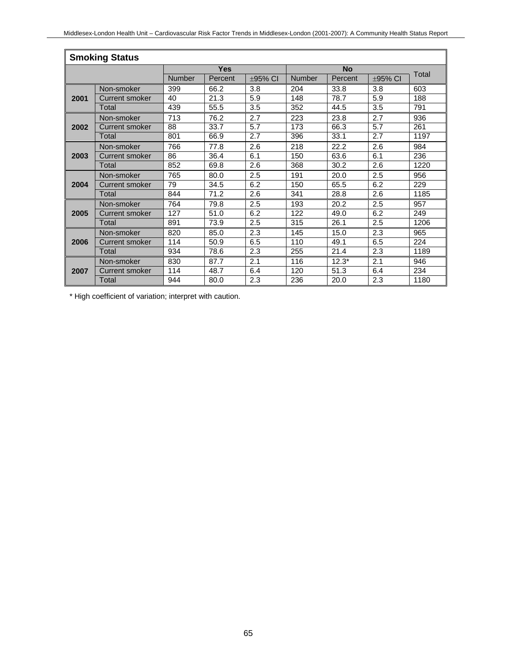|      | <b>Smoking Status</b> |               |            |              |               |           |              |       |  |
|------|-----------------------|---------------|------------|--------------|---------------|-----------|--------------|-------|--|
|      |                       |               | <b>Yes</b> |              |               | <b>No</b> |              |       |  |
|      |                       | <b>Number</b> | Percent    | $\pm$ 95% CI | <b>Number</b> | Percent   | $\pm$ 95% CI | Total |  |
|      | Non-smoker            | 399           | 66.2       | 3.8          | 204           | 33.8      | 3.8          | 603   |  |
| 2001 | Current smoker        | 40            | 21.3       | 5.9          | 148           | 78.7      | 5.9          | 188   |  |
|      | Total                 | 439           | 55.5       | 3.5          | 352           | 44.5      | 3.5          | 791   |  |
|      | Non-smoker            | 713           | 76.2       | 2.7          | 223           | 23.8      | 2.7          | 936   |  |
| 2002 | <b>Current smoker</b> | 88            | 33.7       | 5.7          | 173           | 66.3      | 5.7          | 261   |  |
|      | Total                 | 801           | 66.9       | 2.7          | 396           | 33.1      | 2.7          | 1197  |  |
|      | Non-smoker            | 766           | 77.8       | 2.6          | 218           | 22.2      | 2.6          | 984   |  |
| 2003 | Current smoker        | 86            | 36.4       | 6.1          | 150           | 63.6      | 6.1          | 236   |  |
|      | Total                 | 852           | 69.8       | 2.6          | 368           | 30.2      | 2.6          | 1220  |  |
|      | Non-smoker            | 765           | 80.0       | 2.5          | 191           | 20.0      | 2.5          | 956   |  |
| 2004 | <b>Current smoker</b> | 79            | 34.5       | 6.2          | 150           | 65.5      | 6.2          | 229   |  |
|      | Total                 | 844           | 71.2       | 2.6          | 341           | 28.8      | 2.6          | 1185  |  |
|      | Non-smoker            | 764           | 79.8       | 2.5          | 193           | 20.2      | 2.5          | 957   |  |
| 2005 | <b>Current smoker</b> | 127           | 51.0       | 6.2          | 122           | 49.0      | 6.2          | 249   |  |
|      | Total                 | 891           | 73.9       | 2.5          | 315           | 26.1      | 2.5          | 1206  |  |
|      | Non-smoker            | 820           | 85.0       | 2.3          | 145           | 15.0      | 2.3          | 965   |  |
| 2006 | <b>Current smoker</b> | 114           | 50.9       | 6.5          | 110           | 49.1      | 6.5          | 224   |  |
|      | Total                 | 934           | 78.6       | 2.3          | 255           | 21.4      | 2.3          | 1189  |  |
|      | Non-smoker            | 830           | 87.7       | 2.1          | 116           | $12.3*$   | 2.1          | 946   |  |
| 2007 | <b>Current smoker</b> | 114           | 48.7       | 6.4          | 120           | 51.3      | 6.4          | 234   |  |
|      | Total                 | 944           | 80.0       | 2.3          | 236           | 20.0      | 2.3          | 1180  |  |

\* High coefficient of variation; interpret with caution.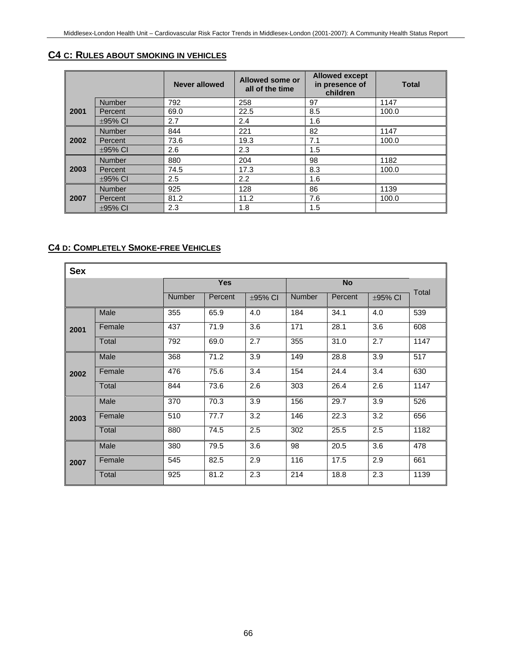#### **C4 C: RULES ABOUT SMOKING IN VEHICLES**

|      |               | <b>Never allowed</b> | Allowed some or<br>all of the time | <b>Allowed except</b><br>in presence of<br>children | <b>Total</b> |
|------|---------------|----------------------|------------------------------------|-----------------------------------------------------|--------------|
|      | <b>Number</b> | 792                  | 258                                | 97                                                  | 1147         |
| 2001 | Percent       | 69.0                 | 22.5                               | 8.5                                                 | 100.0        |
|      | $\pm$ 95% CI  | 2.7                  | 2.4                                | 1.6                                                 |              |
|      | <b>Number</b> | 844                  | 221                                | 82                                                  | 1147         |
| 2002 | Percent       | 73.6                 | 19.3                               | 7.1                                                 | 100.0        |
|      | $\pm$ 95% CI  | 2.6                  | 2.3                                | 1.5                                                 |              |
|      | <b>Number</b> | 880                  | 204                                | 98                                                  | 1182         |
| 2003 | Percent       | 74.5                 | 17.3                               | 8.3                                                 | 100.0        |
|      | $\pm$ 95% CI  | 2.5                  | 2.2                                | 1.6                                                 |              |
|      | <b>Number</b> | 925                  | 128                                | 86                                                  | 1139         |
| 2007 | Percent       | 81.2                 | 11.2                               | 7.6                                                 | 100.0        |
|      | $\pm$ 95% CI  | 2.3                  | 1.8                                | 1.5                                                 |              |

#### **C4 D: COMPLETELY SMOKE-FREE VEHICLES**

| <b>Sex</b> |        |               |            |               |               |           |              |       |
|------------|--------|---------------|------------|---------------|---------------|-----------|--------------|-------|
|            |        |               | <b>Yes</b> |               |               | <b>No</b> |              |       |
|            |        | <b>Number</b> | Percent    | $\pm 95\%$ CI | <b>Number</b> | Percent   | $\pm$ 95% CI | Total |
|            | Male   | 355           | 65.9       | 4.0           | 184           | 34.1      | 4.0          | 539   |
| 2001       | Female | 437           | 71.9       | 3.6           | 171           | 28.1      | 3.6          | 608   |
|            | Total  | 792           | 69.0       | 2.7           | 355           | 31.0      | 2.7          | 1147  |
|            | Male   | 368           | 71.2       | 3.9           | 149           | 28.8      | 3.9          | 517   |
| 2002       | Female | 476           | 75.6       | 3.4           | 154           | 24.4      | 3.4          | 630   |
|            | Total  | 844           | 73.6       | 2.6           | 303           | 26.4      | 2.6          | 1147  |
|            | Male   | 370           | 70.3       | 3.9           | 156           | 29.7      | 3.9          | 526   |
| 2003       | Female | 510           | 77.7       | 3.2           | 146           | 22.3      | 3.2          | 656   |
|            | Total  | 880           | 74.5       | 2.5           | 302           | 25.5      | 2.5          | 1182  |
|            | Male   | 380           | 79.5       | 3.6           | 98            | 20.5      | 3.6          | 478   |
| 2007       | Female | 545           | 82.5       | 2.9           | 116           | 17.5      | 2.9          | 661   |
|            | Total  | 925           | 81.2       | 2.3           | 214           | 18.8      | 2.3          | 1139  |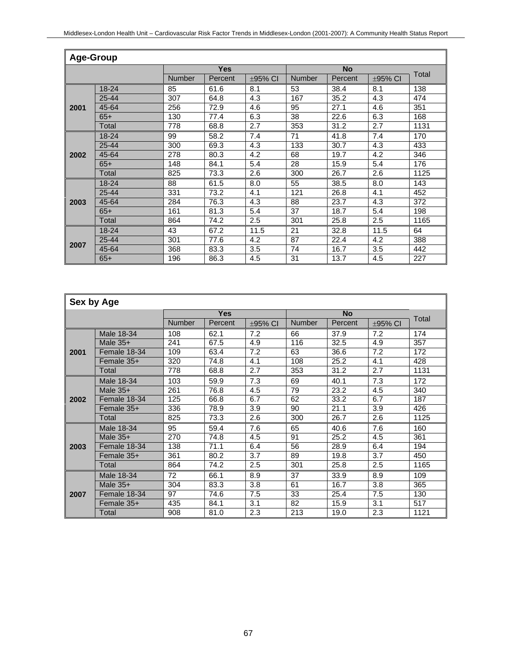|      | <b>Age-Group</b> |               |            |         |               |           |         |       |  |  |  |
|------|------------------|---------------|------------|---------|---------------|-----------|---------|-------|--|--|--|
|      |                  |               | <b>Yes</b> |         |               | <b>No</b> |         | Total |  |  |  |
|      |                  | <b>Number</b> | Percent    | ±95% CI | <b>Number</b> | Percent   | ±95% CI |       |  |  |  |
|      | $18 - 24$        | 85            | 61.6       | 8.1     | 53            | 38.4      | 8.1     | 138   |  |  |  |
|      | 25-44            | 307           | 64.8       | 4.3     | 167           | 35.2      | 4.3     | 474   |  |  |  |
| 2001 | 45-64            | 256           | 72.9       | 4.6     | 95            | 27.1      | 4.6     | 351   |  |  |  |
|      | $65+$            | 130           | 77.4       | 6.3     | 38            | 22.6      | 6.3     | 168   |  |  |  |
|      | Total            | 778           | 68.8       | 2.7     | 353           | 31.2      | 2.7     | 1131  |  |  |  |
|      | 18-24            | 99            | 58.2       | 7.4     | 71            | 41.8      | 7.4     | 170   |  |  |  |
| 2002 | 25-44            | 300           | 69.3       | 4.3     | 133           | 30.7      | 4.3     | 433   |  |  |  |
|      | 45-64            | 278           | 80.3       | 4.2     | 68            | 19.7      | 4.2     | 346   |  |  |  |
|      | $65+$            | 148           | 84.1       | 5.4     | 28            | 15.9      | 5.4     | 176   |  |  |  |
|      | Total            | 825           | 73.3       | 2.6     | 300           | 26.7      | 2.6     | 1125  |  |  |  |
|      | 18-24            | 88            | 61.5       | 8.0     | 55            | 38.5      | 8.0     | 143   |  |  |  |
|      | $25 - 44$        | 331           | 73.2       | 4.1     | 121           | 26.8      | 4.1     | 452   |  |  |  |
| 2003 | 45-64            | 284           | 76.3       | 4.3     | 88            | 23.7      | 4.3     | 372   |  |  |  |
|      | $65+$            | 161           | 81.3       | 5.4     | 37            | 18.7      | 5.4     | 198   |  |  |  |
|      | Total            | 864           | 74.2       | 2.5     | 301           | 25.8      | 2.5     | 1165  |  |  |  |
|      | 18-24            | 43            | 67.2       | 11.5    | 21            | 32.8      | 11.5    | 64    |  |  |  |
| 2007 | 25-44            | 301           | 77.6       | 4.2     | 87            | 22.4      | 4.2     | 388   |  |  |  |
|      | 45-64            | 368           | 83.3       | 3.5     | 74            | 16.7      | 3.5     | 442   |  |  |  |
|      | $65+$            | 196           | 86.3       | 4.5     | 31            | 13.7      | 4.5     | 227   |  |  |  |

|      | Sex by Age   |               |            |              |               |           |         |       |  |  |
|------|--------------|---------------|------------|--------------|---------------|-----------|---------|-------|--|--|
|      |              |               | <b>Yes</b> |              |               | <b>No</b> |         | Total |  |  |
|      |              | <b>Number</b> | Percent    | $\pm$ 95% CI | <b>Number</b> | Percent   | ±95% CI |       |  |  |
|      | Male 18-34   | 108           | 62.1       | 7.2          | 66            | 37.9      | 7.2     | 174   |  |  |
|      | Male $35+$   | 241           | 67.5       | 4.9          | 116           | 32.5      | 4.9     | 357   |  |  |
| 2001 | Female 18-34 | 109           | 63.4       | 7.2          | 63            | 36.6      | 7.2     | 172   |  |  |
|      | Female 35+   | 320           | 74.8       | 4.1          | 108           | 25.2      | 4.1     | 428   |  |  |
|      | Total        | 778           | 68.8       | 2.7          | 353           | 31.2      | 2.7     | 1131  |  |  |
|      | Male 18-34   | 103           | 59.9       | 7.3          | 69            | 40.1      | 7.3     | 172   |  |  |
|      | Male $35+$   | 261           | 76.8       | 4.5          | 79            | 23.2      | 4.5     | 340   |  |  |
| 2002 | Female 18-34 | 125           | 66.8       | 6.7          | 62            | 33.2      | 6.7     | 187   |  |  |
|      | Female 35+   | 336           | 78.9       | 3.9          | 90            | 21.1      | 3.9     | 426   |  |  |
|      | Total        | 825           | 73.3       | 2.6          | 300           | 26.7      | 2.6     | 1125  |  |  |
|      | Male 18-34   | 95            | 59.4       | 7.6          | 65            | 40.6      | 7.6     | 160   |  |  |
|      | Male $35+$   | 270           | 74.8       | 4.5          | 91            | 25.2      | 4.5     | 361   |  |  |
| 2003 | Female 18-34 | 138           | 71.1       | 6.4          | 56            | 28.9      | 6.4     | 194   |  |  |
|      | Female 35+   | 361           | 80.2       | 3.7          | 89            | 19.8      | 3.7     | 450   |  |  |
|      | Total        | 864           | 74.2       | 2.5          | 301           | 25.8      | 2.5     | 1165  |  |  |
|      | Male 18-34   | 72            | 66.1       | 8.9          | 37            | 33.9      | 8.9     | 109   |  |  |
|      | Male $35+$   | 304           | 83.3       | 3.8          | 61            | 16.7      | 3.8     | 365   |  |  |
| 2007 | Female 18-34 | 97            | 74.6       | 7.5          | 33            | 25.4      | 7.5     | 130   |  |  |
|      | Female 35+   | 435           | 84.1       | 3.1          | 82            | 15.9      | 3.1     | 517   |  |  |
|      | Total        | 908           | 81.0       | 2.3          | 213           | 19.0      | 2.3     | 1121  |  |  |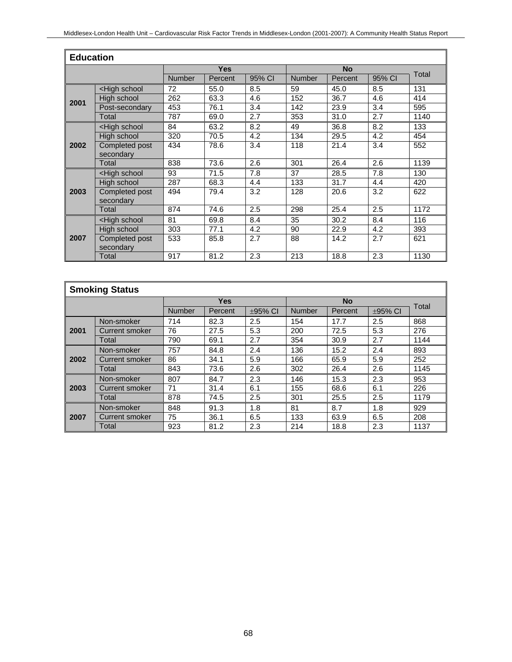|      | <b>Education</b>                                                                                                   |               |            |        |               |           |        |       |  |  |
|------|--------------------------------------------------------------------------------------------------------------------|---------------|------------|--------|---------------|-----------|--------|-------|--|--|
|      |                                                                                                                    |               | <b>Yes</b> |        |               | <b>No</b> |        | Total |  |  |
|      |                                                                                                                    | <b>Number</b> | Percent    | 95% CI | <b>Number</b> | Percent   | 95% CI |       |  |  |
|      | <high school<="" th=""><th>72</th><th>55.0</th><th>8.5</th><th>59</th><th>45.0</th><th>8.5</th><th>131</th></high> | 72            | 55.0       | 8.5    | 59            | 45.0      | 8.5    | 131   |  |  |
| 2001 | High school                                                                                                        | 262           | 63.3       | 4.6    | 152           | 36.7      | 4.6    | 414   |  |  |
|      | Post-secondary                                                                                                     | 453           | 76.1       | 3.4    | 142           | 23.9      | 3.4    | 595   |  |  |
|      | Total                                                                                                              | 787           | 69.0       | 2.7    | 353           | 31.0      | 2.7    | 1140  |  |  |
|      | <high school<="" th=""><th>84</th><th>63.2</th><th>8.2</th><th>49</th><th>36.8</th><th>8.2</th><th>133</th></high> | 84            | 63.2       | 8.2    | 49            | 36.8      | 8.2    | 133   |  |  |
|      | High school                                                                                                        | 320           | 70.5       | 4.2    | 134           | 29.5      | 4.2    | 454   |  |  |
| 2002 | Completed post                                                                                                     | 434           | 78.6       | 3.4    | 118           | 21.4      | 3.4    | 552   |  |  |
|      | secondary                                                                                                          |               |            |        |               |           |        |       |  |  |
|      | Total                                                                                                              | 838           | 73.6       | 2.6    | 301           | 26.4      | 2.6    | 1139  |  |  |
|      | <high school<="" th=""><th>93</th><th>71.5</th><th>7.8</th><th>37</th><th>28.5</th><th>7.8</th><th>130</th></high> | 93            | 71.5       | 7.8    | 37            | 28.5      | 7.8    | 130   |  |  |
|      | High school                                                                                                        | 287           | 68.3       | 4.4    | 133           | 31.7      | 4.4    | 420   |  |  |
| 2003 | Completed post                                                                                                     | 494           | 79.4       | 3.2    | 128           | 20.6      | 3.2    | 622   |  |  |
|      | secondary                                                                                                          |               |            |        |               |           |        |       |  |  |
|      | Total                                                                                                              | 874           | 74.6       | 2.5    | 298           | 25.4      | 2.5    | 1172  |  |  |
|      | <high school<="" th=""><th>81</th><th>69.8</th><th>8.4</th><th>35</th><th>30.2</th><th>8.4</th><th>116</th></high> | 81            | 69.8       | 8.4    | 35            | 30.2      | 8.4    | 116   |  |  |
|      | High school                                                                                                        | 303           | 77.1       | 4.2    | 90            | 22.9      | 4.2    | 393   |  |  |
| 2007 | Completed post                                                                                                     | 533           | 85.8       | 2.7    | 88            | 14.2      | 2.7    | 621   |  |  |
|      | secondary                                                                                                          |               |            |        |               |           |        |       |  |  |
|      | Total                                                                                                              | 917           | 81.2       | 2.3    | 213           | 18.8      | 2.3    | 1130  |  |  |

| <b>Smoking Status</b> |                |               |            |              |               |           |              |       |  |
|-----------------------|----------------|---------------|------------|--------------|---------------|-----------|--------------|-------|--|
|                       |                |               | <b>Yes</b> |              |               | <b>No</b> |              | Total |  |
|                       |                | <b>Number</b> | Percent    | $\pm$ 95% CI | <b>Number</b> | Percent   | $\pm$ 95% CI |       |  |
|                       | Non-smoker     | 714           | 82.3       | 2.5          | 154           | 17.7      | 2.5          | 868   |  |
| 2001                  | Current smoker | 76            | 27.5       | 5.3          | 200           | 72.5      | 5.3          | 276   |  |
|                       | Total          | 790           | 69.1       | 2.7          | 354           | 30.9      | 2.7          | 1144  |  |
|                       | Non-smoker     | 757           | 84.8       | 2.4          | 136           | 15.2      | 2.4          | 893   |  |
| 2002                  | Current smoker | 86            | 34.1       | 5.9          | 166           | 65.9      | 5.9          | 252   |  |
|                       | Total          | 843           | 73.6       | 2.6          | 302           | 26.4      | 2.6          | 1145  |  |
|                       | Non-smoker     | 807           | 84.7       | 2.3          | 146           | 15.3      | 2.3          | 953   |  |
| 2003                  | Current smoker | 71            | 31.4       | 6.1          | 155           | 68.6      | 6.1          | 226   |  |
|                       | Total          | 878           | 74.5       | 2.5          | 301           | 25.5      | 2.5          | 1179  |  |
|                       | Non-smoker     | 848           | 91.3       | 1.8          | 81            | 8.7       | 1.8          | 929   |  |
| 2007                  | Current smoker | 75            | 36.1       | 6.5          | 133           | 63.9      | 6.5          | 208   |  |
|                       | Total          | 923           | 81.2       | 2.3          | 214           | 18.8      | 2.3          | 1137  |  |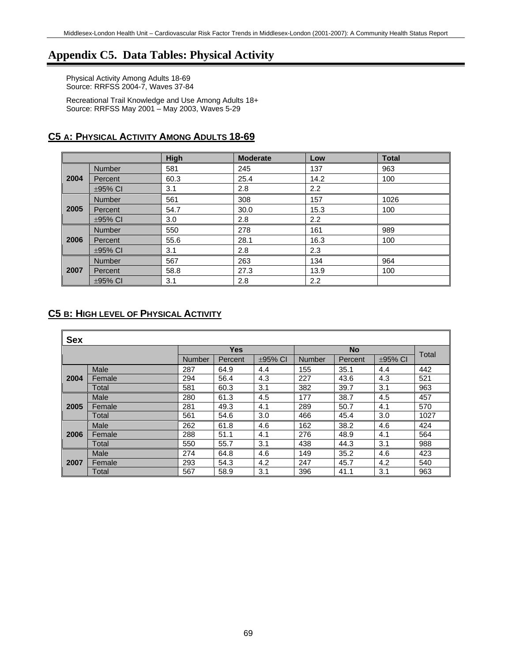### **Appendix C5. Data Tables: Physical Activity**

Physical Activity Among Adults 18-69 Source: RRFSS 2004-7, Waves 37-84

Recreational Trail Knowledge and Use Among Adults 18+ Source: RRFSS May 2001 – May 2003, Waves 5-29

|      |               | High | <b>Moderate</b> | Low              | <b>Total</b> |
|------|---------------|------|-----------------|------------------|--------------|
|      | <b>Number</b> | 581  | 245             | 137              | 963          |
| 2004 | Percent       | 60.3 | 25.4            | 14.2             | 100          |
|      | $\pm$ 95% CI  | 3.1  | 2.8             | 2.2              |              |
|      | <b>Number</b> | 561  | 308             | 157              | 1026         |
| 2005 | Percent       | 54.7 | 30.0            | 15.3             | 100          |
|      | $\pm$ 95% CI  | 3.0  | 2.8             | 2.2              |              |
|      | <b>Number</b> | 550  | 278             | 161              | 989          |
| 2006 | Percent       | 55.6 | 28.1            | 16.3             | 100          |
|      | $\pm$ 95% CI  | 3.1  | 2.8             | 2.3              |              |
|      | <b>Number</b> | 567  | 263             | 134              | 964          |
| 2007 | Percent       | 58.8 | 27.3            | 13.9             | 100          |
|      | $\pm$ 95% CI  | 3.1  | 2.8             | $2.2\phantom{0}$ |              |

#### **C5 A: PHYSICAL ACTIVITY AMONG ADULTS 18-69**

#### **C5 B: HIGH LEVEL OF PHYSICAL ACTIVITY**

| <b>Sex</b> |        |               |            |              |               |         |              |       |
|------------|--------|---------------|------------|--------------|---------------|---------|--------------|-------|
|            |        |               | <b>Yes</b> |              | <b>No</b>     |         |              | Total |
|            |        | <b>Number</b> | Percent    | $\pm$ 95% CI | <b>Number</b> | Percent | $\pm$ 95% CI |       |
|            | Male   | 287           | 64.9       | 4.4          | 155           | 35.1    | 4.4          | 442   |
| 2004       | Female | 294           | 56.4       | 4.3          | 227           | 43.6    | 4.3          | 521   |
|            | Total  | 581           | 60.3       | 3.1          | 382           | 39.7    | 3.1          | 963   |
|            | Male   | 280           | 61.3       | 4.5          | 177           | 38.7    | 4.5          | 457   |
| 2005       | Female | 281           | 49.3       | 4.1          | 289           | 50.7    | 4.1          | 570   |
|            | Total  | 561           | 54.6       | 3.0          | 466           | 45.4    | 3.0          | 1027  |
|            | Male   | 262           | 61.8       | 4.6          | 162           | 38.2    | 4.6          | 424   |
| 2006       | Female | 288           | 51.1       | 4.1          | 276           | 48.9    | 4.1          | 564   |
|            | Total  | 550           | 55.7       | 3.1          | 438           | 44.3    | 3.1          | 988   |
|            | Male   | 274           | 64.8       | 4.6          | 149           | 35.2    | 4.6          | 423   |
| 2007       | Female | 293           | 54.3       | 4.2          | 247           | 45.7    | 4.2          | 540   |
|            | Total  | 567           | 58.9       | 3.1          | 396           | 41.1    | 3.1          | 963   |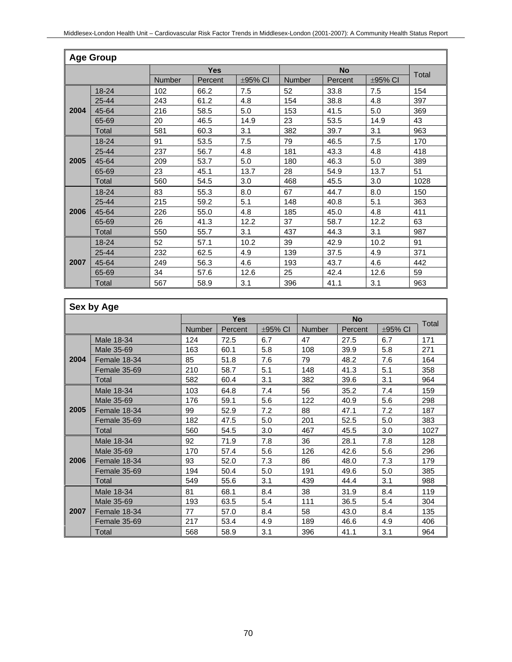|      | <b>Age Group</b> |        |            |              |        |           |         |       |  |  |  |
|------|------------------|--------|------------|--------------|--------|-----------|---------|-------|--|--|--|
|      |                  |        | <b>Yes</b> |              |        | <b>No</b> |         | Total |  |  |  |
|      |                  | Number | Percent    | $\pm$ 95% CI | Number | Percent   | ±95% CI |       |  |  |  |
|      | 18-24            | 102    | 66.2       | 7.5          | 52     | 33.8      | 7.5     | 154   |  |  |  |
|      | 25-44            | 243    | 61.2       | 4.8          | 154    | 38.8      | 4.8     | 397   |  |  |  |
| 2004 | 45-64            | 216    | 58.5       | 5.0          | 153    | 41.5      | 5.0     | 369   |  |  |  |
|      | 65-69            | 20     | 46.5       | 14.9         | 23     | 53.5      | 14.9    | 43    |  |  |  |
|      | Total            | 581    | 60.3       | 3.1          | 382    | 39.7      | 3.1     | 963   |  |  |  |
|      | 18-24            | 91     | 53.5       | 7.5          | 79     | 46.5      | 7.5     | 170   |  |  |  |
|      | 25-44            | 237    | 56.7       | 4.8          | 181    | 43.3      | 4.8     | 418   |  |  |  |
| 2005 | 45-64            | 209    | 53.7       | 5.0          | 180    | 46.3      | 5.0     | 389   |  |  |  |
|      | 65-69            | 23     | 45.1       | 13.7         | 28     | 54.9      | 13.7    | 51    |  |  |  |
|      | Total            | 560    | 54.5       | 3.0          | 468    | 45.5      | 3.0     | 1028  |  |  |  |
|      | 18-24            | 83     | 55.3       | 8.0          | 67     | 44.7      | 8.0     | 150   |  |  |  |
|      | 25-44            | 215    | 59.2       | 5.1          | 148    | 40.8      | 5.1     | 363   |  |  |  |
| 2006 | 45-64            | 226    | 55.0       | 4.8          | 185    | 45.0      | 4.8     | 411   |  |  |  |
|      | 65-69            | 26     | 41.3       | 12.2         | 37     | 58.7      | 12.2    | 63    |  |  |  |
|      | Total            | 550    | 55.7       | 3.1          | 437    | 44.3      | 3.1     | 987   |  |  |  |
|      | 18-24            | 52     | 57.1       | 10.2         | 39     | 42.9      | 10.2    | 91    |  |  |  |
|      | 25-44            | 232    | 62.5       | 4.9          | 139    | 37.5      | 4.9     | 371   |  |  |  |
| 2007 | 45-64            | 249    | 56.3       | 4.6          | 193    | 43.7      | 4.6     | 442   |  |  |  |
|      | 65-69            | 34     | 57.6       | 12.6         | 25     | 42.4      | 12.6    | 59    |  |  |  |
|      | Total            | 567    | 58.9       | 3.1          | 396    | 41.1      | 3.1     | 963   |  |  |  |

|      | Sex by Age   |               |            |              |               |           |              |       |
|------|--------------|---------------|------------|--------------|---------------|-----------|--------------|-------|
|      |              |               | <b>Yes</b> |              |               | <b>No</b> |              |       |
|      |              | <b>Number</b> | Percent    | $\pm$ 95% CI | <b>Number</b> | Percent   | $\pm$ 95% CI | Total |
|      | Male 18-34   | 124           | 72.5       | 6.7          | 47            | 27.5      | 6.7          | 171   |
|      | Male 35-69   | 163           | 60.1       | 5.8          | 108           | 39.9      | 5.8          | 271   |
| 2004 | Female 18-34 | 85            | 51.8       | 7.6          | 79            | 48.2      | 7.6          | 164   |
|      | Female 35-69 | 210           | 58.7       | 5.1          | 148           | 41.3      | 5.1          | 358   |
|      | Total        | 582           | 60.4       | 3.1          | 382           | 39.6      | 3.1          | 964   |
|      | Male 18-34   | 103           | 64.8       | 7.4          | 56            | 35.2      | 7.4          | 159   |
| 2005 | Male 35-69   | 176           | 59.1       | 5.6          | 122           | 40.9      | 5.6          | 298   |
|      | Female 18-34 | 99            | 52.9       | 7.2          | 88            | 47.1      | 7.2          | 187   |
|      | Female 35-69 | 182           | 47.5       | 5.0          | 201           | 52.5      | 5.0          | 383   |
|      | Total        | 560           | 54.5       | 3.0          | 467           | 45.5      | 3.0          | 1027  |
|      | Male 18-34   | 92            | 71.9       | 7.8          | 36            | 28.1      | 7.8          | 128   |
|      | Male 35-69   | 170           | 57.4       | 5.6          | 126           | 42.6      | 5.6          | 296   |
| 2006 | Female 18-34 | 93            | 52.0       | 7.3          | 86            | 48.0      | 7.3          | 179   |
|      | Female 35-69 | 194           | 50.4       | 5.0          | 191           | 49.6      | 5.0          | 385   |
|      | Total        | 549           | 55.6       | 3.1          | 439           | 44.4      | 3.1          | 988   |
|      | Male 18-34   | 81            | 68.1       | 8.4          | 38            | 31.9      | 8.4          | 119   |
|      | Male 35-69   | 193           | 63.5       | 5.4          | 111           | 36.5      | 5.4          | 304   |
| 2007 | Female 18-34 | 77            | 57.0       | 8.4          | 58            | 43.0      | 8.4          | 135   |
|      | Female 35-69 | 217           | 53.4       | 4.9          | 189           | 46.6      | 4.9          | 406   |
|      | Total        | 568           | 58.9       | 3.1          | 396           | 41.1      | 3.1          | 964   |

 $\overline{1}$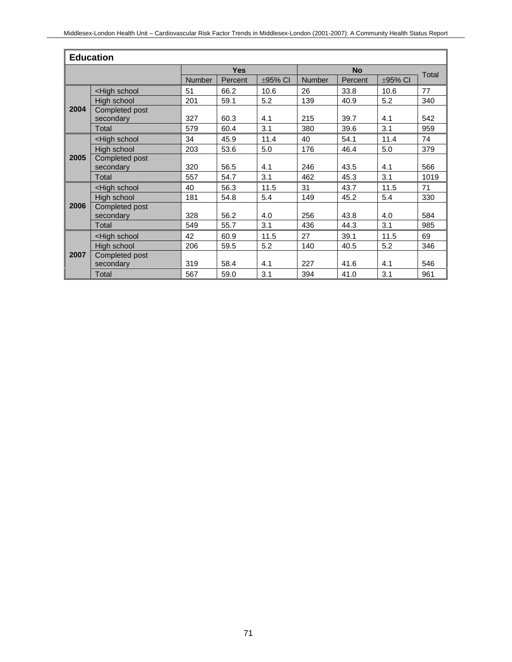| <b>Education</b> |                                                                                                                     |               |            |              |               |           |         |              |  |  |
|------------------|---------------------------------------------------------------------------------------------------------------------|---------------|------------|--------------|---------------|-----------|---------|--------------|--|--|
|                  |                                                                                                                     |               | <b>Yes</b> |              |               | <b>No</b> |         | <b>Total</b> |  |  |
|                  |                                                                                                                     | <b>Number</b> | Percent    | $\pm$ 95% CI | <b>Number</b> | Percent   | ±95% CI |              |  |  |
|                  | <high school<="" td=""><td>51</td><td>66.2</td><td>10.6</td><td>26</td><td>33.8</td><td>10.6</td><td>77</td></high> | 51            | 66.2       | 10.6         | 26            | 33.8      | 10.6    | 77           |  |  |
|                  | High school                                                                                                         | 201           | 59.1       | 5.2          | 139           | 40.9      | 5.2     | 340          |  |  |
| 2004             | Completed post<br>secondary                                                                                         | 327           | 60.3       | 4.1          | 215           | 39.7      | 4.1     | 542          |  |  |
|                  | <b>Total</b>                                                                                                        | 579           | 60.4       | 3.1          | 380           | 39.6      | 3.1     | 959          |  |  |
|                  | <high school<="" td=""><td>34</td><td>45.9</td><td>11.4</td><td>40</td><td>54.1</td><td>11.4</td><td>74</td></high> | 34            | 45.9       | 11.4         | 40            | 54.1      | 11.4    | 74           |  |  |
| 2005             | High school                                                                                                         | 203           | 53.6       | 5.0          | 176           | 46.4      | 5.0     | 379          |  |  |
|                  | Completed post<br>secondary                                                                                         | 320           | 56.5       | 4.1          | 246           | 43.5      | 4.1     | 566          |  |  |
|                  | <b>Total</b>                                                                                                        | 557           | 54.7       | 3.1          | 462           | 45.3      | 3.1     | 1019         |  |  |
|                  | <high school<="" td=""><td>40</td><td>56.3</td><td>11.5</td><td>31</td><td>43.7</td><td>11.5</td><td>71</td></high> | 40            | 56.3       | 11.5         | 31            | 43.7      | 11.5    | 71           |  |  |
|                  | High school                                                                                                         | 181           | 54.8       | 5.4          | 149           | 45.2      | 5.4     | 330          |  |  |
| 2006             | Completed post<br>secondary                                                                                         | 328           | 56.2       | 4.0          | 256           | 43.8      | 4.0     | 584          |  |  |
|                  | Total                                                                                                               | 549           | 55.7       | 3.1          | 436           | 44.3      | 3.1     | 985          |  |  |
|                  | <high school<="" td=""><td>42</td><td>60.9</td><td>11.5</td><td>27</td><td>39.1</td><td>11.5</td><td>69</td></high> | 42            | 60.9       | 11.5         | 27            | 39.1      | 11.5    | 69           |  |  |
| 2007             | High school                                                                                                         | 206           | 59.5       | 5.2          | 140           | 40.5      | 5.2     | 346          |  |  |
|                  | Completed post<br>secondary                                                                                         | 319           | 58.4       | 4.1          | 227           | 41.6      | 4.1     | 546          |  |  |
|                  | Total                                                                                                               | 567           | 59.0       | 3.1          | 394           | 41.0      | 3.1     | 961          |  |  |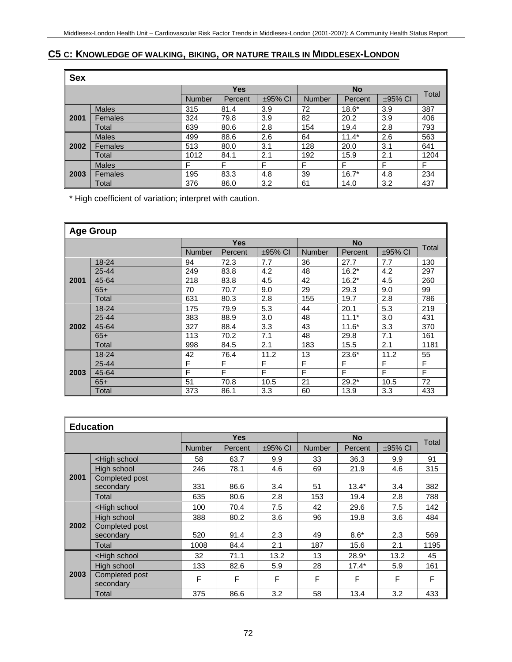### **C5 C: KNOWLEDGE OF WALKING, BIKING, OR NATURE TRAILS IN MIDDLESEX-LONDON**

| <b>Sex</b> |                |               |            |         |               |           |         |       |  |  |
|------------|----------------|---------------|------------|---------|---------------|-----------|---------|-------|--|--|
|            |                |               | <b>Yes</b> |         |               | <b>No</b> |         | Total |  |  |
|            |                | <b>Number</b> | Percent    | ±95% CI | <b>Number</b> | Percent   | ±95% CI |       |  |  |
|            | <b>Males</b>   | 315           | 81.4       | 3.9     | 72            | $18.6*$   | 3.9     | 387   |  |  |
| 2001       | Females        | 324           | 79.8       | 3.9     | 82            | 20.2      | 3.9     | 406   |  |  |
|            | Total          | 639           | 80.6       | 2.8     | 154           | 19.4      | 2.8     | 793   |  |  |
|            | <b>Males</b>   | 499           | 88.6       | 2.6     | 64            | $11.4*$   | 2.6     | 563   |  |  |
| 2002       | Females        | 513           | 80.0       | 3.1     | 128           | 20.0      | 3.1     | 641   |  |  |
|            | Total          | 1012          | 84.1       | 2.1     | 192           | 15.9      | 2.1     | 1204  |  |  |
| 2003       | <b>Males</b>   | F             | F          | F       | F             | F         | F       | F     |  |  |
|            | <b>Females</b> | 195           | 83.3       | 4.8     | 39            | $16.7*$   | 4.8     | 234   |  |  |
|            | Total          | 376           | 86.0       | 3.2     | 61            | 14.0      | 3.2     | 437   |  |  |

\* High coefficient of variation; interpret with caution.

| <b>Age Group</b> |       |               |            |              |               |                |              |       |  |
|------------------|-------|---------------|------------|--------------|---------------|----------------|--------------|-------|--|
|                  |       |               | <b>Yes</b> |              |               | <b>No</b>      |              | Total |  |
|                  |       | <b>Number</b> | Percent    | $\pm$ 95% CI | <b>Number</b> | <b>Percent</b> | $\pm$ 95% CI |       |  |
|                  | 18-24 | 94            | 72.3       | 7.7          | 36            | 27.7           | 7.7          | 130   |  |
|                  | 25-44 | 249           | 83.8       | 4.2          | 48            | $16.2*$        | 4.2          | 297   |  |
| 2001             | 45-64 | 218           | 83.8       | 4.5          | 42            | $16.2*$        | 4.5          | 260   |  |
|                  | $65+$ | 70            | 70.7       | 9.0          | 29            | 29.3           | 9.0          | 99    |  |
|                  | Total | 631           | 80.3       | 2.8          | 155           | 19.7           | 2.8          | 786   |  |
|                  | 18-24 | 175           | 79.9       | 5.3          | 44            | 20.1           | 5.3          | 219   |  |
|                  | 25-44 | 383           | 88.9       | 3.0          | 48            | $11.1*$        | 3.0          | 431   |  |
| 2002             | 45-64 | 327           | 88.4       | 3.3          | 43            | $11.6*$        | 3.3          | 370   |  |
|                  | $65+$ | 113           | 70.2       | 7.1          | 48            | 29.8           | 7.1          | 161   |  |
|                  | Total | 998           | 84.5       | 2.1          | 183           | 15.5           | 2.1          | 1181  |  |
|                  | 18-24 | 42            | 76.4       | 11.2         | 13            | $23.6*$        | 11.2         | 55    |  |
|                  | 25-44 | F             | F          | F            | F             | F              | F            | F     |  |
| 2003             | 45-64 | F             | F          | F            | F             | F              | F            | F     |  |
|                  | $65+$ | 51            | 70.8       | 10.5         | 21            | $29.2*$        | 10.5         | 72    |  |
|                  | Total | 373           | 86.1       | 3.3          | 60            | 13.9           | 3.3          | 433   |  |

| <b>Education</b> |                                                                                                                                   |               |            |              |               |           |              |       |  |  |
|------------------|-----------------------------------------------------------------------------------------------------------------------------------|---------------|------------|--------------|---------------|-----------|--------------|-------|--|--|
|                  |                                                                                                                                   |               | <b>Yes</b> |              |               | <b>No</b> |              | Total |  |  |
|                  |                                                                                                                                   | <b>Number</b> | Percent    | $\pm$ 95% CI | <b>Number</b> | Percent   | $\pm$ 95% CI |       |  |  |
|                  | <high school<="" td=""><td>58</td><td>63.7</td><td>9.9</td><td>33</td><td>36.3</td><td>9.9</td><td>91</td></high>                 | 58            | 63.7       | 9.9          | 33            | 36.3      | 9.9          | 91    |  |  |
|                  | High school                                                                                                                       | 246           | 78.1       | 4.6          | 69            | 21.9      | 4.6          | 315   |  |  |
| 2001             | Completed post                                                                                                                    |               |            |              |               |           |              |       |  |  |
|                  | secondary                                                                                                                         | 331           | 86.6       | 3.4          | 51            | $13.4*$   | 3.4          | 382   |  |  |
|                  | Total                                                                                                                             | 635           | 80.6       | 2.8          | 153           | 19.4      | 2.8          | 788   |  |  |
|                  | <high school<="" td=""><td>100</td><td>70.4</td><td>7.5</td><td>42</td><td>29.6</td><td>7.5</td><td>142</td></high>               | 100           | 70.4       | 7.5          | 42            | 29.6      | 7.5          | 142   |  |  |
|                  | High school                                                                                                                       | 388           | 80.2       | 3.6          | 96            | 19.8      | 3.6          | 484   |  |  |
| 2002             | Completed post                                                                                                                    |               |            |              |               |           |              |       |  |  |
|                  | secondary                                                                                                                         | 520           | 91.4       | 2.3          | 49            | $8.6*$    | 2.3          | 569   |  |  |
|                  | Total                                                                                                                             | 1008          | 84.4       | 2.1          | 187           | 15.6      | 2.1          | 1195  |  |  |
|                  | <high school<="" th=""><th>32</th><th>71.1</th><th>13.2</th><th>13</th><th><math>28.9*</math></th><th>13.2</th><th>45</th></high> | 32            | 71.1       | 13.2         | 13            | $28.9*$   | 13.2         | 45    |  |  |
|                  | High school                                                                                                                       | 133           | 82.6       | 5.9          | 28            | $17.4*$   | 5.9          | 161   |  |  |
| 2003             | Completed post<br>secondary                                                                                                       | F             | F          | F            | F             | F         | F            | F     |  |  |
|                  | Total                                                                                                                             | 375           | 86.6       | 3.2          | 58            | 13.4      | 3.2          | 433   |  |  |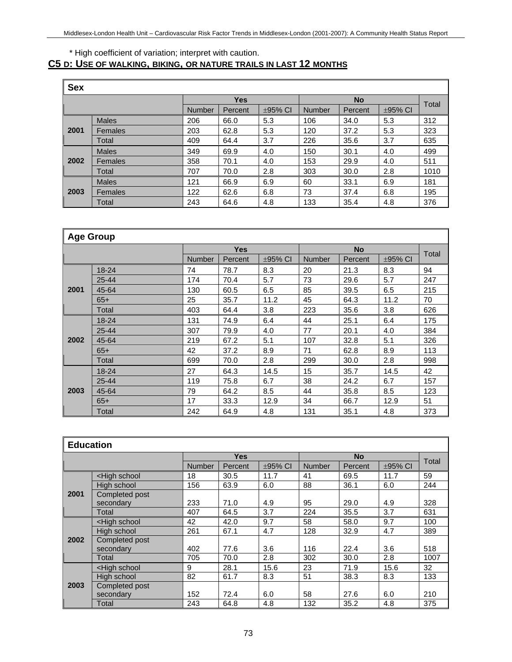### \* High coefficient of variation; interpret with caution.

## **C5 D: USE OF WALKING, BIKING, OR NATURE TRAILS IN LAST 12 MONTHS**

| <b>Sex</b> |              |               |                                          |     |     |           |              |       |  |  |
|------------|--------------|---------------|------------------------------------------|-----|-----|-----------|--------------|-------|--|--|
|            |              |               | <b>Yes</b>                               |     |     | <b>No</b> |              | Total |  |  |
|            |              | <b>Number</b> | <b>Number</b><br>$\pm$ 95% CI<br>Percent |     |     | Percent   | $\pm$ 95% CI |       |  |  |
|            | <b>Males</b> | 206           | 66.0                                     | 5.3 | 106 | 34.0      | 5.3          | 312   |  |  |
| 2001       | Females      | 203           | 62.8                                     | 5.3 | 120 | 37.2      | 5.3          | 323   |  |  |
|            | Total        | 409           | 64.4                                     | 3.7 | 226 | 35.6      | 3.7          | 635   |  |  |
|            | <b>Males</b> | 349           | 69.9                                     | 4.0 | 150 | 30.1      | 4.0          | 499   |  |  |
| 2002       | Females      | 358           | 70.1                                     | 4.0 | 153 | 29.9      | 4.0          | 511   |  |  |
|            | Total        | 707           | 70.0                                     | 2.8 | 303 | 30.0      | 2.8          | 1010  |  |  |
|            | <b>Males</b> | 121           | 66.9                                     | 6.9 | 60  | 33.1      | 6.9          | 181   |  |  |
| 2003       | Females      | 122           | 62.6                                     | 6.8 | 73  | 37.4      | 6.8          | 195   |  |  |
|            | Total        | 243           | 64.6                                     | 4.8 | 133 | 35.4      | 4.8          | 376   |  |  |

|      | <b>Age Group</b> |               |            |              |               |           |              |       |  |  |
|------|------------------|---------------|------------|--------------|---------------|-----------|--------------|-------|--|--|
|      |                  |               | <b>Yes</b> |              |               | <b>No</b> |              |       |  |  |
|      |                  | <b>Number</b> | Percent    | $\pm$ 95% CI | <b>Number</b> | Percent   | $\pm$ 95% CI | Total |  |  |
|      | $18 - 24$        | 74            | 78.7       | 8.3          | 20            | 21.3      | 8.3          | 94    |  |  |
|      | $25 - 44$        | 174           | 70.4       | 5.7          | 73            | 29.6      | 5.7          | 247   |  |  |
| 2001 | 45-64            | 130           | 60.5       | 6.5          | 85            | 39.5      | 6.5          | 215   |  |  |
|      | $65+$            | 25            | 35.7       | 11.2         | 45            | 64.3      | 11.2         | 70    |  |  |
|      | Total            | 403           | 64.4       | 3.8          | 223           | 35.6      | 3.8          | 626   |  |  |
|      | $18 - 24$        | 131           | 74.9       | 6.4          | 44            | 25.1      | 6.4          | 175   |  |  |
|      | 25-44            | 307           | 79.9       | 4.0          | 77            | 20.1      | 4.0          | 384   |  |  |
| 2002 | 45-64            | 219           | 67.2       | 5.1          | 107           | 32.8      | 5.1          | 326   |  |  |
|      | $65+$            | 42            | 37.2       | 8.9          | 71            | 62.8      | 8.9          | 113   |  |  |
|      | Total            | 699           | 70.0       | 2.8          | 299           | 30.0      | 2.8          | 998   |  |  |
|      | $18 - 24$        | 27            | 64.3       | 14.5         | 15            | 35.7      | 14.5         | 42    |  |  |
|      | 25-44            | 119           | 75.8       | 6.7          | 38            | 24.2      | 6.7          | 157   |  |  |
| 2003 | 45-64            | 79            | 64.2       | 8.5          | 44            | 35.8      | 8.5          | 123   |  |  |
|      | $65+$            | 17            | 33.3       | 12.9         | 34            | 66.7      | 12.9         | 51    |  |  |
|      | Total            | 242           | 64.9       | 4.8          | 131           | 35.1      | 4.8          | 373   |  |  |

|      | <b>Education</b>                                                                                                    |               |            |              |               |           |              |       |  |  |  |
|------|---------------------------------------------------------------------------------------------------------------------|---------------|------------|--------------|---------------|-----------|--------------|-------|--|--|--|
|      |                                                                                                                     |               | <b>Yes</b> |              |               | <b>No</b> |              | Total |  |  |  |
|      |                                                                                                                     | <b>Number</b> | Percent    | $\pm$ 95% CI | <b>Number</b> | Percent   | $\pm$ 95% CI |       |  |  |  |
|      | <high school<="" td=""><td>18</td><td>30.5</td><td>11.7</td><td>41</td><td>69.5</td><td>11.7</td><td>59</td></high> | 18            | 30.5       | 11.7         | 41            | 69.5      | 11.7         | 59    |  |  |  |
|      | High school                                                                                                         | 156           | 63.9       | 6.0          | 88            | 36.1      | 6.0          | 244   |  |  |  |
| 2001 | Completed post                                                                                                      |               |            |              |               |           |              |       |  |  |  |
|      | secondary                                                                                                           | 233           | 71.0       | 4.9          | 95            | 29.0      | 4.9          | 328   |  |  |  |
|      | Total                                                                                                               | 407           | 64.5       | 3.7          | 224           | 35.5      | 3.7          | 631   |  |  |  |
|      | <high school<="" td=""><td>42</td><td>42.0</td><td>9.7</td><td>58</td><td>58.0</td><td>9.7</td><td>100</td></high>  | 42            | 42.0       | 9.7          | 58            | 58.0      | 9.7          | 100   |  |  |  |
|      | High school                                                                                                         | 261           | 67.1       | 4.7          | 128           | 32.9      | 4.7          | 389   |  |  |  |
| 2002 | Completed post                                                                                                      |               |            |              |               |           |              |       |  |  |  |
|      | secondary                                                                                                           | 402           | 77.6       | 3.6          | 116           | 22.4      | 3.6          | 518   |  |  |  |
|      | Total                                                                                                               | 705           | 70.0       | 2.8          | 302           | 30.0      | 2.8          | 1007  |  |  |  |
|      | <high school<="" th=""><th>9</th><th>28.1</th><th>15.6</th><th>23</th><th>71.9</th><th>15.6</th><th>32</th></high>  | 9             | 28.1       | 15.6         | 23            | 71.9      | 15.6         | 32    |  |  |  |
|      | High school                                                                                                         | 82            | 61.7       | 8.3          | 51            | 38.3      | 8.3          | 133   |  |  |  |
| 2003 | Completed post                                                                                                      |               |            |              |               |           |              |       |  |  |  |
|      | secondary                                                                                                           | 152           | 72.4       | 6.0          | 58            | 27.6      | 6.0          | 210   |  |  |  |
|      | Total                                                                                                               | 243           | 64.8       | 4.8          | 132           | 35.2      | 4.8          | 375   |  |  |  |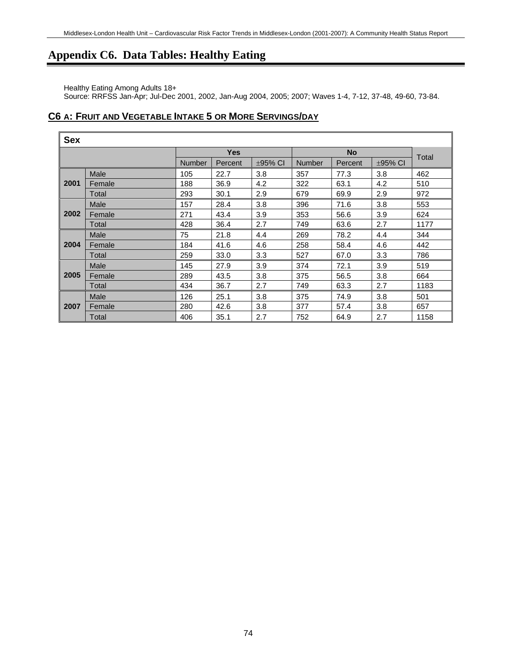## **Appendix C6. Data Tables: Healthy Eating**

Healthy Eating Among Adults 18+

Source: RRFSS Jan-Apr; Jul-Dec 2001, 2002, Jan-Aug 2004, 2005; 2007; Waves 1-4, 7-12, 37-48, 49-60, 73-84.

### **C6 A: FRUIT AND VEGETABLE INTAKE 5 OR MORE SERVINGS/DAY**

| <b>Sex</b> |        |               |            |              |               |           |              |       |  |  |
|------------|--------|---------------|------------|--------------|---------------|-----------|--------------|-------|--|--|
|            |        |               | <b>Yes</b> |              |               | <b>No</b> |              |       |  |  |
|            |        | <b>Number</b> | Percent    | $\pm$ 95% CI | <b>Number</b> | Percent   | $\pm$ 95% CI | Total |  |  |
|            | Male   | 105           | 22.7       | 3.8          | 357           | 77.3      | 3.8          | 462   |  |  |
| 2001       | Female | 188           | 36.9       | 4.2          | 322           | 63.1      | 4.2          | 510   |  |  |
|            | Total  | 293           | 30.1       | 2.9          | 679           | 69.9      | 2.9          | 972   |  |  |
|            | Male   | 157           | 28.4       | 3.8          | 396           | 71.6      | 3.8          | 553   |  |  |
| 2002       | Female | 271           | 43.4       | 3.9          | 353           | 56.6      | 3.9          | 624   |  |  |
|            | Total  | 428           | 36.4       | 2.7          | 749           | 63.6      | 2.7          | 1177  |  |  |
|            | Male   | 75            | 21.8       | 4.4          | 269           | 78.2      | 4.4          | 344   |  |  |
| 2004       | Female | 184           | 41.6       | 4.6          | 258           | 58.4      | 4.6          | 442   |  |  |
|            | Total  | 259           | 33.0       | 3.3          | 527           | 67.0      | 3.3          | 786   |  |  |
|            | Male   | 145           | 27.9       | 3.9          | 374           | 72.1      | 3.9          | 519   |  |  |
| 2005       | Female | 289           | 43.5       | 3.8          | 375           | 56.5      | 3.8          | 664   |  |  |
|            | Total  | 434           | 36.7       | 2.7          | 749           | 63.3      | 2.7          | 1183  |  |  |
|            | Male   | 126           | 25.1       | 3.8          | 375           | 74.9      | 3.8          | 501   |  |  |
| 2007       | Female | 280           | 42.6       | 3.8          | 377           | 57.4      | 3.8          | 657   |  |  |
|            | Total  | 406           | 35.1       | 2.7          | 752           | 64.9      | 2.7          | 1158  |  |  |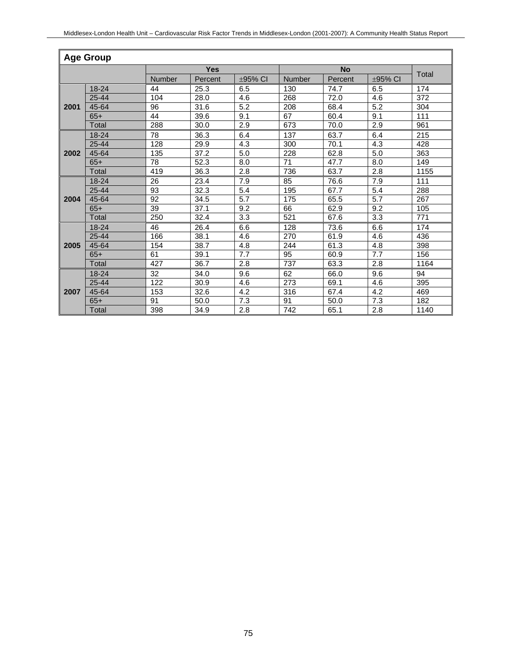|      | <b>Age Group</b> |        |            |              |                 |           |              |       |  |  |  |
|------|------------------|--------|------------|--------------|-----------------|-----------|--------------|-------|--|--|--|
|      |                  |        | <b>Yes</b> |              |                 | <b>No</b> |              |       |  |  |  |
|      |                  | Number | Percent    | $\pm$ 95% CI | <b>Number</b>   | Percent   | $\pm$ 95% CI | Total |  |  |  |
|      | 18-24            | 44     | 25.3       | 6.5          | 130             | 74.7      | 6.5          | 174   |  |  |  |
|      | $25 - 44$        | 104    | 28.0       | 4.6          | 268             | 72.0      | 4.6          | 372   |  |  |  |
| 2001 | 45-64            | 96     | 31.6       | 5.2          | 208             | 68.4      | 5.2          | 304   |  |  |  |
|      | $65+$            | 44     | 39.6       | 9.1          | 67              | 60.4      | 9.1          | 111   |  |  |  |
|      | Total            | 288    | 30.0       | 2.9          | 673             | 70.0      | 2.9          | 961   |  |  |  |
|      | 18-24            | 78     | 36.3       | 6.4          | 137             | 63.7      | 6.4          | 215   |  |  |  |
|      | $25 - 44$        | 128    | 29.9       | 4.3          | 300             | 70.1      | 4.3          | 428   |  |  |  |
| 2002 | 45-64            | 135    | 37.2       | 5.0          | 228             | 62.8      | 5.0          | 363   |  |  |  |
|      | $65+$            | 78     | 52.3       | 8.0          | $\overline{71}$ | 47.7      | 8.0          | 149   |  |  |  |
|      | <b>Total</b>     | 419    | 36.3       | 2.8          | 736             | 63.7      | 2.8          | 1155  |  |  |  |
|      | $18 - 24$        | 26     | 23.4       | 7.9          | 85              | 76.6      | 7.9          | 111   |  |  |  |
|      | $25 - 44$        | 93     | 32.3       | 5.4          | 195             | 67.7      | 5.4          | 288   |  |  |  |
| 2004 | 45-64            | 92     | 34.5       | 5.7          | 175             | 65.5      | 5.7          | 267   |  |  |  |
|      | $65+$            | 39     | 37.1       | 9.2          | 66              | 62.9      | 9.2          | 105   |  |  |  |
|      | <b>Total</b>     | 250    | 32.4       | 3.3          | 521             | 67.6      | 3.3          | 771   |  |  |  |
|      | $18 - 24$        | 46     | 26.4       | 6.6          | 128             | 73.6      | 6.6          | 174   |  |  |  |
|      | 25-44            | 166    | 38.1       | 4.6          | 270             | 61.9      | 4.6          | 436   |  |  |  |
| 2005 | 45-64            | 154    | 38.7       | 4.8          | 244             | 61.3      | 4.8          | 398   |  |  |  |
|      | $65+$            | 61     | 39.1       | 7.7          | 95              | 60.9      | 7.7          | 156   |  |  |  |
|      | Total            | 427    | 36.7       | 2.8          | 737             | 63.3      | 2.8          | 1164  |  |  |  |
|      | 18-24            | 32     | 34.0       | 9.6          | 62              | 66.0      | 9.6          | 94    |  |  |  |
|      | $25 - 44$        | 122    | 30.9       | 4.6          | 273             | 69.1      | 4.6          | 395   |  |  |  |
| 2007 | 45-64            | 153    | 32.6       | 4.2          | 316             | 67.4      | 4.2          | 469   |  |  |  |
|      | $65+$            | 91     | 50.0       | 7.3          | 91              | 50.0      | 7.3          | 182   |  |  |  |
|      | Total            | 398    | 34.9       | 2.8          | 742             | 65.1      | 2.8          | 1140  |  |  |  |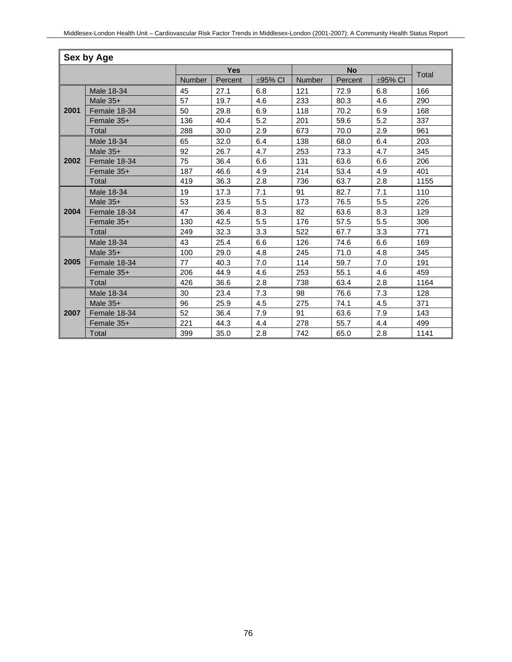| Sex by Age |              |        |            |         |        |           |         |       |  |  |
|------------|--------------|--------|------------|---------|--------|-----------|---------|-------|--|--|
|            |              |        | <b>Yes</b> |         |        | <b>No</b> |         |       |  |  |
|            |              | Number | Percent    | ±95% CI | Number | Percent   | ±95% CI | Total |  |  |
|            | Male 18-34   | 45     | 27.1       | 6.8     | 121    | 72.9      | 6.8     | 166   |  |  |
|            | Male $35+$   | 57     | 19.7       | 4.6     | 233    | 80.3      | 4.6     | 290   |  |  |
| 2001       | Female 18-34 | 50     | 29.8       | 6.9     | 118    | 70.2      | 6.9     | 168   |  |  |
|            | Female 35+   | 136    | 40.4       | 5.2     | 201    | 59.6      | 5.2     | 337   |  |  |
|            | Total        | 288    | 30.0       | 2.9     | 673    | 70.0      | 2.9     | 961   |  |  |
|            | Male 18-34   | 65     | 32.0       | 6.4     | 138    | 68.0      | 6.4     | 203   |  |  |
|            | Male $35+$   | 92     | 26.7       | 4.7     | 253    | 73.3      | 4.7     | 345   |  |  |
| 2002       | Female 18-34 | 75     | 36.4       | 6.6     | 131    | 63.6      | 6.6     | 206   |  |  |
|            | Female 35+   | 187    | 46.6       | 4.9     | 214    | 53.4      | 4.9     | 401   |  |  |
|            | Total        | 419    | 36.3       | 2.8     | 736    | 63.7      | 2.8     | 1155  |  |  |
|            | Male 18-34   | 19     | 17.3       | 7.1     | 91     | 82.7      | 7.1     | 110   |  |  |
|            | Male $35+$   | 53     | 23.5       | 5.5     | 173    | 76.5      | 5.5     | 226   |  |  |
| 2004       | Female 18-34 | 47     | 36.4       | 8.3     | 82     | 63.6      | 8.3     | 129   |  |  |
|            | Female 35+   | 130    | 42.5       | 5.5     | 176    | 57.5      | 5.5     | 306   |  |  |
|            | Total        | 249    | 32.3       | 3.3     | 522    | 67.7      | 3.3     | 771   |  |  |
|            | Male 18-34   | 43     | 25.4       | 6.6     | 126    | 74.6      | 6.6     | 169   |  |  |
|            | Male $35+$   | 100    | 29.0       | 4.8     | 245    | 71.0      | 4.8     | 345   |  |  |
| 2005       | Female 18-34 | 77     | 40.3       | 7.0     | 114    | 59.7      | 7.0     | 191   |  |  |
|            | Female 35+   | 206    | 44.9       | 4.6     | 253    | 55.1      | 4.6     | 459   |  |  |
|            | Total        | 426    | 36.6       | 2.8     | 738    | 63.4      | 2.8     | 1164  |  |  |
|            | Male 18-34   | 30     | 23.4       | 7.3     | 98     | 76.6      | 7.3     | 128   |  |  |
|            | Male $35+$   | 96     | 25.9       | 4.5     | 275    | 74.1      | 4.5     | 371   |  |  |
| 2007       | Female 18-34 | 52     | 36.4       | 7.9     | 91     | 63.6      | 7.9     | 143   |  |  |
|            | Female 35+   | 221    | 44.3       | 4.4     | 278    | 55.7      | 4.4     | 499   |  |  |
|            | Total        | 399    | 35.0       | 2.8     | 742    | 65.0      | 2.8     | 1141  |  |  |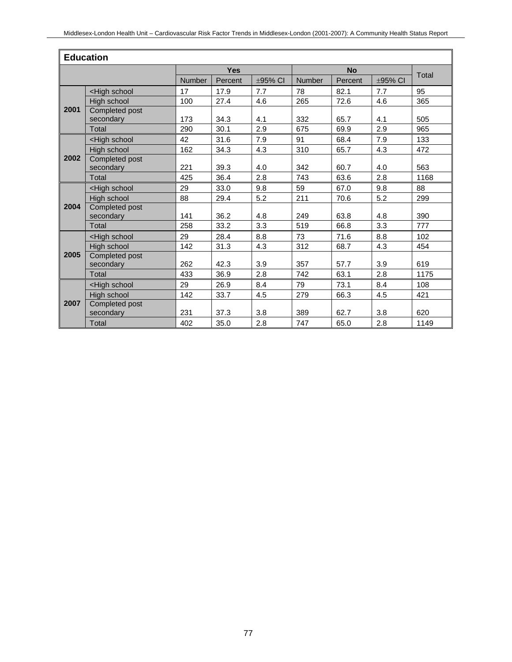| <b>Education</b> |                                                                                                                    |               |            |               |        |           |              |       |  |
|------------------|--------------------------------------------------------------------------------------------------------------------|---------------|------------|---------------|--------|-----------|--------------|-------|--|
|                  |                                                                                                                    |               | <b>Yes</b> |               |        | <b>No</b> |              |       |  |
|                  |                                                                                                                    | <b>Number</b> | Percent    | $\pm 95\%$ CI | Number | Percent   | $\pm$ 95% CI | Total |  |
|                  | <high school<="" td=""><td>17</td><td>17.9</td><td>7.7</td><td>78</td><td>82.1</td><td>7.7</td><td>95</td></high>  | 17            | 17.9       | 7.7           | 78     | 82.1      | 7.7          | 95    |  |
|                  | High school                                                                                                        | 100           | 27.4       | 4.6           | 265    | 72.6      | 4.6          | 365   |  |
| 2001             | Completed post                                                                                                     |               |            |               |        |           |              |       |  |
|                  | secondary                                                                                                          | 173           | 34.3       | 4.1           | 332    | 65.7      | 4.1          | 505   |  |
|                  | <b>Total</b>                                                                                                       | 290           | 30.1       | 2.9           | 675    | 69.9      | 2.9          | 965   |  |
|                  | <high school<="" td=""><td>42</td><td>31.6</td><td>7.9</td><td>91</td><td>68.4</td><td>7.9</td><td>133</td></high> | 42            | 31.6       | 7.9           | 91     | 68.4      | 7.9          | 133   |  |
|                  | High school                                                                                                        | 162           | 34.3       | 4.3           | 310    | 65.7      | 4.3          | 472   |  |
| 2002             | Completed post                                                                                                     |               |            |               |        |           |              |       |  |
|                  | secondary                                                                                                          | 221           | 39.3       | 4.0           | 342    | 60.7      | 4.0          | 563   |  |
|                  | Total                                                                                                              | 425           | 36.4       | 2.8           | 743    | 63.6      | 2.8          | 1168  |  |
|                  | <high school<="" td=""><td>29</td><td>33.0</td><td>9.8</td><td>59</td><td>67.0</td><td>9.8</td><td>88</td></high>  | 29            | 33.0       | 9.8           | 59     | 67.0      | 9.8          | 88    |  |
|                  | High school                                                                                                        | 88            | 29.4       | 5.2           | 211    | 70.6      | 5.2          | 299   |  |
| 2004             | Completed post                                                                                                     |               |            |               |        |           |              |       |  |
|                  | secondary                                                                                                          | 141           | 36.2       | 4.8           | 249    | 63.8      | 4.8          | 390   |  |
|                  | Total                                                                                                              | 258           | 33.2       | 3.3           | 519    | 66.8      | 3.3          | 777   |  |
|                  | <high school<="" td=""><td>29</td><td>28.4</td><td>8.8</td><td>73</td><td>71.6</td><td>8.8</td><td>102</td></high> | 29            | 28.4       | 8.8           | 73     | 71.6      | 8.8          | 102   |  |
|                  | High school                                                                                                        | 142           | 31.3       | 4.3           | 312    | 68.7      | 4.3          | 454   |  |
| 2005             | Completed post                                                                                                     |               |            |               |        |           |              |       |  |
|                  | secondary                                                                                                          | 262           | 42.3       | 3.9           | 357    | 57.7      | 3.9          | 619   |  |
|                  | Total                                                                                                              | 433           | 36.9       | 2.8           | 742    | 63.1      | 2.8          | 1175  |  |
|                  | <high school<="" td=""><td>29</td><td>26.9</td><td>8.4</td><td>79</td><td>73.1</td><td>8.4</td><td>108</td></high> | 29            | 26.9       | 8.4           | 79     | 73.1      | 8.4          | 108   |  |
|                  | High school                                                                                                        | 142           | 33.7       | 4.5           | 279    | 66.3      | 4.5          | 421   |  |
| 2007             | Completed post                                                                                                     |               |            |               |        |           |              |       |  |
|                  | secondary                                                                                                          | 231           | 37.3       | 3.8           | 389    | 62.7      | 3.8          | 620   |  |
|                  | <b>Total</b>                                                                                                       | 402           | 35.0       | 2.8           | 747    | 65.0      | 2.8          | 1149  |  |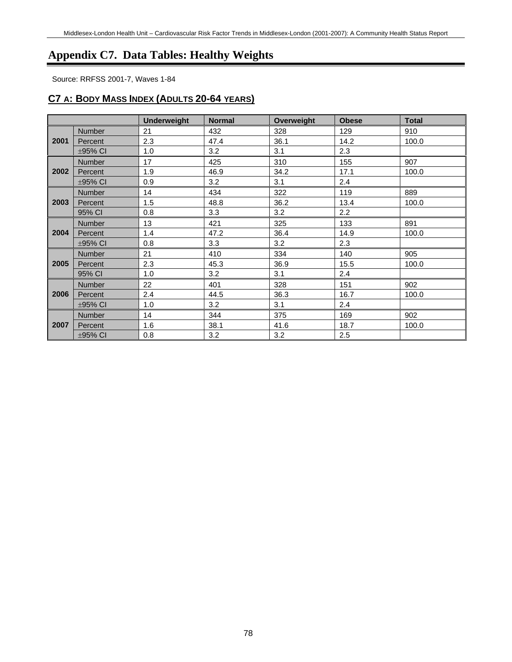# **Appendix C7. Data Tables: Healthy Weights**

Source: RRFSS 2001-7, Waves 1-84

### **C7 A: BODY MASS INDEX (ADULTS 20-64 YEARS)**

|      |               | <b>Underweight</b> | <b>Normal</b> | Overweight | <b>Obese</b> | <b>Total</b> |
|------|---------------|--------------------|---------------|------------|--------------|--------------|
| 2001 | Number        | 21                 | 432           | 328        | 129          | 910          |
|      | Percent       | 2.3                | 47.4          | 36.1       | 14.2         | 100.0        |
|      | $\pm$ 95% CI  | 1.0                | 3.2           | 3.1        | 2.3          |              |
|      | Number        | 17                 | 425           | 310        | 155          | 907          |
| 2002 | Percent       | 1.9                | 46.9          | 34.2       | 17.1         | 100.0        |
|      | $\pm$ 95% CI  | 0.9                | 3.2           | 3.1        | 2.4          |              |
|      | <b>Number</b> | 14                 | 434           | 322        | 119          | 889          |
| 2003 | Percent       | 1.5                | 48.8          | 36.2       | 13.4         | 100.0        |
|      | 95% CI        | 0.8                | 3.3           | 3.2        | 2.2          |              |
|      | <b>Number</b> | 13                 | 421           | 325        | 133          | 891          |
| 2004 | Percent       | 1.4                | 47.2          | 36.4       | 14.9         | 100.0        |
|      | ±95% CI       | 0.8                | 3.3           | 3.2        | 2.3          |              |
|      | <b>Number</b> | 21                 | 410           | 334        | 140          | 905          |
| 2005 | Percent       | 2.3                | 45.3          | 36.9       | 15.5         | 100.0        |
|      | 95% CI        | 1.0                | 3.2           | 3.1        | 2.4          |              |
|      | <b>Number</b> | 22                 | 401           | 328        | 151          | 902          |
| 2006 | Percent       | 2.4                | 44.5          | 36.3       | 16.7         | 100.0        |
|      | $\pm$ 95% CI  | 1.0                | 3.2           | 3.1        | 2.4          |              |
|      | Number        | 14                 | 344           | 375        | 169          | 902          |
| 2007 | Percent       | 1.6                | 38.1          | 41.6       | 18.7         | 100.0        |
|      | $\pm$ 95% CI  | 0.8                | 3.2           | 3.2        | 2.5          |              |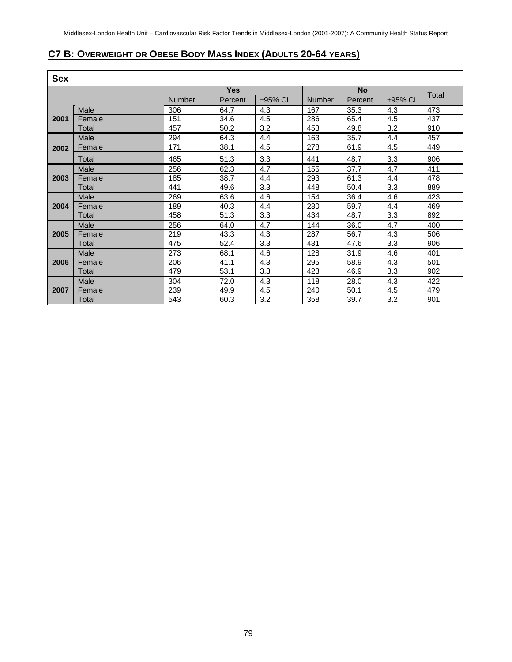### **C7 B: OVERWEIGHT OR OBESE BODY MASS INDEX (ADULTS 20-64 YEARS)**

| <b>Sex</b> |        |               |         |         |               |         |         |       |  |
|------------|--------|---------------|---------|---------|---------------|---------|---------|-------|--|
|            |        | <b>Yes</b>    |         |         | <b>No</b>     |         |         |       |  |
|            |        | <b>Number</b> | Percent | ±95% CI | <b>Number</b> | Percent | ±95% CI | Total |  |
| 2001       | Male   | 306           | 64.7    | 4.3     | 167           | 35.3    | 4.3     | 473   |  |
|            | Female | 151           | 34.6    | 4.5     | 286           | 65.4    | 4.5     | 437   |  |
|            | Total  | 457           | 50.2    | 3.2     | 453           | 49.8    | 3.2     | 910   |  |
|            | Male   | 294           | 64.3    | 4.4     | 163           | 35.7    | 4.4     | 457   |  |
| 2002       | Female | 171           | 38.1    | 4.5     | 278           | 61.9    | 4.5     | 449   |  |
|            | Total  | 465           | 51.3    | 3.3     | 441           | 48.7    | 3.3     | 906   |  |
|            | Male   | 256           | 62.3    | 4.7     | 155           | 37.7    | 4.7     | 411   |  |
| 2003       | Female | 185           | 38.7    | 4.4     | 293           | 61.3    | 4.4     | 478   |  |
|            | Total  | 441           | 49.6    | 3.3     | 448           | 50.4    | 3.3     | 889   |  |
|            | Male   | 269           | 63.6    | 4.6     | 154           | 36.4    | 4.6     | 423   |  |
| 2004       | Female | 189           | 40.3    | 4.4     | 280           | 59.7    | 4.4     | 469   |  |
|            | Total  | 458           | 51.3    | 3.3     | 434           | 48.7    | 3.3     | 892   |  |
|            | Male   | 256           | 64.0    | 4.7     | 144           | 36.0    | 4.7     | 400   |  |
| 2005       | Female | 219           | 43.3    | 4.3     | 287           | 56.7    | 4.3     | 506   |  |
|            | Total  | 475           | 52.4    | 3.3     | 431           | 47.6    | 3.3     | 906   |  |
|            | Male   | 273           | 68.1    | 4.6     | 128           | 31.9    | 4.6     | 401   |  |
| 2006       | Female | 206           | 41.1    | 4.3     | 295           | 58.9    | 4.3     | 501   |  |
|            | Total  | 479           | 53.1    | 3.3     | 423           | 46.9    | 3.3     | 902   |  |
|            | Male   | 304           | 72.0    | 4.3     | 118           | 28.0    | 4.3     | 422   |  |
| 2007       | Female | 239           | 49.9    | 4.5     | 240           | 50.1    | 4.5     | 479   |  |
|            | Total  | 543           | 60.3    | 3.2     | 358           | 39.7    | 3.2     | 901   |  |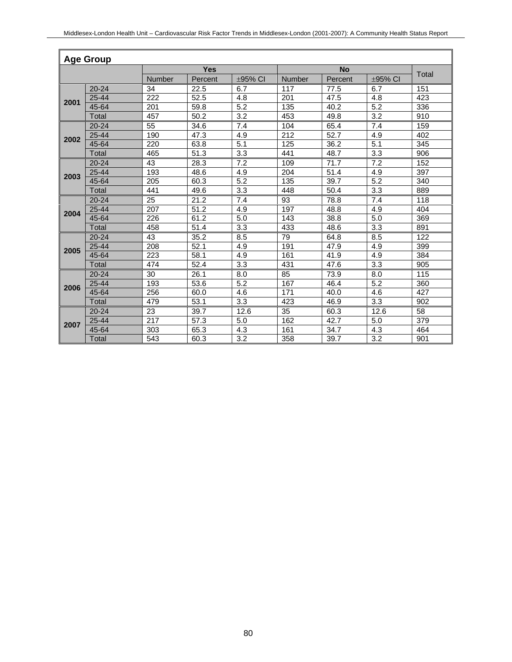| <b>Age Group</b> |              |            |         |         |        |         |         |     |  |
|------------------|--------------|------------|---------|---------|--------|---------|---------|-----|--|
|                  |              | <b>Yes</b> |         |         |        | Total   |         |     |  |
|                  |              | Number     | Percent | ±95% CI | Number | Percent | ±95% CI |     |  |
|                  | $20 - 24$    | 34         | 22.5    | 6.7     | 117    | 77.5    | 6.7     | 151 |  |
| 2001             | $25 - 44$    | 222        | 52.5    | 4.8     | 201    | 47.5    | 4.8     | 423 |  |
|                  | 45-64        | 201        | 59.8    | 5.2     | 135    | 40.2    | 5.2     | 336 |  |
|                  | Total        | 457        | 50.2    | 3.2     | 453    | 49.8    | 3.2     | 910 |  |
|                  | $20 - 24$    | 55         | 34.6    | 7.4     | 104    | 65.4    | 7.4     | 159 |  |
| 2002             | $25 - 44$    | 190        | 47.3    | 4.9     | 212    | 52.7    | 4.9     | 402 |  |
|                  | 45-64        | 220        | 63.8    | 5.1     | 125    | 36.2    | 5.1     | 345 |  |
|                  | Total        | 465        | 51.3    | 3.3     | 441    | 48.7    | 3.3     | 906 |  |
|                  | $20 - 24$    | 43         | 28.3    | 7.2     | 109    | 71.7    | 7.2     | 152 |  |
| 2003             | $25 - 44$    | 193        | 48.6    | 4.9     | 204    | 51.4    | 4.9     | 397 |  |
|                  | 45-64        | 205        | 60.3    | 5.2     | 135    | 39.7    | 5.2     | 340 |  |
|                  | Total        | 441        | 49.6    | 3.3     | 448    | 50.4    | 3.3     | 889 |  |
|                  | $20 - 24$    | 25         | 21.2    | 7.4     | 93     | 78.8    | 7.4     | 118 |  |
| 2004             | 25-44        | 207        | 51.2    | 4.9     | 197    | 48.8    | 4.9     | 404 |  |
|                  | 45-64        | 226        | 61.2    | 5.0     | 143    | 38.8    | 5.0     | 369 |  |
|                  | Total        | 458        | 51.4    | 3.3     | 433    | 48.6    | 3.3     | 891 |  |
|                  | $20 - 24$    | 43         | 35.2    | 8.5     | 79     | 64.8    | 8.5     | 122 |  |
| 2005             | $25 - 44$    | 208        | 52.1    | 4.9     | 191    | 47.9    | 4.9     | 399 |  |
|                  | 45-64        | 223        | 58.1    | 4.9     | 161    | 41.9    | 4.9     | 384 |  |
|                  | <b>Total</b> | 474        | 52.4    | 3.3     | 431    | 47.6    | 3.3     | 905 |  |
|                  | $20 - 24$    | 30         | 26.1    | 8.0     | 85     | 73.9    | 8.0     | 115 |  |
| 2006             | 25-44        | 193        | 53.6    | 5.2     | 167    | 46.4    | 5.2     | 360 |  |
|                  | 45-64        | 256        | 60.0    | 4.6     | 171    | 40.0    | 4.6     | 427 |  |
|                  | Total        | 479        | 53.1    | 3.3     | 423    | 46.9    | 3.3     | 902 |  |
|                  | $20 - 24$    | 23         | 39.7    | 12.6    | 35     | 60.3    | 12.6    | 58  |  |
|                  | $25 - 44$    | 217        | 57.3    | 5.0     | 162    | 42.7    | 5.0     | 379 |  |
| 2007             | 45-64        | 303        | 65.3    | 4.3     | 161    | 34.7    | 4.3     | 464 |  |
|                  | Total        | 543        | 60.3    | 3.2     | 358    | 39.7    | 3.2     | 901 |  |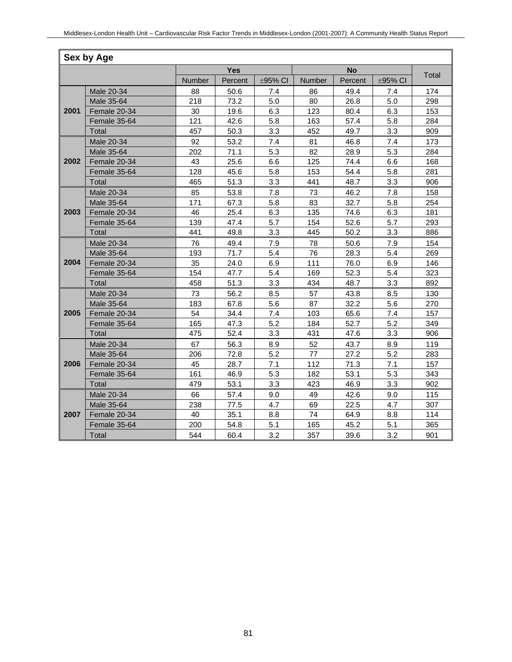| Sex by Age |              |            |         |         |        |         |         |       |  |
|------------|--------------|------------|---------|---------|--------|---------|---------|-------|--|
|            |              | <b>Yes</b> |         |         |        |         |         |       |  |
|            |              | Number     | Percent | ±95% CI | Number | Percent | ±95% CI | Total |  |
|            | Male 20-34   | 88         | 50.6    | 7.4     | 86     | 49.4    | 7.4     | 174   |  |
|            | Male 35-64   | 218        | 73.2    | 5.0     | 80     | 26.8    | 5.0     | 298   |  |
| 2001       | Female 20-34 | 30         | 19.6    | 6.3     | 123    | 80.4    | 6.3     | 153   |  |
|            | Female 35-64 | 121        | 42.6    | 5.8     | 163    | 57.4    | 5.8     | 284   |  |
|            | Total        | 457        | 50.3    | 3.3     | 452    | 49.7    | 3.3     | 909   |  |
|            | Male 20-34   | 92         | 53.2    | 7.4     | 81     | 46.8    | 7.4     | 173   |  |
|            | Male 35-64   | 202        | 71.1    | 5.3     | 82     | 28.9    | 5.3     | 284   |  |
| 2002       | Female 20-34 | 43         | 25.6    | 6.6     | 125    | 74.4    | 6.6     | 168   |  |
|            | Female 35-64 | 128        | 45.6    | 5.8     | 153    | 54.4    | 5.8     | 281   |  |
|            | Total        | 465        | 51.3    | 3.3     | 441    | 48.7    | 3.3     | 906   |  |
|            | Male 20-34   | 85         | 53.8    | 7.8     | 73     | 46.2    | 7.8     | 158   |  |
|            | Male 35-64   | 171        | 67.3    | 5.8     | 83     | 32.7    | 5.8     | 254   |  |
| 2003       | Female 20-34 | 46         | 25.4    | 6.3     | 135    | 74.6    | 6.3     | 181   |  |
|            | Female 35-64 | 139        | 47.4    | 5.7     | 154    | 52.6    | 5.7     | 293   |  |
|            | Total        | 441        | 49.8    | 3.3     | 445    | 50.2    | 3.3     | 886   |  |
|            | Male 20-34   | 76         | 49.4    | 7.9     | 78     | 50.6    | 7.9     | 154   |  |
|            | Male 35-64   | 193        | 71.7    | 5.4     | 76     | 28.3    | 5.4     | 269   |  |
| 2004       | Female 20-34 | 35         | 24.0    | 6.9     | 111    | 76.0    | 6.9     | 146   |  |
|            | Female 35-64 | 154        | 47.7    | 5.4     | 169    | 52.3    | 5.4     | 323   |  |
|            | Total        | 458        | 51.3    | 3.3     | 434    | 48.7    | 3.3     | 892   |  |
|            | Male 20-34   | 73         | 56.2    | 8.5     | 57     | 43.8    | 8.5     | 130   |  |
|            | Male 35-64   | 183        | 67.8    | 5.6     | 87     | 32.2    | 5.6     | 270   |  |
| 2005       | Female 20-34 | 54         | 34.4    | 7.4     | 103    | 65.6    | 7.4     | 157   |  |
|            | Female 35-64 | 165        | 47.3    | 5.2     | 184    | 52.7    | 5.2     | 349   |  |
|            | Total        | 475        | 52.4    | 3.3     | 431    | 47.6    | 3.3     | 906   |  |
|            | Male 20-34   | 67         | 56.3    | 8.9     | 52     | 43.7    | 8.9     | 119   |  |
|            | Male 35-64   | 206        | 72.8    | 5.2     | 77     | 27.2    | 5.2     | 283   |  |
| 2006       | Female 20-34 | 45         | 28.7    | 7.1     | 112    | 71.3    | 7.1     | 157   |  |
|            | Female 35-64 | 161        | 46.9    | 5.3     | 182    | 53.1    | 5.3     | 343   |  |
|            | Total        | 479        | 53.1    | 3.3     | 423    | 46.9    | 3.3     | 902   |  |
|            | Male 20-34   | 66         | 57.4    | 9.0     | 49     | 42.6    | 9.0     | 115   |  |
|            | Male 35-64   | 238        | 77.5    | 4.7     | 69     | 22.5    | 4.7     | 307   |  |
| 2007       | Female 20-34 | 40         | 35.1    | 8.8     | 74     | 64.9    | 8.8     | 114   |  |
|            | Female 35-64 | 200        | 54.8    | 5.1     | 165    | 45.2    | 5.1     | 365   |  |
|            | Total        | 544        | 60.4    | 3.2     | 357    | 39.6    | 3.2     | 901   |  |